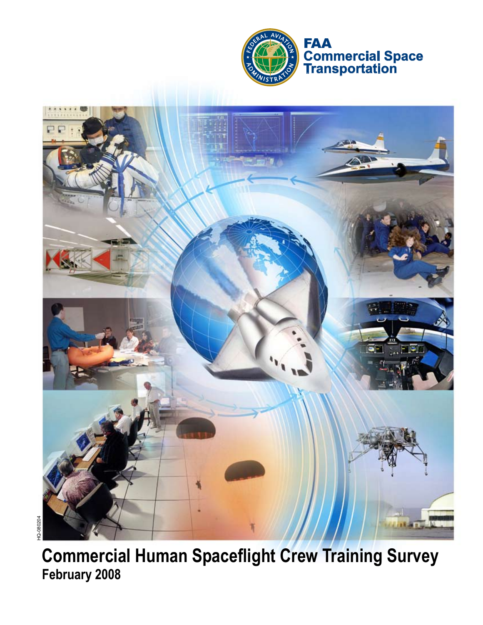



**Commercial Human Spaceflight Crew Training Survey February 2008**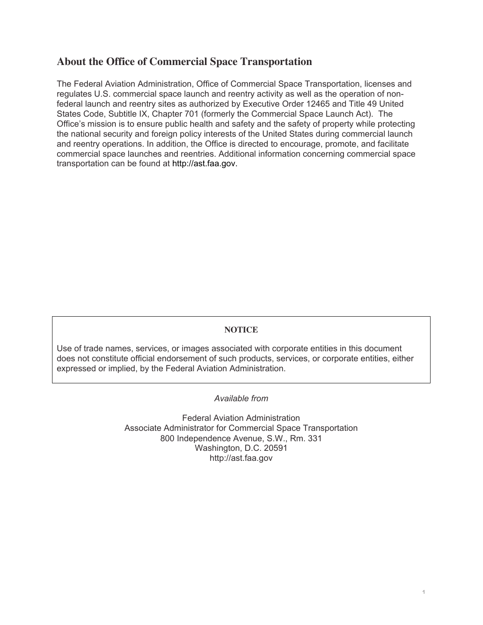# **About the Office of Commercial Space Transportation**

The Federal Aviation Administration, Office of Commercial Space Transportation, licenses and regulates U.S. commercial space launch and reentry activity as well as the operation of nonfederal launch and reentry sites as authorized by Executive Order 12465 and Title 49 United States Code, Subtitle IX, Chapter 701 (formerly the Commercial Space Launch Act). The Office's mission is to ensure public health and safety and the safety of property while protecting the national security and foreign policy interests of the United States during commercial launch and reentry operations. In addition, the Office is directed to encourage, promote, and facilitate commercial space launches and reentries. Additional information concerning commercial space transportation can be found at http://ast.faa.gov.

#### **NOTICE**

Use of trade names, services, or images associated with corporate entities in this document does not constitute official endorsement of such products, services, or corporate entities, either expressed or implied, by the Federal Aviation Administration.

#### *Available from*

Federal Aviation Administration Associate Administrator for Commercial Space Transportation 800 Independence Avenue, S.W., Rm. 331 Washington, D.C. 20591 http://ast.faa.gov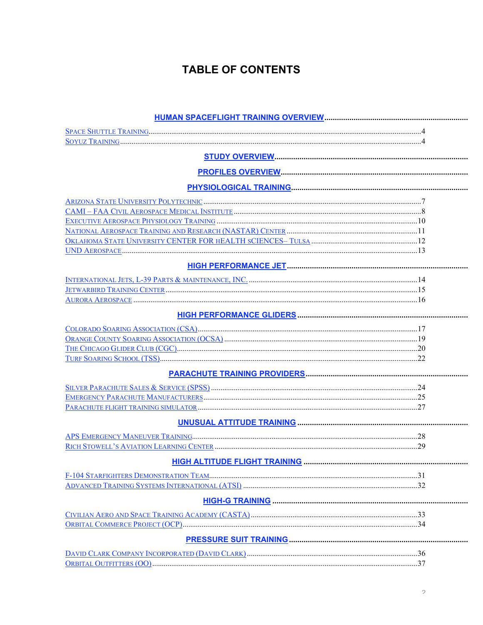# **TABLE OF CONTENTS**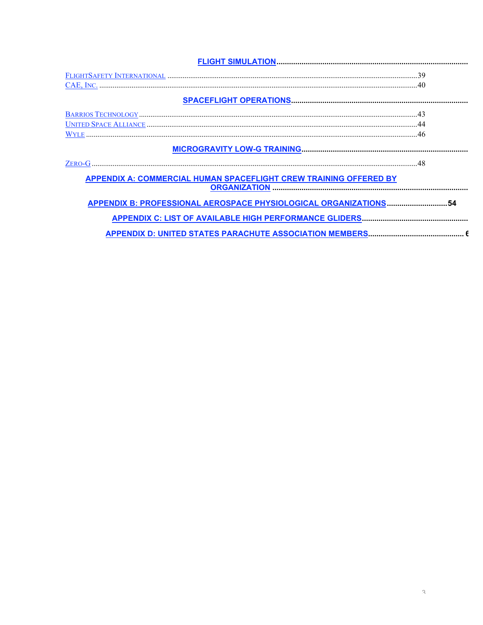|                                                                          | 39              |  |
|--------------------------------------------------------------------------|-----------------|--|
|                                                                          | $\overline{40}$ |  |
|                                                                          |                 |  |
|                                                                          |                 |  |
|                                                                          |                 |  |
|                                                                          |                 |  |
|                                                                          |                 |  |
| $ZERO-G$                                                                 |                 |  |
| <b>APPENDIX A: COMMERCIAL HUMAN SPACEFLIGHT CREW TRAINING OFFERED BY</b> |                 |  |
| APPENDIX B: PROFESSIONAL AEROSPACE PHYSIOLOGICAL ORGANIZATIONS 54        |                 |  |
|                                                                          |                 |  |
|                                                                          |                 |  |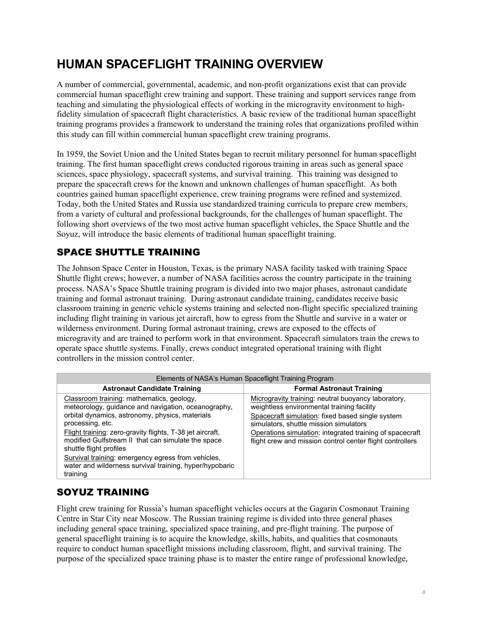# **HUMAN SPACEFLIGHT TRAINING OVERVIEW**

A number of commercial, governmental, academic, and non-profit organizations exist that can provide commercial human spaceflight crew training and support. These training and support services range from teaching and simulating the physiological effects of working in the microgravity environment to highfidelity simulation of spacecraft flight characteristics. A basic review of the traditional human spaceflight training programs provides a framework to understand the training roles that organizations profiled within this study can fill within commercial human spaceflight crew training programs.

In 1959, the Soviet Union and the United States began to recruit military personnel for human spaceflight training. The first human spaceflight crews conducted rigorous training in areas such as general space sciences, space physiology, spacecraft systems, and survival training. This training was designed to prepare the spacecraft crews for the known and unknown challenges of human spaceflight. As both countries gained human spaceflight experience, crew training programs were refined and systemized. Today, both the United States and Russia use standardized training curricula to prepare crew members, from a variety of cultural and professional backgrounds, for the challenges of human spaceflight. The following short overviews of the two most active human spaceflight vehicles, the Space Shuttle and the Soyuz, will introduce the basic elements of traditional human spaceflight training.

# SPACE SHUTTLE TRAINING

The Johnson Space Center in Houston, Texas, is the primary NASA facility tasked with training Space Shuttle flight crews; however, a number of NASA facilities across the country participate in the training process. NASA's Space Shuttle training program is divided into two major phases, astronaut candidate training and formal astronaut training. During astronaut candidate training, candidates receive basic classroom training in generic vehicle systems training and selected non-flight specific specialized training including flight training in various jet aircraft, how to egress from the Shuttle and survive in a water or wilderness environment. During formal astronaut training, crews are exposed to the effects of microgravity and are trained to perform work in that environment. Spacecraft simulators train the crews to operate space shuttle systems. Finally, crews conduct integrated operational training with flight controllers in the mission control center.

| Elements of NASA's Human Spaceflight Training Program                                                                                                                                                                                                                                                                                                                                                                                              |                                                                                                                                                                                                                                                                                                                          |  |  |  |  |
|----------------------------------------------------------------------------------------------------------------------------------------------------------------------------------------------------------------------------------------------------------------------------------------------------------------------------------------------------------------------------------------------------------------------------------------------------|--------------------------------------------------------------------------------------------------------------------------------------------------------------------------------------------------------------------------------------------------------------------------------------------------------------------------|--|--|--|--|
| <b>Astronaut Candidate Training</b>                                                                                                                                                                                                                                                                                                                                                                                                                | <b>Formal Astronaut Training</b>                                                                                                                                                                                                                                                                                         |  |  |  |  |
| Classroom training: mathematics, geology,<br>meteorology, guidance and navigation, oceanography,<br>orbital dynamics, astronomy, physics, materials<br>processing, etc.<br>Flight training: zero-gravity flights, T-38 jet aircraft,<br>modified Gulfstream II that can simulate the space<br>shuttle flight profiles<br>Survival training: emergency egress from vehicles,<br>water and wilderness survival training, hyper/hypobaric<br>training | Microgravity training: neutral buoyancy laboratory,<br>weightless environmental training facility<br>Spacecraft simulation: fixed based single system<br>simulators, shuttle mission simulators<br>Operations simulation: integrated training of spacecraft<br>flight crew and mission control center flight controllers |  |  |  |  |

# SOYUZ TRAINING

Flight crew training for Russia's human spaceflight vehicles occurs at the Gagarin Cosmonaut Training Centre in Star City near Moscow. The Russian training regime is divided into three general phases including general space training, specialized space training, and pre-flight training. The purpose of general spaceflight training is to acquire the knowledge, skills, habits, and qualities that cosmonauts require to conduct human spaceflight missions including classroom, flight, and survival training. The purpose of the specialized space training phase is to master the entire range of professional knowledge,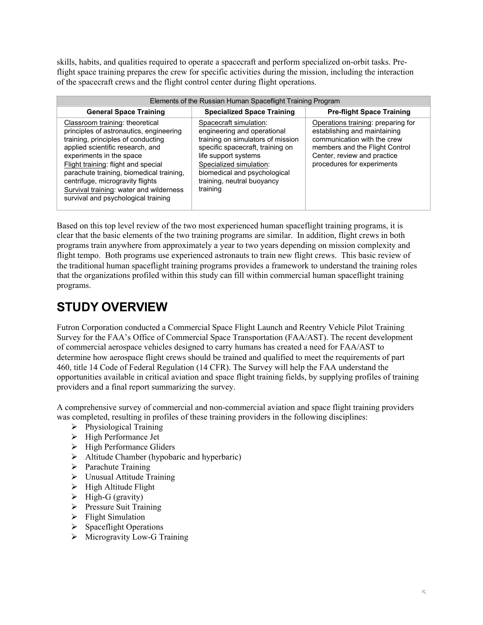skills, habits, and qualities required to operate a spacecraft and perform specialized on-orbit tasks. Preflight space training prepares the crew for specific activities during the mission, including the interaction of the spacecraft crews and the flight control center during flight operations.

| Elements of the Russian Human Spaceflight Training Program                                                                                                                                                                                                                                                                                                                                |                                                                                                                                                                                                                                                             |                                                                                                                                                                                                  |  |  |  |
|-------------------------------------------------------------------------------------------------------------------------------------------------------------------------------------------------------------------------------------------------------------------------------------------------------------------------------------------------------------------------------------------|-------------------------------------------------------------------------------------------------------------------------------------------------------------------------------------------------------------------------------------------------------------|--------------------------------------------------------------------------------------------------------------------------------------------------------------------------------------------------|--|--|--|
| <b>General Space Training</b>                                                                                                                                                                                                                                                                                                                                                             | <b>Specialized Space Training</b>                                                                                                                                                                                                                           | <b>Pre-flight Space Training</b>                                                                                                                                                                 |  |  |  |
| Classroom training: theoretical<br>principles of astronautics, engineering<br>training, principles of conducting<br>applied scientific research, and<br>experiments in the space<br>Flight training: flight and special<br>parachute training, biomedical training,<br>centrifuge, microgravity flights<br>Survival training: water and wilderness<br>survival and psychological training | Spacecraft simulation:<br>engineering and operational<br>training on simulators of mission<br>specific spacecraft, training on<br>life support systems<br>Specialized simulation:<br>biomedical and psychological<br>training, neutral buoyancy<br>training | Operations training: preparing for<br>establishing and maintaining<br>communication with the crew<br>members and the Flight Control<br>Center, review and practice<br>procedures for experiments |  |  |  |

Based on this top level review of the two most experienced human spaceflight training programs, it is clear that the basic elements of the two training programs are similar. In addition, flight crews in both programs train anywhere from approximately a year to two years depending on mission complexity and flight tempo. Both programs use experienced astronauts to train new flight crews. This basic review of the traditional human spaceflight training programs provides a framework to understand the training roles that the organizations profiled within this study can fill within commercial human spaceflight training programs.

# **STUDY OVERVIEW**

Futron Corporation conducted a Commercial Space Flight Launch and Reentry Vehicle Pilot Training Survey for the FAA's Office of Commercial Space Transportation (FAA/AST). The recent development of commercial aerospace vehicles designed to carry humans has created a need for FAA/AST to determine how aerospace flight crews should be trained and qualified to meet the requirements of part 460, title 14 Code of Federal Regulation (14 CFR). The Survey will help the FAA understand the opportunities available in critical aviation and space flight training fields, by supplying profiles of training providers and a final report summarizing the survey.

A comprehensive survey of commercial and non-commercial aviation and space flight training providers was completed, resulting in profiles of these training providers in the following disciplines:

- $\triangleright$  Physiological Training
- $\triangleright$  High Performance Jet
- $\triangleright$  High Performance Gliders
- $\triangleright$  Altitude Chamber (hypobaric and hyperbaric)
- $\triangleright$  Parachute Training
- Unusual Attitude Training
- $\triangleright$  High Altitude Flight
- $\triangleright$  High-G (gravity)
- $\triangleright$  Pressure Suit Training
- $\triangleright$  Flight Simulation
- $\triangleright$  Spaceflight Operations
- $\triangleright$  Microgravity Low-G Training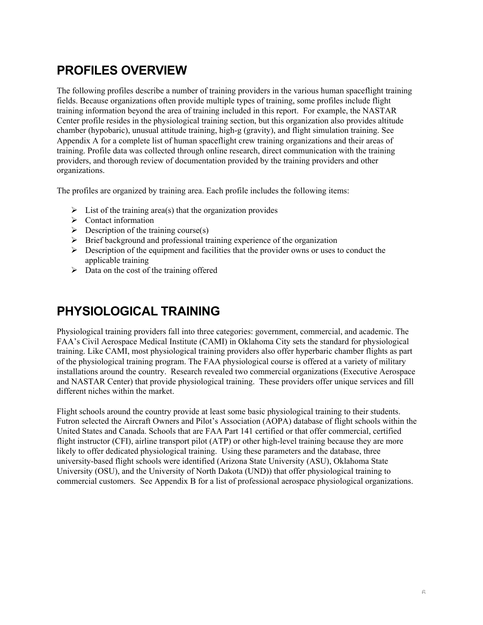# **PROFILES OVERVIEW**

The following profiles describe a number of training providers in the various human spaceflight training fields. Because organizations often provide multiple types of training, some profiles include flight training information beyond the area of training included in this report. For example, the NASTAR Center profile resides in the physiological training section, but this organization also provides altitude chamber (hypobaric), unusual attitude training, high-g (gravity), and flight simulation training. See Appendix A for a complete list of human spaceflight crew training organizations and their areas of training. Profile data was collected through online research, direct communication with the training providers, and thorough review of documentation provided by the training providers and other organizations.

The profiles are organized by training area. Each profile includes the following items:

- $\triangleright$  List of the training area(s) that the organization provides
- $\triangleright$  Contact information
- $\triangleright$  Description of the training course(s)
- $\triangleright$  Brief background and professional training experience of the organization
- $\triangleright$  Description of the equipment and facilities that the provider owns or uses to conduct the applicable training
- $\triangleright$  Data on the cost of the training offered

# **PHYSIOLOGICAL TRAINING**

Physiological training providers fall into three categories: government, commercial, and academic. The FAA's Civil Aerospace Medical Institute (CAMI) in Oklahoma City sets the standard for physiological training. Like CAMI, most physiological training providers also offer hyperbaric chamber flights as part of the physiological training program. The FAA physiological course is offered at a variety of military installations around the country. Research revealed two commercial organizations (Executive Aerospace and NASTAR Center) that provide physiological training. These providers offer unique services and fill different niches within the market.

Flight schools around the country provide at least some basic physiological training to their students. Futron selected the Aircraft Owners and Pilot's Association (AOPA) database of flight schools within the United States and Canada. Schools that are FAA Part 141 certified or that offer commercial, certified flight instructor (CFI), airline transport pilot (ATP) or other high-level training because they are more likely to offer dedicated physiological training. Using these parameters and the database, three university-based flight schools were identified (Arizona State University (ASU), Oklahoma State University (OSU), and the University of North Dakota (UND)) that offer physiological training to commercial customers. See Appendix B for a list of professional aerospace physiological organizations.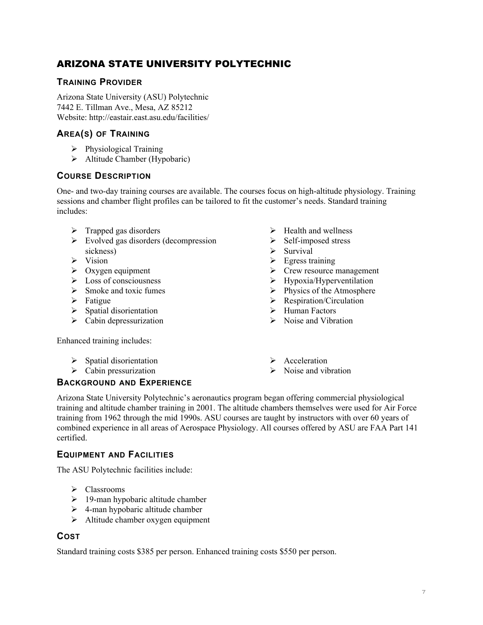# ARIZONA STATE UNIVERSITY POLYTECHNIC

## **TRAINING PROVIDER**

Arizona State University (ASU) Polytechnic 7442 E. Tillman Ave., Mesa, AZ 85212 Website: http://eastair.east.asu.edu/facilities/

## **AREA(S) OF TRAINING**

- $\triangleright$  Physiological Training
- $\triangleright$  Altitude Chamber (Hypobaric)

#### **COURSE DESCRIPTION**

One- and two-day training courses are available. The courses focus on high-altitude physiology. Training sessions and chamber flight profiles can be tailored to fit the customer's needs. Standard training includes:

- $\triangleright$  Trapped gas disorders
- $\triangleright$  Evolved gas disorders (decompression sickness)
- $\triangleright$  Vision
- $\triangleright$  Oxygen equipment
- $\triangleright$  Loss of consciousness
- $\triangleright$  Smoke and toxic fumes
- $\triangleright$  Fatigue
- $\triangleright$  Spatial disorientation
- $\triangleright$  Cabin depressurization
- $\blacktriangleright$  Health and wellness
- $\triangleright$  Self-imposed stress
- $\triangleright$  Survival
- $\triangleright$  Egress training
- $\triangleright$  Crew resource management
- $\triangleright$  Hypoxia/Hyperventilation
- $\triangleright$  Physics of the Atmosphere
- $\triangleright$  Respiration/Circulation
- $\triangleright$  Human Factors
- $\triangleright$  Noise and Vibration

Enhanced training includes:

- $\triangleright$  Spatial disorientation
- $\triangleright$  Cabin pressurization
- $\triangleright$  Acceleration
- $\triangleright$  Noise and vibration

## **BACKGROUND AND EXPERIENCE**

Arizona State University Polytechnic's aeronautics program began offering commercial physiological training and altitude chamber training in 2001. The altitude chambers themselves were used for Air Force training from 1962 through the mid 1990s. ASU courses are taught by instructors with over 60 years of combined experience in all areas of Aerospace Physiology. All courses offered by ASU are FAA Part 141 certified.

#### **EQUIPMENT AND FACILITIES**

The ASU Polytechnic facilities include:

- $\triangleright$  Classrooms
- $\geq 19$ -man hypobaric altitude chamber
- $\geq$  4-man hypobaric altitude chamber
- $\triangleright$  Altitude chamber oxygen equipment

## **COST**

Standard training costs \$385 per person. Enhanced training costs \$550 per person.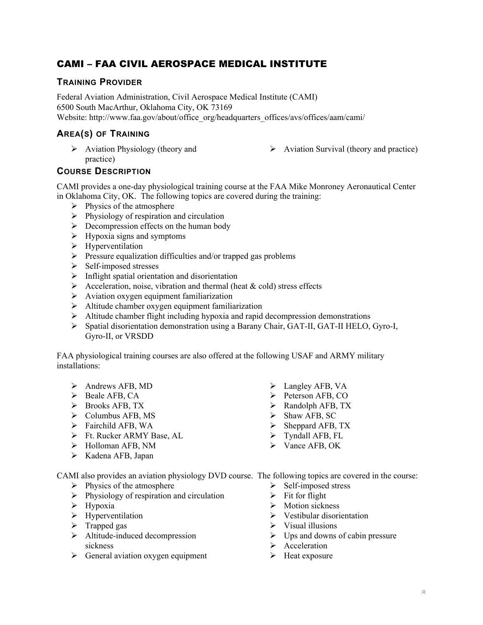# CAMI – FAA CIVIL AEROSPACE MEDICAL INSTITUTE

## **TRAINING PROVIDER**

Federal Aviation Administration, Civil Aerospace Medical Institute (CAMI) 6500 South MacArthur, Oklahoma City, OK 73169 Website: http://www.faa.gov/about/office\_org/headquarters\_offices/avs/offices/aam/cami/

## **AREA(S) OF TRAINING**

- $\triangleright$  Aviation Physiology (theory and practice)
- $\triangleright$  Aviation Survival (theory and practice)

## **COURSE DESCRIPTION**

CAMI provides a one-day physiological training course at the FAA Mike Monroney Aeronautical Center in Oklahoma City, OK. The following topics are covered during the training:

- $\triangleright$  Physics of the atmosphere
- $\triangleright$  Physiology of respiration and circulation
- $\triangleright$  Decompression effects on the human body
- $\triangleright$  Hypoxia signs and symptoms
- $\triangleright$  Hyperventilation
- $\triangleright$  Pressure equalization difficulties and/or trapped gas problems
- $\triangleright$  Self-imposed stresses
- $\triangleright$  Inflight spatial orientation and disorientation
- Acceleration, noise, vibration and thermal (heat  $& \text{cold}$ ) stress effects
- $\triangleright$  Aviation oxygen equipment familiarization
- $\triangleright$  Altitude chamber oxygen equipment familiarization
- $\triangleright$  Altitude chamber flight including hypoxia and rapid decompression demonstrations
- $\triangleright$  Spatial disorientation demonstration using a Barany Chair, GAT-II, GAT-II HELO, Gyro-I, Gyro-II, or VRSDD

FAA physiological training courses are also offered at the following USAF and ARMY military installations:

- $\triangleright$  Andrews AFB, MD
- $\triangleright$  Beale AFB, CA
- $\triangleright$  Brooks AFB, TX
- $\triangleright$  Columbus AFB, MS
- $\triangleright$  Fairchild AFB, WA
- $\triangleright$  Ft. Rucker ARMY Base, AL
- $\triangleright$  Holloman AFB, NM
- $\triangleright$  Kadena AFB, Japan
- $\triangleright$  Langley AFB, VA
- $\triangleright$  Peterson AFB, CO
- $\triangleright$  Randolph AFB, TX
- $\triangleright$  Shaw AFB, SC
- $\triangleright$  Sheppard AFB, TX
- $\triangleright$  Tyndall AFB, FL
- $\triangleright$  Vance AFB, OK
- CAMI also provides an aviation physiology DVD course. The following topics are covered in the course:
	- $\triangleright$  Physics of the atmosphere
	- $\triangleright$  Physiology of respiration and circulation
	- $\triangleright$  Hypoxia
	- $\triangleright$  Hyperventilation
	- $\triangleright$  Trapped gas
	- $\triangleright$  Altitude-induced decompression sickness
	- $\triangleright$  General aviation oxygen equipment
- $\triangleright$  Self-imposed stress
- $\triangleright$  Fit for flight
- $\triangleright$  Motion sickness
- $\triangleright$  Vestibular disorientation
- $\triangleright$  Visual illusions
- $\triangleright$  Ups and downs of cabin pressure
- $\triangleright$  Acceleration
- $\triangleright$  Heat exposure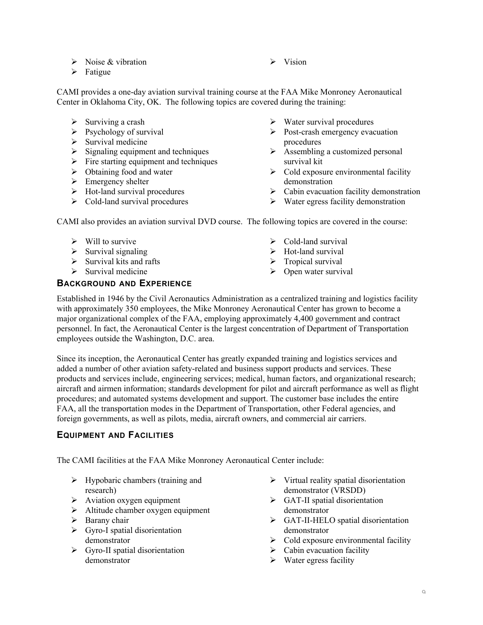- $\triangleright$  Noise & vibration
- $\triangleright$  Fatigue

 $\triangleright$  Vision

CAMI provides a one-day aviation survival training course at the FAA Mike Monroney Aeronautical Center in Oklahoma City, OK. The following topics are covered during the training:

- $\triangleright$  Surviving a crash
- $\triangleright$  Psychology of survival
- $\triangleright$  Survival medicine
- $\triangleright$  Signaling equipment and techniques
- $\triangleright$  Fire starting equipment and techniques
- $\triangleright$  Obtaining food and water
- $\triangleright$  Emergency shelter
- $\triangleright$  Hot-land survival procedures
- $\triangleright$  Cold-land survival procedures
- $\triangleright$  Water survival procedures
- $\triangleright$  Post-crash emergency evacuation procedures
- $\triangleright$  Assembling a customized personal survival kit
- $\triangleright$  Cold exposure environmental facility demonstration
- $\triangleright$  Cabin evacuation facility demonstration
- $\triangleright$  Water egress facility demonstration

CAMI also provides an aviation survival DVD course. The following topics are covered in the course:

- $\triangleright$  Will to survive
- $\triangleright$  Survival signaling
- $\triangleright$  Survival kits and rafts
- $\triangleright$  Survival medicine

#### **BACKGROUND AND EXPERIENCE**

- $\triangleright$  Cold-land survival
- $\triangleright$  Hot-land survival
- $\triangleright$  Tropical survival
- $\triangleright$  Open water survival

Established in 1946 by the Civil Aeronautics Administration as a centralized training and logistics facility with approximately 350 employees, the Mike Monroney Aeronautical Center has grown to become a major organizational complex of the FAA, employing approximately 4,400 government and contract personnel. In fact, the Aeronautical Center is the largest concentration of Department of Transportation employees outside the Washington, D.C. area.

Since its inception, the Aeronautical Center has greatly expanded training and logistics services and added a number of other aviation safety-related and business support products and services. These products and services include, engineering services; medical, human factors, and organizational research; aircraft and airmen information; standards development for pilot and aircraft performance as well as flight procedures; and automated systems development and support. The customer base includes the entire FAA, all the transportation modes in the Department of Transportation, other Federal agencies, and foreign governments, as well as pilots, media, aircraft owners, and commercial air carriers.

## **EQUIPMENT AND FACILITIES**

The CAMI facilities at the FAA Mike Monroney Aeronautical Center include:

- $\triangleright$  Hypobaric chambers (training and research)
- $\triangleright$  Aviation oxygen equipment
- $\triangleright$  Altitude chamber oxygen equipment
- $\triangleright$  Barany chair
- $\triangleright$  Gyro-I spatial disorientation demonstrator
- $\triangleright$  Gyro-II spatial disorientation demonstrator
- $\triangleright$  Virtual reality spatial disorientation demonstrator (VRSDD)
- $\triangleright$  GAT-II spatial disorientation demonstrator
- GAT-II-HELO spatial disorientation demonstrator
- $\triangleright$  Cold exposure environmental facility
- $\triangleright$  Cabin evacuation facility
- $\triangleright$  Water egress facility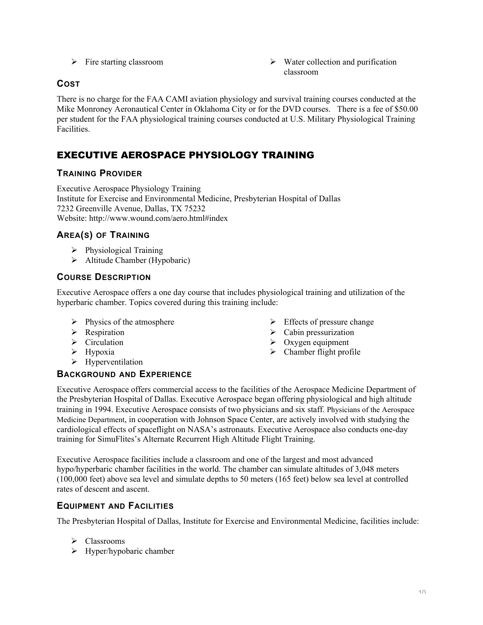- 
- $\triangleright$  Fire starting classroom  $\triangleright$  Water collection and purification classroom

# **COST**

There is no charge for the FAA CAMI aviation physiology and survival training courses conducted at the Mike Monroney Aeronautical Center in Oklahoma City or for the DVD courses. There is a fee of \$50.00 per student for the FAA physiological training courses conducted at U.S. Military Physiological Training Facilities.

# EXECUTIVE AEROSPACE PHYSIOLOGY TRAINING

## **TRAINING PROVIDER**

Executive Aerospace Physiology Training Institute for Exercise and Environmental Medicine, Presbyterian Hospital of Dallas 7232 Greenville Avenue, Dallas, TX 75232 Website: http://www.wound.com/aero.html#index

## **AREA(S) OF TRAINING**

- $\triangleright$  Physiological Training
- $\triangleright$  Altitude Chamber (Hypobaric)

## **COURSE DESCRIPTION**

Executive Aerospace offers a one day course that includes physiological training and utilization of the hyperbaric chamber. Topics covered during this training include:

- $\triangleright$  Physics of the atmosphere
- $\triangleright$  Respiration
- $\triangleright$  Circulation
- $\triangleright$  Hypoxia
- $\triangleright$  Hyperventilation

## **BACKGROUND AND EXPERIENCE**

 $\triangleright$  Cabin pressurization > Oxygen equipment

 $\triangleright$  Effects of pressure change

- $\triangleright$  Chamber flight profile
- Executive Aerospace offers commercial access to the facilities of the Aerospace Medicine Department of the Presbyterian Hospital of Dallas. Executive Aerospace began offering physiological and high altitude training in 1994. Executive Aerospace consists of two physicians and six staff. Physicians of the Aerospace Medicine Department, in cooperation with Johnson Space Center, are actively involved with studying the cardiological effects of spaceflight on NASA's astronauts. Executive Aerospace also conducts one-day training for SimuFlites's Alternate Recurrent High Altitude Flight Training.

Executive Aerospace facilities include a classroom and one of the largest and most advanced hypo/hyperbaric chamber facilities in the world. The chamber can simulate altitudes of 3,048 meters (100,000 feet) above sea level and simulate depths to 50 meters (165 feet) below sea level at controlled rates of descent and ascent.

## **EQUIPMENT AND FACILITIES**

The Presbyterian Hospital of Dallas, Institute for Exercise and Environmental Medicine, facilities include:

- $\triangleright$  Classrooms
- $\triangleright$  Hyper/hypobaric chamber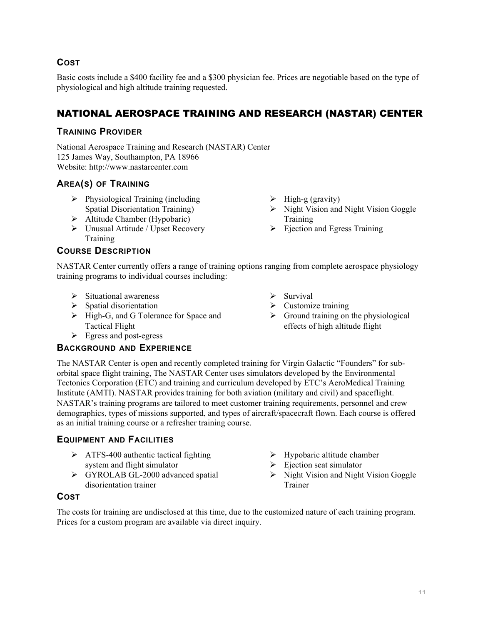## **COST**

Basic costs include a \$400 facility fee and a \$300 physician fee. Prices are negotiable based on the type of physiological and high altitude training requested.

# NATIONAL AEROSPACE TRAINING AND RESEARCH (NASTAR) CENTER

## **TRAINING PROVIDER**

National Aerospace Training and Research (NASTAR) Center 125 James Way, Southampton, PA 18966 Website: http://www.nastarcenter.com

## **AREA(S) OF TRAINING**

- $\triangleright$  Physiological Training (including Spatial Disorientation Training)
- $\triangleright$  Altitude Chamber (Hypobaric)
- $\triangleright$  Unusual Attitude / Upset Recovery Training

## **COURSE DESCRIPTION**

- $\triangleright$  High-g (gravity)
- $\triangleright$  Night Vision and Night Vision Goggle Training
- $\triangleright$  Ejection and Egress Training

NASTAR Center currently offers a range of training options ranging from complete aerospace physiology training programs to individual courses including:

- $\triangleright$  Situational awareness
- $\triangleright$  Spatial disorientation
- $\triangleright$  High-G, and G Tolerance for Space and Tactical Flight
- $\triangleright$  Egress and post-egress

## **BACKGROUND AND EXPERIENCE**

- $\triangleright$  Survival
- $\triangleright$  Customize training
- $\triangleright$  Ground training on the physiological effects of high altitude flight

The NASTAR Center is open and recently completed training for Virgin Galactic "Founders" for suborbital space flight training, The NASTAR Center uses simulators developed by the Environmental Tectonics Corporation (ETC) and training and curriculum developed by ETC's AeroMedical Training Institute (AMTI). NASTAR provides training for both aviation (military and civil) and spaceflight. NASTAR's training programs are tailored to meet customer training requirements, personnel and crew demographics, types of missions supported, and types of aircraft/spacecraft flown. Each course is offered as an initial training course or a refresher training course.

## **EQUIPMENT AND FACILITIES**

- $\triangleright$  ATFS-400 authentic tactical fighting system and flight simulator
- $\triangleright$  GYROLAB GL-2000 advanced spatial disorientation trainer
- $\triangleright$  Hypobaric altitude chamber
- $\triangleright$  Ejection seat simulator
- $\triangleright$  Night Vision and Night Vision Goggle Trainer

## **COST**

The costs for training are undisclosed at this time, due to the customized nature of each training program. Prices for a custom program are available via direct inquiry.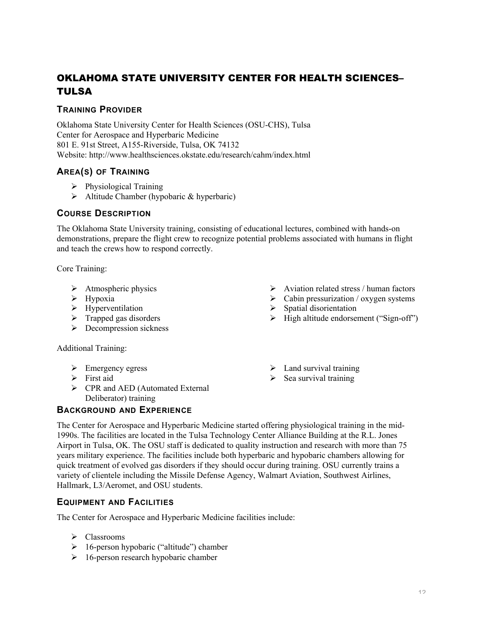# OKLAHOMA STATE UNIVERSITY CENTER FOR HEALTH SCIENCES– TULSA

#### **TRAINING PROVIDER**

Oklahoma State University Center for Health Sciences (OSU-CHS), Tulsa Center for Aerospace and Hyperbaric Medicine 801 E. 91st Street, A155-Riverside, Tulsa, OK 74132 Website: http://www.healthsciences.okstate.edu/research/cahm/index.html

## **AREA(S) OF TRAINING**

- $\triangleright$  Physiological Training
- $\triangleright$  Altitude Chamber (hypobaric & hyperbaric)

#### **COURSE DESCRIPTION**

The Oklahoma State University training, consisting of educational lectures, combined with hands-on demonstrations, prepare the flight crew to recognize potential problems associated with humans in flight and teach the crews how to respond correctly.

Core Training:

- $\triangleright$  Atmospheric physics
- $\triangleright$  Hypoxia
- $\triangleright$  Hyperventilation
- $\triangleright$  Trapped gas disorders
- $\triangleright$  Decompression sickness

Additional Training:

- $\triangleright$  Emergency egress
- $\triangleright$  First aid
- $\triangleright$  CPR and AED (Automated External Deliberator) training

# **BACKGROUND AND EXPERIENCE**

 $\triangleright$  Land survival training

 $\triangleright$  Aviation related stress / human factors  $\triangleright$  Cabin pressurization / oxygen systems

 $\triangleright$  High altitude endorsement ("Sign-off")

 $\triangleright$  Sea survival training

 $\triangleright$  Spatial disorientation

The Center for Aerospace and Hyperbaric Medicine started offering physiological training in the mid-1990s. The facilities are located in the Tulsa Technology Center Alliance Building at the R.L. Jones Airport in Tulsa, OK. The OSU staff is dedicated to quality instruction and research with more than 75 years military experience. The facilities include both hyperbaric and hypobaric chambers allowing for quick treatment of evolved gas disorders if they should occur during training. OSU currently trains a variety of clientele including the Missile Defense Agency, Walmart Aviation, Southwest Airlines, Hallmark, L3/Aeromet, and OSU students.

## **EQUIPMENT AND FACILITIES**

The Center for Aerospace and Hyperbaric Medicine facilities include:

- $\triangleright$  Classrooms
- $\geq 16$ -person hypobaric ("altitude") chamber
- $\geq 16$ -person research hypobaric chamber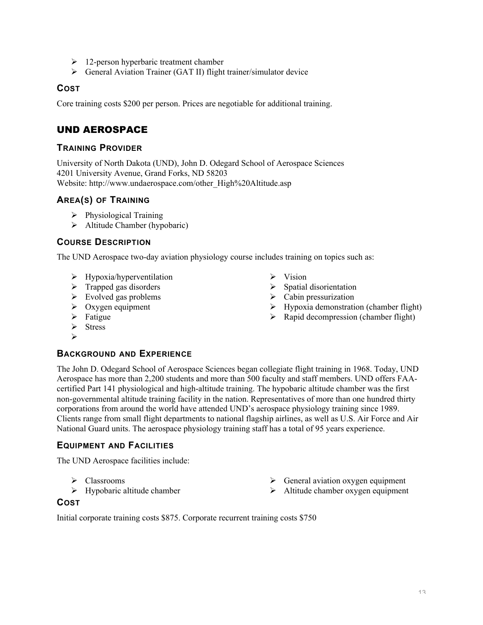- $\geq 12$ -person hyperbaric treatment chamber
- General Aviation Trainer (GAT II) flight trainer/simulator device

#### **COST**

Core training costs \$200 per person. Prices are negotiable for additional training.

# UND AEROSPACE

#### **TRAINING PROVIDER**

University of North Dakota (UND), John D. Odegard School of Aerospace Sciences 4201 University Avenue, Grand Forks, ND 58203 Website: http://www.undaerospace.com/other\_High%20Altitude.asp

#### **AREA(S) OF TRAINING**

- $\triangleright$  Physiological Training
- $\triangleright$  Altitude Chamber (hypobaric)

#### **COURSE DESCRIPTION**

The UND Aerospace two-day aviation physiology course includes training on topics such as:

- $\triangleright$  Hypoxia/hyperventilation
- $\triangleright$  Trapped gas disorders
- $\triangleright$  Evolved gas problems
- $\triangleright$  Oxygen equipment
- $\triangleright$  Fatigue
- $\triangleright$  Stress
- $\blacktriangleright$

#### **BACKGROUND AND EXPERIENCE**

The John D. Odegard School of Aerospace Sciences began collegiate flight training in 1968. Today, UND Aerospace has more than 2,200 students and more than 500 faculty and staff members. UND offers FAAcertified Part 141 physiological and high-altitude training. The hypobaric altitude chamber was the first non-governmental altitude training facility in the nation. Representatives of more than one hundred thirty corporations from around the world have attended UND's aerospace physiology training since 1989. Clients range from small flight departments to national flagship airlines, as well as U.S. Air Force and Air National Guard units. The aerospace physiology training staff has a total of 95 years experience.

#### **EQUIPMENT AND FACILITIES**

The UND Aerospace facilities include:

- $\triangleright$  Classrooms
- $\triangleright$  Hypobaric altitude chamber
- $\triangleright$  General aviation oxygen equipment
- > Altitude chamber oxygen equipment

#### **COST**

Initial corporate training costs \$875. Corporate recurrent training costs \$750

- $\triangleright$  Vision
- $\triangleright$  Spatial disorientation
- $\triangleright$  Cabin pressurization
- $\triangleright$  Hypoxia demonstration (chamber flight)
- $\triangleright$  Rapid decompression (chamber flight)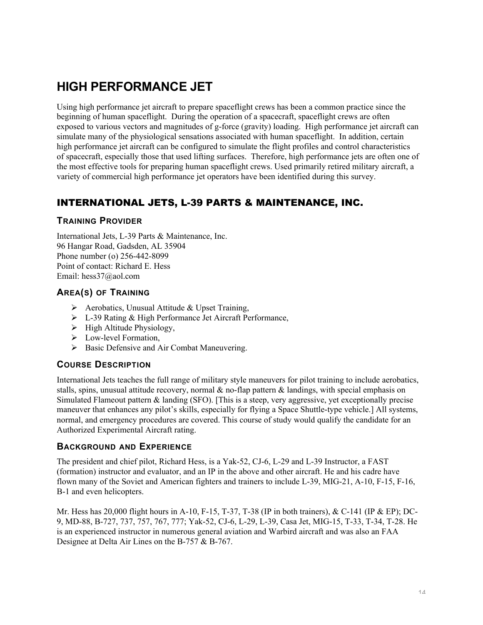# **HIGH PERFORMANCE JET**

Using high performance jet aircraft to prepare spaceflight crews has been a common practice since the beginning of human spaceflight. During the operation of a spacecraft, spaceflight crews are often exposed to various vectors and magnitudes of g-force (gravity) loading. High performance jet aircraft can simulate many of the physiological sensations associated with human spaceflight. In addition, certain high performance jet aircraft can be configured to simulate the flight profiles and control characteristics of spacecraft, especially those that used lifting surfaces. Therefore, high performance jets are often one of the most effective tools for preparing human spaceflight crews. Used primarily retired military aircraft, a variety of commercial high performance jet operators have been identified during this survey.

# INTERNATIONAL JETS, L-39 PARTS & MAINTENANCE, INC.

#### **TRAINING PROVIDER**

International Jets, L-39 Parts & Maintenance, Inc. 96 Hangar Road, Gadsden, AL 35904 Phone number (o) 256-442-8099 Point of contact: Richard E. Hess Email: hess37@aol.com

## **AREA(S) OF TRAINING**

- $\triangleright$  Aerobatics, Unusual Attitude & Upset Training,
- L-39 Rating & High Performance Jet Aircraft Performance,
- $\triangleright$  High Altitude Physiology,
- > Low-level Formation,
- $\triangleright$  Basic Defensive and Air Combat Maneuvering.

#### **COURSE DESCRIPTION**

International Jets teaches the full range of military style maneuvers for pilot training to include aerobatics, stalls, spins, unusual attitude recovery, normal  $\&$  no-flap pattern  $\&$  landings, with special emphasis on Simulated Flameout pattern & landing (SFO). [This is a steep, very aggressive, yet exceptionally precise maneuver that enhances any pilot's skills, especially for flying a Space Shuttle-type vehicle.] All systems, normal, and emergency procedures are covered. This course of study would qualify the candidate for an Authorized Experimental Aircraft rating.

#### **BACKGROUND AND EXPERIENCE**

The president and chief pilot, Richard Hess, is a Yak-52, CJ-6, L-29 and L-39 Instructor, a FAST (formation) instructor and evaluator, and an IP in the above and other aircraft. He and his cadre have flown many of the Soviet and American fighters and trainers to include L-39, MIG-21, A-10, F-15, F-16, B-1 and even helicopters.

Mr. Hess has 20,000 flight hours in A-10, F-15, T-37, T-38 (IP in both trainers), & C-141 (IP & EP); DC-9, MD-88, B-727, 737, 757, 767, 777; Yak-52, CJ-6, L-29, L-39, Casa Jet, MIG-15, T-33, T-34, T-28. He is an experienced instructor in numerous general aviation and Warbird aircraft and was also an FAA Designee at Delta Air Lines on the B-757 & B-767.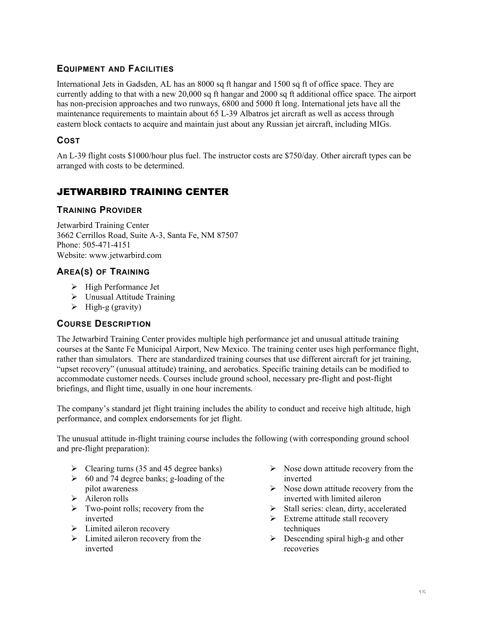## **EQUIPMENT AND FACILITIES**

International Jets in Gadsden, AL has an 8000 sq ft hangar and 1500 sq ft of office space. They are currently adding to that with a new 20,000 sq ft hangar and 2000 sq ft additional office space. The airport has non-precision approaches and two runways, 6800 and 5000 ft long. International jets have all the maintenance requirements to maintain about 65 L-39 Albatros jet aircraft as well as access through eastern block contacts to acquire and maintain just about any Russian jet aircraft, including MIGs.

## **COST**

An L-39 flight costs \$1000/hour plus fuel. The instructor costs are \$750/day. Other aircraft types can be arranged with costs to be determined.

# JETWARBIRD TRAINING CENTER

## **TRAINING PROVIDER**

Jetwarbird Training Center 3662 Cerrillos Road, Suite A-3, Santa Fe, NM 87507 Phone: 505-471-4151 Website: www.jetwarbird.com

## **AREA(S) OF TRAINING**

- $\triangleright$  High Performance Jet
- $\triangleright$  Unusual Attitude Training
- $\triangleright$  High-g (gravity)

#### **COURSE DESCRIPTION**

The Jetwarbird Training Center provides multiple high performance jet and unusual attitude training courses at the Sante Fe Municipal Airport, New Mexico. The training center uses high performance flight, rather than simulators. There are standardized training courses that use different aircraft for jet training, "upset recovery" (unusual attitude) training, and aerobatics. Specific training details can be modified to accommodate customer needs. Courses include ground school, necessary pre-flight and post-flight briefings, and flight time, usually in one hour increments.

The company's standard jet flight training includes the ability to conduct and receive high altitude, high performance, and complex endorsements for jet flight.

The unusual attitude in-flight training course includes the following (with corresponding ground school and pre-flight preparation):

- $\triangleright$  Clearing turns (35 and 45 degree banks)
- $\geq 60$  and 74 degree banks; g-loading of the pilot awareness
- $\triangleright$  Aileron rolls
- $\triangleright$  Two-point rolls; recovery from the inverted
- $\triangleright$  Limited aileron recovery
- $\triangleright$  Limited aileron recovery from the inverted
- $\triangleright$  Nose down attitude recovery from the inverted
- $\triangleright$  Nose down attitude recovery from the inverted with limited aileron
- $\triangleright$  Stall series: clean, dirty, accelerated
- $\triangleright$  Extreme attitude stall recovery techniques
- $\triangleright$  Descending spiral high-g and other recoveries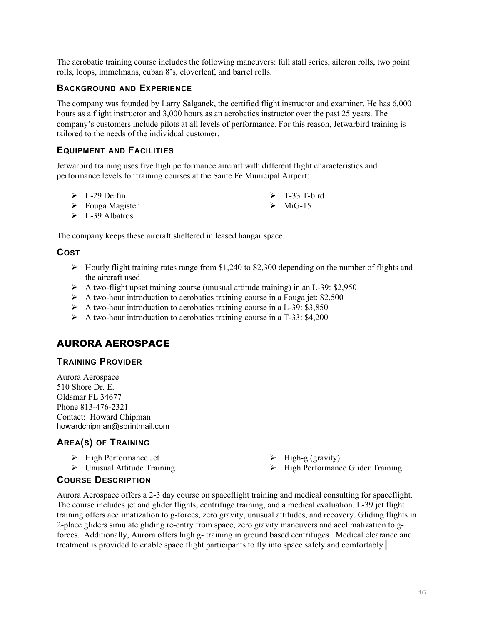The aerobatic training course includes the following maneuvers: full stall series, aileron rolls, two point rolls, loops, immelmans, cuban 8's, cloverleaf, and barrel rolls.

#### **BACKGROUND AND EXPERIENCE**

The company was founded by Larry Salganek, the certified flight instructor and examiner. He has 6,000 hours as a flight instructor and 3,000 hours as an aerobatics instructor over the past 25 years. The company's customers include pilots at all levels of performance. For this reason, Jetwarbird training is tailored to the needs of the individual customer.

#### **EQUIPMENT AND FACILITIES**

Jetwarbird training uses five high performance aircraft with different flight characteristics and performance levels for training courses at the Sante Fe Municipal Airport:

| $\triangleright$ L-29 Delfin    | $\triangleright$ T-33 T-bird |
|---------------------------------|------------------------------|
| $\triangleright$ Fouga Magister | $\triangleright$ MiG-15      |

 $\triangleright$  L-39 Albatros

The company keeps these aircraft sheltered in leased hangar space.

#### **COST**

- $\triangleright$  Hourly flight training rates range from \$1,240 to \$2,300 depending on the number of flights and the aircraft used
- A two-flight upset training course (unusual attitude training) in an L-39: \$2,950
- $\triangleright$  A two-hour introduction to aerobatics training course in a Fouga jet: \$2,500
- $\triangleright$  A two-hour introduction to aerobatics training course in a L-39: \$3,850
- $\triangleright$  A two-hour introduction to aerobatics training course in a T-33: \$4,200

## AURORA AEROSPACE

#### **TRAINING PROVIDER**

Aurora Aerospace 510 Shore Dr. E. Oldsmar FL 34677 Phone 813-476-2321 Contact: Howard Chipman howardchipman@sprintmail.com

#### **AREA(S) OF TRAINING**

- $\triangleright$  High Performance Jet
- Unusual Attitude Training
- $\triangleright$  High-g (gravity)
- $\triangleright$  High Performance Glider Training

#### **COURSE DESCRIPTION**

Aurora Aerospace offers a 2-3 day course on spaceflight training and medical consulting for spaceflight. The course includes jet and glider flights, centrifuge training, and a medical evaluation. L-39 jet flight training offers acclimatization to g-forces, zero gravity, unusual attitudes, and recovery. Gliding flights in 2-place gliders simulate gliding re-entry from space, zero gravity maneuvers and acclimatization to gforces. Additionally, Aurora offers high g- training in ground based centrifuges. Medical clearance and treatment is provided to enable space flight participants to fly into space safely and comfortably.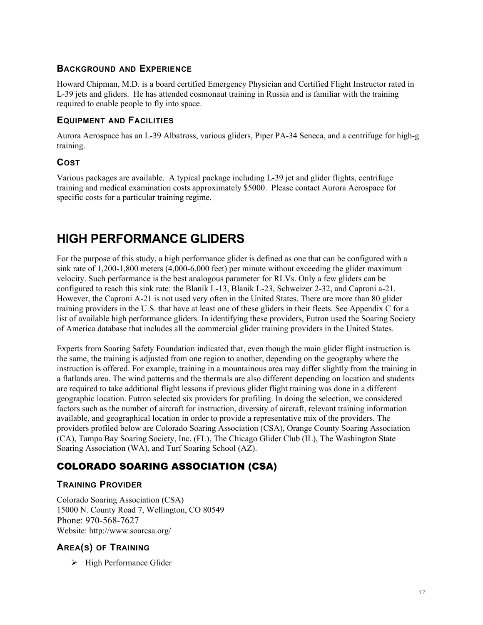#### **BACKGROUND AND EXPERIENCE**

Howard Chipman, M.D. is a board certified Emergency Physician and Certified Flight Instructor rated in L-39 jets and gliders. He has attended cosmonaut training in Russia and is familiar with the training required to enable people to fly into space.

#### **EQUIPMENT AND FACILITIES**

Aurora Aerospace has an L-39 Albatross, various gliders, Piper PA-34 Seneca, and a centrifuge for high-g training.

#### **COST**

Various packages are available. A typical package including L-39 jet and glider flights, centrifuge training and medical examination costs approximately \$5000. Please contact Aurora Aerospace for specific costs for a particular training regime.

# **HIGH PERFORMANCE GLIDERS**

For the purpose of this study, a high performance glider is defined as one that can be configured with a sink rate of 1,200-1,800 meters (4,000-6,000 feet) per minute without exceeding the glider maximum velocity. Such performance is the best analogous parameter for RLVs. Only a few gliders can be configured to reach this sink rate: the Blanik L-13, Blanik L-23, Schweizer 2-32, and Caproni a-21. However, the Caproni A-21 is not used very often in the United States. There are more than 80 glider training providers in the U.S. that have at least one of these gliders in their fleets. See Appendix C for a list of available high performance gliders. In identifying these providers, Futron used the Soaring Society of America database that includes all the commercial glider training providers in the United States.

Experts from Soaring Safety Foundation indicated that, even though the main glider flight instruction is the same, the training is adjusted from one region to another, depending on the geography where the instruction is offered. For example, training in a mountainous area may differ slightly from the training in a flatlands area. The wind patterns and the thermals are also different depending on location and students are required to take additional flight lessons if previous glider flight training was done in a different geographic location. Futron selected six providers for profiling. In doing the selection, we considered factors such as the number of aircraft for instruction, diversity of aircraft, relevant training information available, and geographical location in order to provide a representative mix of the providers. The providers profiled below are Colorado Soaring Association (CSA), Orange County Soaring Association (CA), Tampa Bay Soaring Society, Inc. (FL), The Chicago Glider Club (IL), The Washington State Soaring Association (WA), and Turf Soaring School (AZ).

# COLORADO SOARING ASSOCIATION (CSA)

#### **TRAINING PROVIDER**

Colorado Soaring Association (CSA) 15000 N. County Road 7, Wellington, CO 80549 Phone: 970-568-7627 Website: http://www.soarcsa.org/

#### **AREA(S) OF TRAINING**

 $\triangleright$  High Performance Glider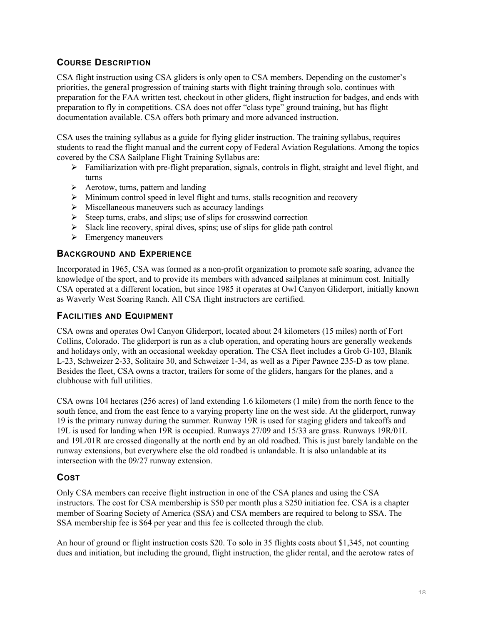## **COURSE DESCRIPTION**

CSA flight instruction using CSA gliders is only open to CSA members. Depending on the customer's priorities, the general progression of training starts with flight training through solo, continues with preparation for the FAA written test, checkout in other gliders, flight instruction for badges, and ends with preparation to fly in competitions. CSA does not offer "class type" ground training, but has flight documentation available. CSA offers both primary and more advanced instruction.

CSA uses the training syllabus as a guide for flying glider instruction. The training syllabus, requires students to read the flight manual and the current copy of Federal Aviation Regulations. Among the topics covered by the CSA Sailplane Flight Training Syllabus are:

- $\triangleright$  Familiarization with pre-flight preparation, signals, controls in flight, straight and level flight, and turns
- $\triangleright$  Aerotow, turns, pattern and landing
- $\triangleright$  Minimum control speed in level flight and turns, stalls recognition and recovery
- $\triangleright$  Miscellaneous maneuvers such as accuracy landings
- $\triangleright$  Steep turns, crabs, and slips; use of slips for crosswind correction
- $\triangleright$  Slack line recovery, spiral dives, spins; use of slips for glide path control
- $\triangleright$  Emergency maneuvers

## **BACKGROUND AND EXPERIENCE**

Incorporated in 1965, CSA was formed as a non-profit organization to promote safe soaring, advance the knowledge of the sport, and to provide its members with advanced sailplanes at minimum cost. Initially CSA operated at a different location, but since 1985 it operates at Owl Canyon Gliderport, initially known as Waverly West Soaring Ranch. All CSA flight instructors are certified.

#### **FACILITIES AND EQUIPMENT**

CSA owns and operates Owl Canyon Gliderport, located about 24 kilometers (15 miles) north of Fort Collins, Colorado. The gliderport is run as a club operation, and operating hours are generally weekends and holidays only, with an occasional weekday operation. The CSA fleet includes a Grob G-103, Blanik L-23, Schweizer 2-33, Solitaire 30, and Schweizer 1-34, as well as a Piper Pawnee 235-D as tow plane. Besides the fleet, CSA owns a tractor, trailers for some of the gliders, hangars for the planes, and a clubhouse with full utilities.

CSA owns 104 hectares (256 acres) of land extending 1.6 kilometers (1 mile) from the north fence to the south fence, and from the east fence to a varying property line on the west side. At the gliderport, runway 19 is the primary runway during the summer. Runway 19R is used for staging gliders and takeoffs and 19L is used for landing when 19R is occupied. Runways 27/09 and 15/33 are grass. Runways 19R/01L and 19L/01R are crossed diagonally at the north end by an old roadbed. This is just barely landable on the runway extensions, but everywhere else the old roadbed is unlandable. It is also unlandable at its intersection with the 09/27 runway extension.

#### **COST**

Only CSA members can receive flight instruction in one of the CSA planes and using the CSA instructors. The cost for CSA membership is \$50 per month plus a \$250 initiation fee. CSA is a chapter member of Soaring Society of America (SSA) and CSA members are required to belong to SSA. The SSA membership fee is \$64 per year and this fee is collected through the club.

An hour of ground or flight instruction costs \$20. To solo in 35 flights costs about \$1,345, not counting dues and initiation, but including the ground, flight instruction, the glider rental, and the aerotow rates of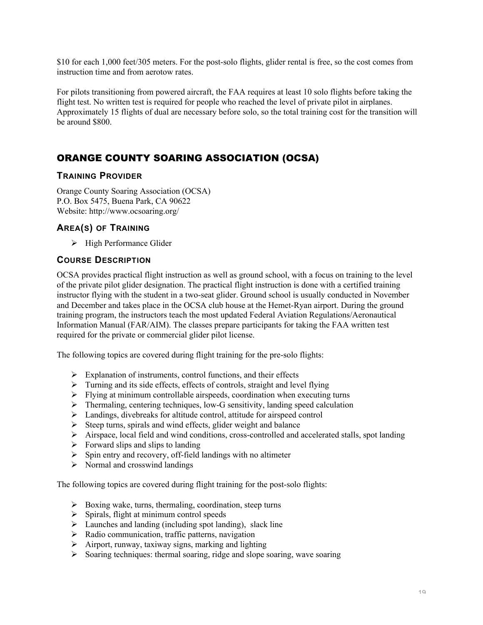\$10 for each 1,000 feet/305 meters. For the post-solo flights, glider rental is free, so the cost comes from instruction time and from aerotow rates.

For pilots transitioning from powered aircraft, the FAA requires at least 10 solo flights before taking the flight test. No written test is required for people who reached the level of private pilot in airplanes. Approximately 15 flights of dual are necessary before solo, so the total training cost for the transition will be around \$800.

# ORANGE COUNTY SOARING ASSOCIATION (OCSA)

#### **TRAINING PROVIDER**

Orange County Soaring Association (OCSA) P.O. Box 5475, Buena Park, CA 90622 Website: http://www.ocsoaring.org/

## **AREA(S) OF TRAINING**

 $\triangleright$  High Performance Glider

#### **COURSE DESCRIPTION**

OCSA provides practical flight instruction as well as ground school, with a focus on training to the level of the private pilot glider designation. The practical flight instruction is done with a certified training instructor flying with the student in a two-seat glider. Ground school is usually conducted in November and December and takes place in the OCSA club house at the Hemet-Ryan airport. During the ground training program, the instructors teach the most updated Federal Aviation Regulations/Aeronautical Information Manual (FAR/AIM). The classes prepare participants for taking the FAA written test required for the private or commercial glider pilot license.

The following topics are covered during flight training for the pre-solo flights:

- $\triangleright$  Explanation of instruments, control functions, and their effects
- $\triangleright$  Turning and its side effects, effects of controls, straight and level flying
- $\triangleright$  Flying at minimum controllable airspeeds, coordination when executing turns
- $\triangleright$  Thermaling, centering techniques, low-G sensitivity, landing speed calculation
- $\triangleright$  Landings, divebreaks for altitude control, attitude for airspeed control
- $\triangleright$  Steep turns, spirals and wind effects, glider weight and balance
- $\triangleright$  Airspace, local field and wind conditions, cross-controlled and accelerated stalls, spot landing
- $\triangleright$  Forward slips and slips to landing
- $\triangleright$  Spin entry and recovery, off-field landings with no altimeter
- $\triangleright$  Normal and crosswind landings

The following topics are covered during flight training for the post-solo flights:

- $\triangleright$  Boxing wake, turns, thermaling, coordination, steep turns
- $\triangleright$  Spirals, flight at minimum control speeds
- $\triangleright$  Launches and landing (including spot landing), slack line
- $\triangleright$  Radio communication, traffic patterns, navigation
- $\triangleright$  Airport, runway, taxiway signs, marking and lighting
- $\triangleright$  Soaring techniques: thermal soaring, ridge and slope soaring, wave soaring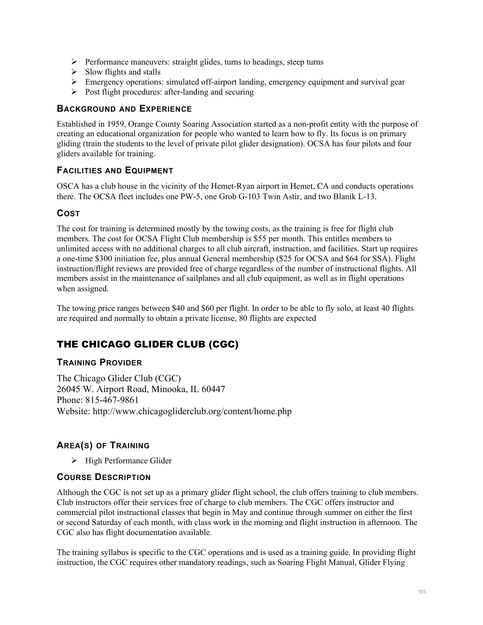- $\triangleright$  Performance maneuvers: straight glides, turns to headings, steep turns
- $\triangleright$  Slow flights and stalls
- $\triangleright$  Emergency operations: simulated off-airport landing, emergency equipment and survival gear
- $\triangleright$  Post flight procedures: after-landing and securing

#### **BACKGROUND AND EXPERIENCE**

Established in 1959, Orange County Soaring Association started as a non-profit entity with the purpose of creating an educational organization for people who wanted to learn how to fly. Its focus is on primary gliding (train the students to the level of private pilot glider designation). OCSA has four pilots and four gliders available for training.

#### **FACILITIES AND EQUIPMENT**

OSCA has a club house in the vicinity of the Hemet-Ryan airport in Hemet, CA and conducts operations there. The OCSA fleet includes one PW-5, one Grob G-103 Twin Astir, and two Blanik L-13.

#### **COST**

The cost for training is determined mostly by the towing costs, as the training is free for flight club members. The cost for OCSA Flight Club membership is \$55 per month. This entitles members to unlimited access with no additional charges to all club aircraft, instruction, and facilities. Start up requires a one-time \$300 initiation fee, plus annual General membership (\$25 for OCSA and \$64 for SSA). Flight instruction/flight reviews are provided free of charge regardless of the number of instructional flights. All members assist in the maintenance of sailplanes and all club equipment, as well as in flight operations when assigned.

The towing price ranges between \$40 and \$60 per flight. In order to be able to fly solo, at least 40 flights are required and normally to obtain a private license, 80 flights are expected

# THE CHICAGO GLIDER CLUB (CGC)

#### **TRAINING PROVIDER**

The Chicago Glider Club (CGC) 26045 W. Airport Road, Minooka, IL 60447 Phone: 815-467-9861 Website: http://www.chicagogliderclub.org/content/home.php

## **AREA(S) OF TRAINING**

 $\triangleright$  High Performance Glider

#### **COURSE DESCRIPTION**

Although the CGC is not set up as a primary glider flight school, the club offers training to club members. Club instructors offer their services free of charge to club members. The CGC offers instructor and commercial pilot instructional classes that begin in May and continue through summer on either the first or second Saturday of each month, with class work in the morning and flight instruction in afternoon. The CGC also has flight documentation available.

The training syllabus is specific to the CGC operations and is used as a training guide. In providing flight instruction, the CGC requires other mandatory readings, such as Soaring Flight Manual, Glider Flying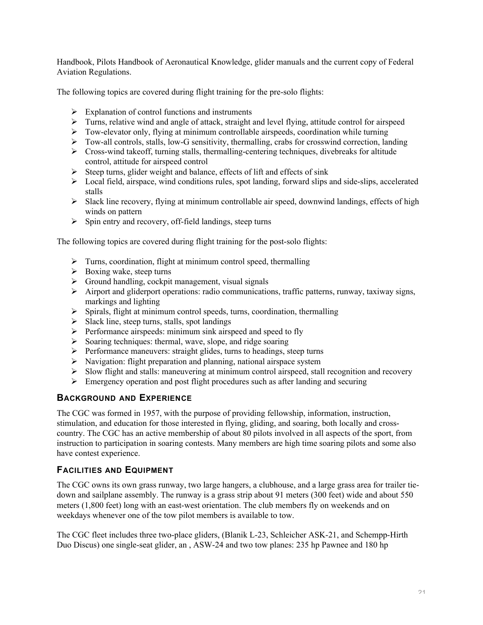Handbook, Pilots Handbook of Aeronautical Knowledge, glider manuals and the current copy of Federal Aviation Regulations.

The following topics are covered during flight training for the pre-solo flights:

- $\triangleright$  Explanation of control functions and instruments
- $\triangleright$  Turns, relative wind and angle of attack, straight and level flying, attitude control for airspeed
- $\triangleright$  Tow-elevator only, flying at minimum controllable airspeeds, coordination while turning
- Tow-all controls, stalls, low-G sensitivity, thermalling, crabs for crosswind correction, landing
- $\triangleright$  Cross-wind takeoff, turning stalls, thermalling-centering techniques, divebreaks for altitude control, attitude for airspeed control
- $\triangleright$  Steep turns, glider weight and balance, effects of lift and effects of sink
- Local field, airspace, wind conditions rules, spot landing, forward slips and side-slips, accelerated stalls
- $\triangleright$  Slack line recovery, flying at minimum controllable air speed, downwind landings, effects of high winds on pattern
- $\triangleright$  Spin entry and recovery, off-field landings, steep turns

The following topics are covered during flight training for the post-solo flights:

- $\triangleright$  Turns, coordination, flight at minimum control speed, thermalling
- $\triangleright$  Boxing wake, steep turns
- $\triangleright$  Ground handling, cockpit management, visual signals
- $\triangleright$  Airport and gliderport operations: radio communications, traffic patterns, runway, taxiway signs, markings and lighting
- $\triangleright$  Spirals, flight at minimum control speeds, turns, coordination, thermalling
- $\triangleright$  Slack line, steep turns, stalls, spot landings
- $\triangleright$  Performance airspeeds: minimum sink airspeed and speed to fly
- $\triangleright$  Soaring techniques: thermal, wave, slope, and ridge soaring
- $\triangleright$  Performance maneuvers: straight glides, turns to headings, steep turns
- $\triangleright$  Navigation: flight preparation and planning, national airspace system
- $\triangleright$  Slow flight and stalls: maneuvering at minimum control airspeed, stall recognition and recovery
- $\triangleright$  Emergency operation and post flight procedures such as after landing and securing

## **BACKGROUND AND EXPERIENCE**

The CGC was formed in 1957, with the purpose of providing fellowship, information, instruction, stimulation, and education for those interested in flying, gliding, and soaring, both locally and crosscountry. The CGC has an active membership of about 80 pilots involved in all aspects of the sport, from instruction to participation in soaring contests. Many members are high time soaring pilots and some also have contest experience.

#### **FACILITIES AND EQUIPMENT**

The CGC owns its own grass runway, two large hangers, a clubhouse, and a large grass area for trailer tiedown and sailplane assembly. The runway is a grass strip about 91 meters (300 feet) wide and about 550 meters (1,800 feet) long with an east-west orientation. The club members fly on weekends and on weekdays whenever one of the tow pilot members is available to tow.

The CGC fleet includes three two-place gliders, (Blanik L-23, Schleicher ASK-21, and Schempp-Hirth Duo Discus) one single-seat glider, an , ASW-24 and two tow planes: 235 hp Pawnee and 180 hp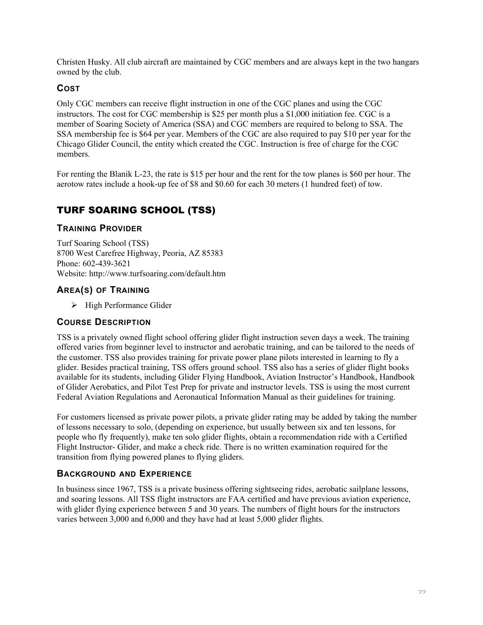Christen Husky. All club aircraft are maintained by CGC members and are always kept in the two hangars owned by the club.

## **COST**

Only CGC members can receive flight instruction in one of the CGC planes and using the CGC instructors. The cost for CGC membership is \$25 per month plus a \$1,000 initiation fee. CGC is a member of Soaring Society of America (SSA) and CGC members are required to belong to SSA. The SSA membership fee is \$64 per year. Members of the CGC are also required to pay \$10 per year for the Chicago Glider Council, the entity which created the CGC. Instruction is free of charge for the CGC members.

For renting the Blanik L-23, the rate is \$15 per hour and the rent for the tow planes is \$60 per hour. The aerotow rates include a hook-up fee of \$8 and \$0.60 for each 30 meters (1 hundred feet) of tow.

# TURF SOARING SCHOOL (TSS)

## **TRAINING PROVIDER**

Turf Soaring School (TSS) 8700 West Carefree Highway, Peoria, AZ 85383 Phone: 602-439-3621 Website: http://www.turfsoaring.com/default.htm

## **AREA(S) OF TRAINING**

 $\triangleright$  High Performance Glider

## **COURSE DESCRIPTION**

TSS is a privately owned flight school offering glider flight instruction seven days a week. The training offered varies from beginner level to instructor and aerobatic training, and can be tailored to the needs of the customer. TSS also provides training for private power plane pilots interested in learning to fly a glider. Besides practical training, TSS offers ground school. TSS also has a series of glider flight books available for its students, including Glider Flying Handbook, Aviation Instructor's Handbook, Handbook of Glider Aerobatics, and Pilot Test Prep for private and instructor levels. TSS is using the most current Federal Aviation Regulations and Aeronautical Information Manual as their guidelines for training.

For customers licensed as private power pilots, a private glider rating may be added by taking the number of lessons necessary to solo, (depending on experience, but usually between six and ten lessons, for people who fly frequently), make ten solo glider flights, obtain a recommendation ride with a Certified Flight Instructor- Glider, and make a check ride. There is no written examination required for the transition from flying powered planes to flying gliders.

## **BACKGROUND AND EXPERIENCE**

In business since 1967, TSS is a private business offering sightseeing rides, aerobatic sailplane lessons, and soaring lessons. All TSS flight instructors are FAA certified and have previous aviation experience, with glider flying experience between 5 and 30 years. The numbers of flight hours for the instructors varies between 3,000 and 6,000 and they have had at least 5,000 glider flights.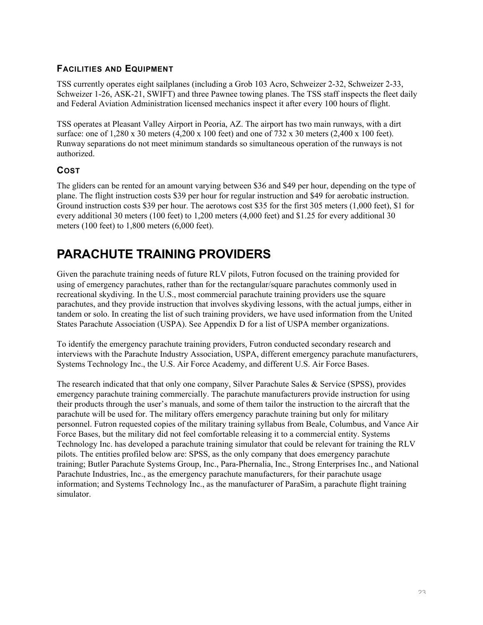## **FACILITIES AND EQUIPMENT**

TSS currently operates eight sailplanes (including a Grob 103 Acro, Schweizer 2-32, Schweizer 2-33, Schweizer 1-26, ASK-21, SWIFT) and three Pawnee towing planes. The TSS staff inspects the fleet daily and Federal Aviation Administration licensed mechanics inspect it after every 100 hours of flight.

TSS operates at Pleasant Valley Airport in Peoria, AZ. The airport has two main runways, with a dirt surface: one of 1,280 x 30 meters (4,200 x 100 feet) and one of 732 x 30 meters (2,400 x 100 feet). Runway separations do not meet minimum standards so simultaneous operation of the runways is not authorized.

## **COST**

The gliders can be rented for an amount varying between \$36 and \$49 per hour, depending on the type of plane. The flight instruction costs \$39 per hour for regular instruction and \$49 for aerobatic instruction. Ground instruction costs \$39 per hour. The aerotows cost \$35 for the first 305 meters (1,000 feet), \$1 for every additional 30 meters (100 feet) to 1,200 meters (4,000 feet) and \$1.25 for every additional 30 meters (100 feet) to 1,800 meters (6,000 feet).

# **PARACHUTE TRAINING PROVIDERS**

Given the parachute training needs of future RLV pilots, Futron focused on the training provided for using of emergency parachutes, rather than for the rectangular/square parachutes commonly used in recreational skydiving. In the U.S., most commercial parachute training providers use the square parachutes, and they provide instruction that involves skydiving lessons, with the actual jumps, either in tandem or solo. In creating the list of such training providers, we have used information from the United States Parachute Association (USPA). See Appendix D for a list of USPA member organizations.

To identify the emergency parachute training providers, Futron conducted secondary research and interviews with the Parachute Industry Association, USPA, different emergency parachute manufacturers, Systems Technology Inc., the U.S. Air Force Academy, and different U.S. Air Force Bases.

The research indicated that that only one company, Silver Parachute Sales & Service (SPSS), provides emergency parachute training commercially. The parachute manufacturers provide instruction for using their products through the user's manuals, and some of them tailor the instruction to the aircraft that the parachute will be used for. The military offers emergency parachute training but only for military personnel. Futron requested copies of the military training syllabus from Beale, Columbus, and Vance Air Force Bases, but the military did not feel comfortable releasing it to a commercial entity. Systems Technology Inc. has developed a parachute training simulator that could be relevant for training the RLV pilots. The entities profiled below are: SPSS, as the only company that does emergency parachute training; Butler Parachute Systems Group, Inc., Para-Phernalia, Inc., Strong Enterprises Inc., and National Parachute Industries, Inc., as the emergency parachute manufacturers, for their parachute usage information; and Systems Technology Inc., as the manufacturer of ParaSim, a parachute flight training simulator.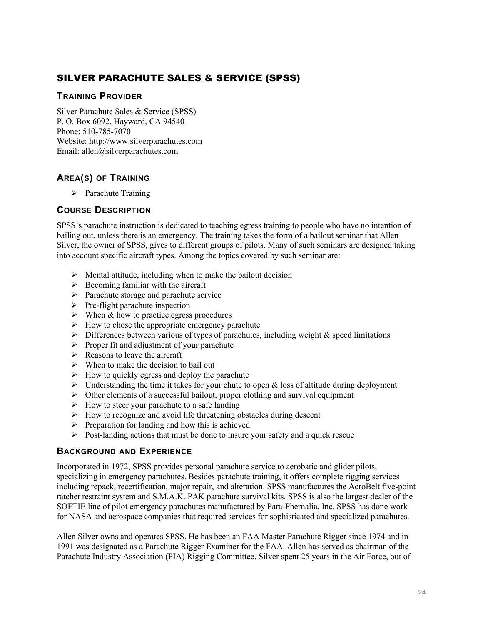# SILVER PARACHUTE SALES & SERVICE (SPSS)

#### **TRAINING PROVIDER**

Silver Parachute Sales & Service (SPSS) P. O. Box 6092, Hayward, CA 94540 Phone: 510-785-7070 Website: http://www.silverparachutes.com Email: allen@silverparachutes.com

# **AREA(S) OF TRAINING**

 $\triangleright$  Parachute Training

## **COURSE DESCRIPTION**

SPSS's parachute instruction is dedicated to teaching egress training to people who have no intention of bailing out, unless there is an emergency. The training takes the form of a bailout seminar that Allen Silver, the owner of SPSS, gives to different groups of pilots. Many of such seminars are designed taking into account specific aircraft types. Among the topics covered by such seminar are:

- $\triangleright$  Mental attitude, including when to make the bailout decision
- $\triangleright$  Becoming familiar with the aircraft
- $\triangleright$  Parachute storage and parachute service
- $\triangleright$  Pre-flight parachute inspection
- $\triangleright$  When & how to practice egress procedures
- $\triangleright$  How to chose the appropriate emergency parachute
- $\triangleright$  Differences between various of types of parachutes, including weight & speed limitations
- $\triangleright$  Proper fit and adjustment of your parachute
- $\triangleright$  Reasons to leave the aircraft
- $\triangleright$  When to make the decision to bail out
- $\triangleright$  How to quickly egress and deploy the parachute
- $\triangleright$  Understanding the time it takes for your chute to open & loss of altitude during deployment
- $\triangleright$  Other elements of a successful bailout, proper clothing and survival equipment
- $\triangleright$  How to steer your parachute to a safe landing
- $\triangleright$  How to recognize and avoid life threatening obstacles during descent
- $\triangleright$  Preparation for landing and how this is achieved
- $\triangleright$  Post-landing actions that must be done to insure your safety and a quick rescue

## **BACKGROUND AND EXPERIENCE**

Incorporated in 1972, SPSS provides personal parachute service to aerobatic and glider pilots, specializing in emergency parachutes. Besides parachute training, it offers complete rigging services including repack, recertification, major repair, and alteration. SPSS manufactures the AcroBelt five-point ratchet restraint system and S.M.A.K. PAK parachute survival kits. SPSS is also the largest dealer of the SOFTIE line of pilot emergency parachutes manufactured by Para-Phernalia, Inc. SPSS has done work for NASA and aerospace companies that required services for sophisticated and specialized parachutes.

Allen Silver owns and operates SPSS. He has been an FAA Master Parachute Rigger since 1974 and in 1991 was designated as a Parachute Rigger Examiner for the FAA. Allen has served as chairman of the Parachute Industry Association (PIA) Rigging Committee. Silver spent 25 years in the Air Force, out of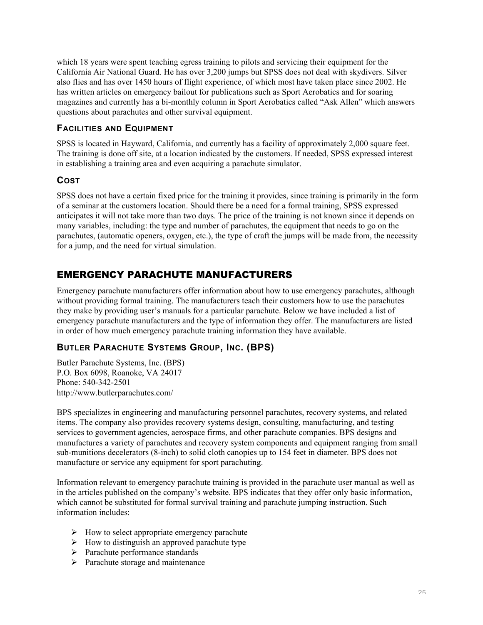which 18 years were spent teaching egress training to pilots and servicing their equipment for the California Air National Guard. He has over 3,200 jumps but SPSS does not deal with skydivers. Silver also flies and has over 1450 hours of flight experience, of which most have taken place since 2002. He has written articles on emergency bailout for publications such as Sport Aerobatics and for soaring magazines and currently has a bi-monthly column in Sport Aerobatics called "Ask Allen" which answers questions about parachutes and other survival equipment.

#### **FACILITIES AND EQUIPMENT**

SPSS is located in Hayward, California, and currently has a facility of approximately 2,000 square feet. The training is done off site, at a location indicated by the customers. If needed, SPSS expressed interest in establishing a training area and even acquiring a parachute simulator.

## **COST**

SPSS does not have a certain fixed price for the training it provides, since training is primarily in the form of a seminar at the customers location. Should there be a need for a formal training, SPSS expressed anticipates it will not take more than two days. The price of the training is not known since it depends on many variables, including: the type and number of parachutes, the equipment that needs to go on the parachutes, (automatic openers, oxygen, etc.), the type of craft the jumps will be made from, the necessity for a jump, and the need for virtual simulation.

# EMERGENCY PARACHUTE MANUFACTURERS

Emergency parachute manufacturers offer information about how to use emergency parachutes, although without providing formal training. The manufacturers teach their customers how to use the parachutes they make by providing user's manuals for a particular parachute. Below we have included a list of emergency parachute manufacturers and the type of information they offer. The manufacturers are listed in order of how much emergency parachute training information they have available.

# **BUTLER PARACHUTE SYSTEMS GROUP, INC. (BPS)**

Butler Parachute Systems, Inc. (BPS) P.O. Box 6098, Roanoke, VA 24017 Phone: 540-342-2501 http://www.butlerparachutes.com/

BPS specializes in engineering and manufacturing personnel parachutes, recovery systems, and related items. The company also provides recovery systems design, consulting, manufacturing, and testing services to government agencies, aerospace firms, and other parachute companies. BPS designs and manufactures a variety of parachutes and recovery system components and equipment ranging from small sub-munitions decelerators (8-inch) to solid cloth canopies up to 154 feet in diameter. BPS does not manufacture or service any equipment for sport parachuting.

Information relevant to emergency parachute training is provided in the parachute user manual as well as in the articles published on the company's website. BPS indicates that they offer only basic information, which cannot be substituted for formal survival training and parachute jumping instruction. Such information includes:

- $\triangleright$  How to select appropriate emergency parachute
- $\triangleright$  How to distinguish an approved parachute type
- $\triangleright$  Parachute performance standards
- $\triangleright$  Parachute storage and maintenance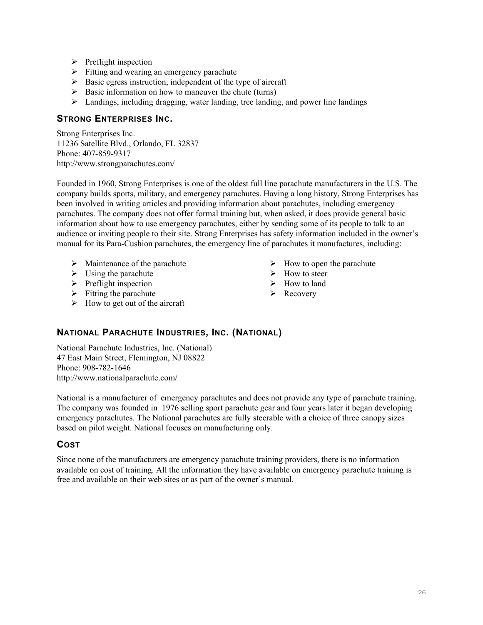- $\triangleright$  Preflight inspection
- $\triangleright$  Fitting and wearing an emergency parachute
- $\triangleright$  Basic egress instruction, independent of the type of aircraft
- $\triangleright$  Basic information on how to maneuver the chute (turns)
- $\triangleright$  Landings, including dragging, water landing, tree landing, and power line landings

#### **STRONG ENTERPRISES INC.**

Strong Enterprises Inc. 11236 Satellite Blvd., Orlando, FL 32837 Phone: 407-859-9317 http://www.strongparachutes.com/

Founded in 1960, Strong Enterprises is one of the oldest full line parachute manufacturers in the U.S. The company builds sports, military, and emergency parachutes. Having a long history, Strong Enterprises has been involved in writing articles and providing information about parachutes, including emergency parachutes. The company does not offer formal training but, when asked, it does provide general basic information about how to use emergency parachutes, either by sending some of its people to talk to an audience or inviting people to their site. Strong Enterprises has safety information included in the owner's manual for its Para-Cushion parachutes, the emergency line of parachutes it manufactures, including:

- $\triangleright$  Maintenance of the parachute
- $\triangleright$  Using the parachute
- $\triangleright$  Preflight inspection
- $\triangleright$  Fitting the parachute
- $\triangleright$  How to get out of the aircraft
- $\triangleright$  How to open the parachute
- $\triangleright$  How to steer
- $\triangleright$  How to land
- $\triangleright$  Recovery

## **NATIONAL PARACHUTE INDUSTRIES, INC. (NATIONAL)**

National Parachute Industries, Inc. (National) 47 East Main Street, Flemington, NJ 08822 Phone: 908-782-1646 http://www.nationalparachute.com/

National is a manufacturer of emergency parachutes and does not provide any type of parachute training. The company was founded in 1976 selling sport parachute gear and four years later it began developing emergency parachutes. The National parachutes are fully steerable with a choice of three canopy sizes based on pilot weight. National focuses on manufacturing only.

## **COST**

Since none of the manufacturers are emergency parachute training providers, there is no information available on cost of training. All the information they have available on emergency parachute training is free and available on their web sites or as part of the owner's manual.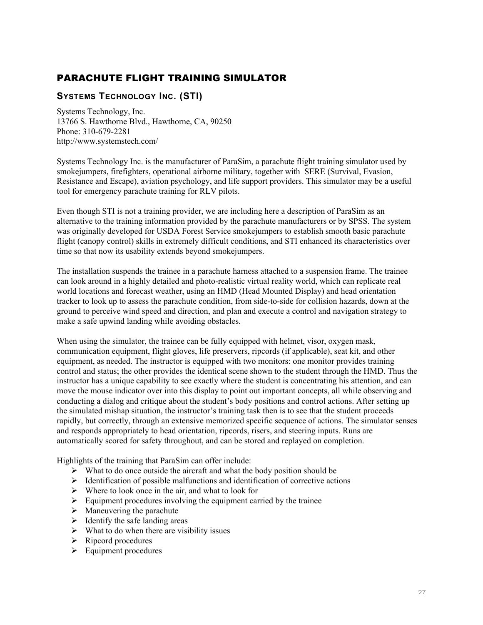# PARACHUTE FLIGHT TRAINING SIMULATOR

## **SYSTEMS TECHNOLOGY INC. (STI)**

Systems Technology, Inc. 13766 S. Hawthorne Blvd., Hawthorne, CA, 90250 Phone: 310-679-2281 http://www.systemstech.com/

Systems Technology Inc. is the manufacturer of ParaSim, a parachute flight training simulator used by smokejumpers, firefighters, operational airborne military, together with SERE (Survival, Evasion, Resistance and Escape), aviation psychology, and life support providers. This simulator may be a useful tool for emergency parachute training for RLV pilots.

Even though STI is not a training provider, we are including here a description of ParaSim as an alternative to the training information provided by the parachute manufacturers or by SPSS. The system was originally developed for USDA Forest Service smokejumpers to establish smooth basic parachute flight (canopy control) skills in extremely difficult conditions, and STI enhanced its characteristics over time so that now its usability extends beyond smokejumpers.

The installation suspends the trainee in a parachute harness attached to a suspension frame. The trainee can look around in a highly detailed and photo-realistic virtual reality world, which can replicate real world locations and forecast weather, using an HMD (Head Mounted Display) and head orientation tracker to look up to assess the parachute condition, from side-to-side for collision hazards, down at the ground to perceive wind speed and direction, and plan and execute a control and navigation strategy to make a safe upwind landing while avoiding obstacles.

When using the simulator, the trainee can be fully equipped with helmet, visor, oxygen mask, communication equipment, flight gloves, life preservers, ripcords (if applicable), seat kit, and other equipment, as needed. The instructor is equipped with two monitors: one monitor provides training control and status; the other provides the identical scene shown to the student through the HMD. Thus the instructor has a unique capability to see exactly where the student is concentrating his attention, and can move the mouse indicator over into this display to point out important concepts, all while observing and conducting a dialog and critique about the student's body positions and control actions. After setting up the simulated mishap situation, the instructor's training task then is to see that the student proceeds rapidly, but correctly, through an extensive memorized specific sequence of actions. The simulator senses and responds appropriately to head orientation, ripcords, risers, and steering inputs. Runs are automatically scored for safety throughout, and can be stored and replayed on completion.

Highlights of the training that ParaSim can offer include:

- $\triangleright$  What to do once outside the aircraft and what the body position should be
- $\triangleright$  Identification of possible malfunctions and identification of corrective actions
- $\triangleright$  Where to look once in the air, and what to look for
- $\triangleright$  Equipment procedures involving the equipment carried by the trainee
- $\triangleright$  Maneuvering the parachute
- $\triangleright$  Identify the safe landing areas
- $\triangleright$  What to do when there are visibility issues
- $\triangleright$  Ripcord procedures
- $\triangleright$  Equipment procedures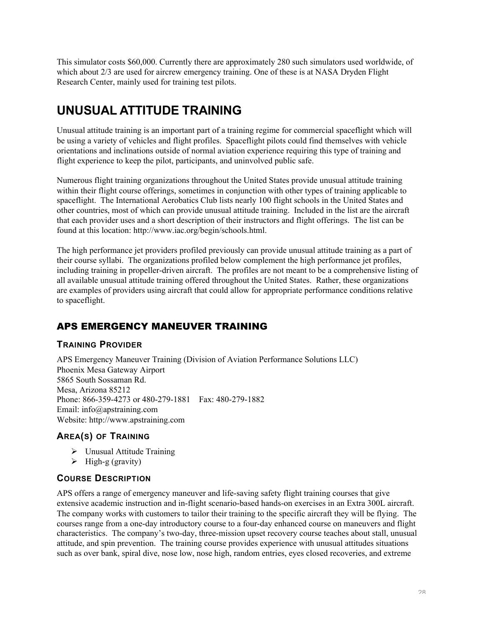This simulator costs \$60,000. Currently there are approximately 280 such simulators used worldwide, of which about 2/3 are used for aircrew emergency training. One of these is at NASA Dryden Flight Research Center, mainly used for training test pilots.

# **UNUSUAL ATTITUDE TRAINING**

Unusual attitude training is an important part of a training regime for commercial spaceflight which will be using a variety of vehicles and flight profiles. Spaceflight pilots could find themselves with vehicle orientations and inclinations outside of normal aviation experience requiring this type of training and flight experience to keep the pilot, participants, and uninvolved public safe.

Numerous flight training organizations throughout the United States provide unusual attitude training within their flight course offerings, sometimes in conjunction with other types of training applicable to spaceflight. The International Aerobatics Club lists nearly 100 flight schools in the United States and other countries, most of which can provide unusual attitude training. Included in the list are the aircraft that each provider uses and a short description of their instructors and flight offerings. The list can be found at this location: http://www.iac.org/begin/schools.html.

The high performance jet providers profiled previously can provide unusual attitude training as a part of their course syllabi. The organizations profiled below complement the high performance jet profiles, including training in propeller-driven aircraft. The profiles are not meant to be a comprehensive listing of all available unusual attitude training offered throughout the United States. Rather, these organizations are examples of providers using aircraft that could allow for appropriate performance conditions relative to spaceflight.

# APS EMERGENCY MANEUVER TRAINING

## **TRAINING PROVIDER**

APS Emergency Maneuver Training (Division of Aviation Performance Solutions LLC) Phoenix Mesa Gateway Airport 5865 South Sossaman Rd. Mesa, Arizona 85212 Phone: 866-359-4273 or 480-279-1881 Fax: 480-279-1882 Email: info@apstraining.com Website: http://www.apstraining.com

# **AREA(S) OF TRAINING**

- Unusual Attitude Training
- $\triangleright$  High-g (gravity)

## **COURSE DESCRIPTION**

APS offers a range of emergency maneuver and life-saving safety flight training courses that give extensive academic instruction and in-flight scenario-based hands-on exercises in an Extra 300L aircraft. The company works with customers to tailor their training to the specific aircraft they will be flying. The courses range from a one-day introductory course to a four-day enhanced course on maneuvers and flight characteristics. The company's two-day, three-mission upset recovery course teaches about stall, unusual attitude, and spin prevention. The training course provides experience with unusual attitudes situations such as over bank, spiral dive, nose low, nose high, random entries, eyes closed recoveries, and extreme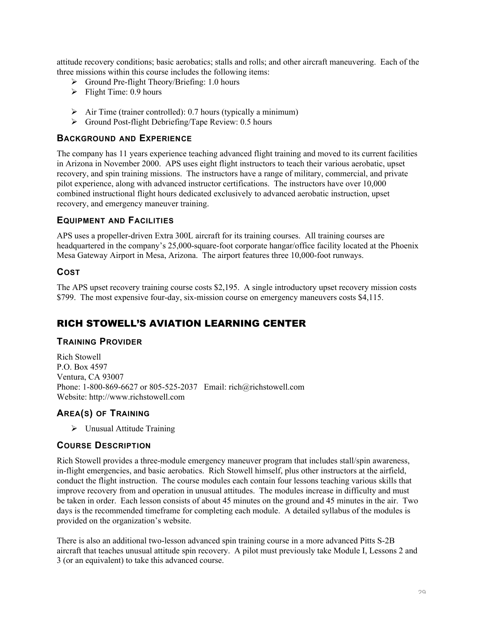attitude recovery conditions; basic aerobatics; stalls and rolls; and other aircraft maneuvering. Each of the three missions within this course includes the following items:

- $\triangleright$  Ground Pre-flight Theory/Briefing: 1.0 hours
- $\triangleright$  Flight Time: 0.9 hours
- $\triangleright$  Air Time (trainer controlled): 0.7 hours (typically a minimum)
- $\triangleright$  Ground Post-flight Debriefing/Tape Review: 0.5 hours

#### **BACKGROUND AND EXPERIENCE**

The company has 11 years experience teaching advanced flight training and moved to its current facilities in Arizona in November 2000. APS uses eight flight instructors to teach their various aerobatic, upset recovery, and spin training missions. The instructors have a range of military, commercial, and private pilot experience, along with advanced instructor certifications. The instructors have over 10,000 combined instructional flight hours dedicated exclusively to advanced aerobatic instruction, upset recovery, and emergency maneuver training.

#### **EQUIPMENT AND FACILITIES**

APS uses a propeller-driven Extra 300L aircraft for its training courses. All training courses are headquartered in the company's 25,000-square-foot corporate hangar/office facility located at the Phoenix Mesa Gateway Airport in Mesa, Arizona. The airport features three 10,000-foot runways.

#### **COST**

The APS upset recovery training course costs \$2,195. A single introductory upset recovery mission costs \$799. The most expensive four-day, six-mission course on emergency maneuvers costs \$4,115.

# RICH STOWELL'S AVIATION LEARNING CENTER

#### **TRAINING PROVIDER**

Rich Stowell P.O. Box 4597 Ventura, CA 93007 Phone: 1-800-869-6627 or 805-525-2037 Email: rich@richstowell.com Website: http://www.richstowell.com

## **AREA(S) OF TRAINING**

Unusual Attitude Training

#### **COURSE DESCRIPTION**

Rich Stowell provides a three-module emergency maneuver program that includes stall/spin awareness, in-flight emergencies, and basic aerobatics. Rich Stowell himself, plus other instructors at the airfield, conduct the flight instruction. The course modules each contain four lessons teaching various skills that improve recovery from and operation in unusual attitudes. The modules increase in difficulty and must be taken in order. Each lesson consists of about 45 minutes on the ground and 45 minutes in the air. Two days is the recommended timeframe for completing each module. A detailed syllabus of the modules is provided on the organization's website.

There is also an additional two-lesson advanced spin training course in a more advanced Pitts S-2B aircraft that teaches unusual attitude spin recovery. A pilot must previously take Module I, Lessons 2 and 3 (or an equivalent) to take this advanced course.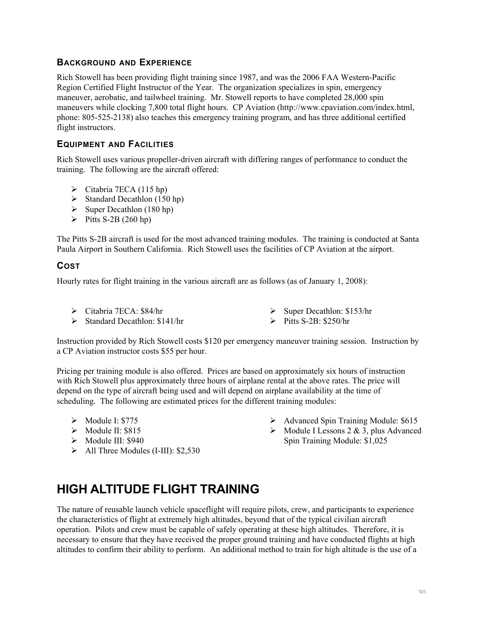## **BACKGROUND AND EXPERIENCE**

Rich Stowell has been providing flight training since 1987, and was the 2006 FAA Western-Pacific Region Certified Flight Instructor of the Year. The organization specializes in spin, emergency maneuver, aerobatic, and tailwheel training. Mr. Stowell reports to have completed 28,000 spin maneuvers while clocking 7,800 total flight hours. CP Aviation (http://www.cpaviation.com/index.html, phone: 805-525-2138) also teaches this emergency training program, and has three additional certified flight instructors.

#### **EQUIPMENT AND FACILITIES**

Rich Stowell uses various propeller-driven aircraft with differing ranges of performance to conduct the training. The following are the aircraft offered:

- $\triangleright$  Citabria 7ECA (115 hp)
- $\triangleright$  Standard Decathlon (150 hp)
- $\triangleright$  Super Decathlon (180 hp)
- $\triangleright$  Pitts S-2B (260 hp)

The Pitts S-2B aircraft is used for the most advanced training modules. The training is conducted at Santa Paula Airport in Southern California. Rich Stowell uses the facilities of CP Aviation at the airport.

## **COST**

Hourly rates for flight training in the various aircraft are as follows (as of January 1, 2008):

- Citabria 7ECA: \$84/hr
- $\triangleright$  Standard Decathlon: \$141/hr
- $\triangleright$  Super Decathlon: \$153/hr
- $\triangleright$  Pitts S-2B: \$250/hr

Instruction provided by Rich Stowell costs \$120 per emergency maneuver training session. Instruction by a CP Aviation instructor costs \$55 per hour.

Pricing per training module is also offered. Prices are based on approximately six hours of instruction with Rich Stowell plus approximately three hours of airplane rental at the above rates. The price will depend on the type of aircraft being used and will depend on airplane availability at the time of scheduling. The following are estimated prices for the different training modules:

- $\triangleright$  Module I: \$775
- $\triangleright$  Module II: \$815
- $\blacktriangleright$  Module III: \$940
- $\blacktriangleright$  All Three Modules (I-III): \$2,530
- Advanced Spin Training Module: \$615
- $\triangleright$  Module I Lessons 2 & 3, plus Advanced Spin Training Module: \$1,025

# **HIGH ALTITUDE FLIGHT TRAINING**

The nature of reusable launch vehicle spaceflight will require pilots, crew, and participants to experience the characteristics of flight at extremely high altitudes, beyond that of the typical civilian aircraft operation. Pilots and crew must be capable of safely operating at these high altitudes. Therefore, it is necessary to ensure that they have received the proper ground training and have conducted flights at high altitudes to confirm their ability to perform. An additional method to train for high altitude is the use of a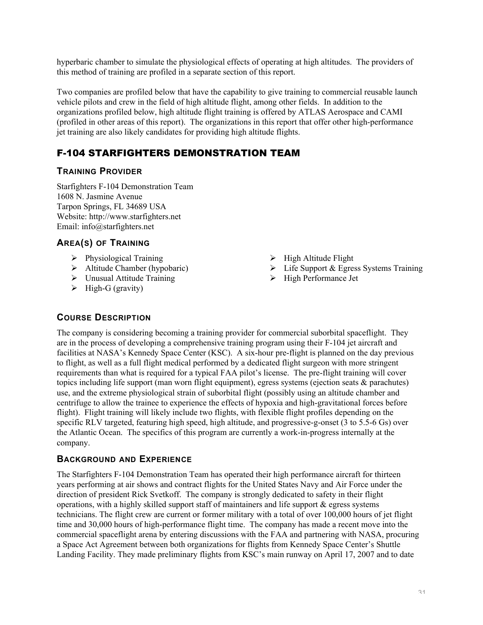hyperbaric chamber to simulate the physiological effects of operating at high altitudes. The providers of this method of training are profiled in a separate section of this report.

Two companies are profiled below that have the capability to give training to commercial reusable launch vehicle pilots and crew in the field of high altitude flight, among other fields. In addition to the organizations profiled below, high altitude flight training is offered by ATLAS Aerospace and CAMI (profiled in other areas of this report). The organizations in this report that offer other high-performance jet training are also likely candidates for providing high altitude flights.

# F-104 STARFIGHTERS DEMONSTRATION TEAM

## **TRAINING PROVIDER**

Starfighters F-104 Demonstration Team 1608 N. Jasmine Avenue Tarpon Springs, FL 34689 USA Website: http://www.starfighters.net Email: info@starfighters.net

# **AREA(S) OF TRAINING**

- $\triangleright$  Physiological Training
- $\triangleright$  Altitude Chamber (hypobaric)
- $\triangleright$  Unusual Attitude Training
- $\triangleright$  High-G (gravity)
- $\triangleright$  High Altitude Flight
- $\triangleright$  Life Support & Egress Systems Training
- $\triangleright$  High Performance Jet

# **COURSE DESCRIPTION**

The company is considering becoming a training provider for commercial suborbital spaceflight. They are in the process of developing a comprehensive training program using their F-104 jet aircraft and facilities at NASA's Kennedy Space Center (KSC). A six-hour pre-flight is planned on the day previous to flight, as well as a full flight medical performed by a dedicated flight surgeon with more stringent requirements than what is required for a typical FAA pilot's license. The pre-flight training will cover topics including life support (man worn flight equipment), egress systems (ejection seats & parachutes) use, and the extreme physiological strain of suborbital flight (possibly using an altitude chamber and centrifuge to allow the trainee to experience the effects of hypoxia and high-gravitational forces before flight). Flight training will likely include two flights, with flexible flight profiles depending on the specific RLV targeted, featuring high speed, high altitude, and progressive-g-onset (3 to 5.5-6 Gs) over the Atlantic Ocean. The specifics of this program are currently a work-in-progress internally at the company.

## **BACKGROUND AND EXPERIENCE**

The Starfighters F-104 Demonstration Team has operated their high performance aircraft for thirteen years performing at air shows and contract flights for the United States Navy and Air Force under the direction of president Rick Svetkoff. The company is strongly dedicated to safety in their flight operations, with a highly skilled support staff of maintainers and life support  $\&$  egress systems technicians. The flight crew are current or former military with a total of over 100,000 hours of jet flight time and 30,000 hours of high-performance flight time. The company has made a recent move into the commercial spaceflight arena by entering discussions with the FAA and partnering with NASA, procuring a Space Act Agreement between both organizations for flights from Kennedy Space Center's Shuttle Landing Facility. They made preliminary flights from KSC's main runway on April 17, 2007 and to date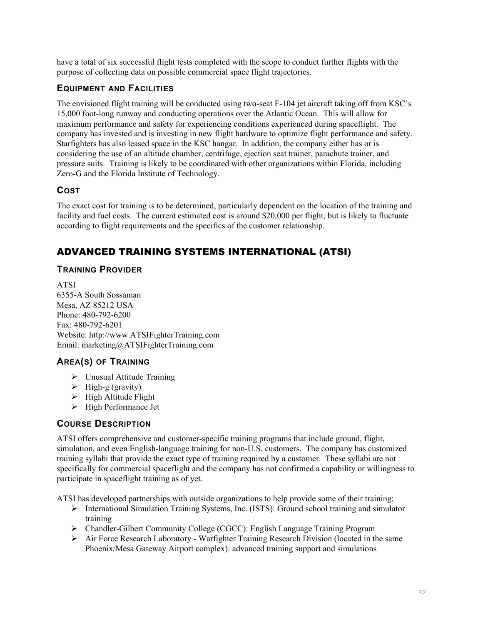have a total of six successful flight tests completed with the scope to conduct further flights with the purpose of collecting data on possible commercial space flight trajectories.

## **EQUIPMENT AND FACILITIES**

The envisioned flight training will be conducted using two-seat F-104 jet aircraft taking off from KSC's 15,000 foot-long runway and conducting operations over the Atlantic Ocean. This will allow for maximum performance and safety for experiencing conditions experienced during spaceflight. The company has invested and is investing in new flight hardware to optimize flight performance and safety. Starfighters has also leased space in the KSC hangar. In addition, the company either has or is considering the use of an altitude chamber, centrifuge, ejection seat trainer, parachute trainer, and pressure suits. Training is likely to be coordinated with other organizations within Florida, including Zero-G and the Florida Institute of Technology.

## **COST**

The exact cost for training is to be determined, particularly dependent on the location of the training and facility and fuel costs. The current estimated cost is around \$20,000 per flight, but is likely to fluctuate according to flight requirements and the specifics of the customer relationship.

# ADVANCED TRAINING SYSTEMS INTERNATIONAL (ATSI)

## **TRAINING PROVIDER**

ATSI 6355-A South Sossaman Mesa, AZ 85212 USA Phone: 480-792-6200 Fax: 480-792-6201 Website: http://www.ATSIFighterTraining.com Email: marketing@ATSIFighterTraining.com

# **AREA(S) OF TRAINING**

- $\triangleright$  Unusual Attitude Training
- $\triangleright$  High-g (gravity)
- $\triangleright$  High Altitude Flight
- $\triangleright$  High Performance Jet

## **COURSE DESCRIPTION**

ATSI offers comprehensive and customer-specific training programs that include ground, flight, simulation, and even English-language training for non-U.S. customers. The company has customized training syllabi that provide the exact type of training required by a customer. These syllabi are not specifically for commercial spaceflight and the company has not confirmed a capability or willingness to participate in spaceflight training as of yet.

ATSI has developed partnerships with outside organizations to help provide some of their training:

- International Simulation Training Systems, Inc. (ISTS): Ground school training and simulator training
- Chandler-Gilbert Community College (CGCC): English Language Training Program
- Air Force Research Laboratory Warfighter Training Research Division (located in the same Phoenix/Mesa Gateway Airport complex): advanced training support and simulations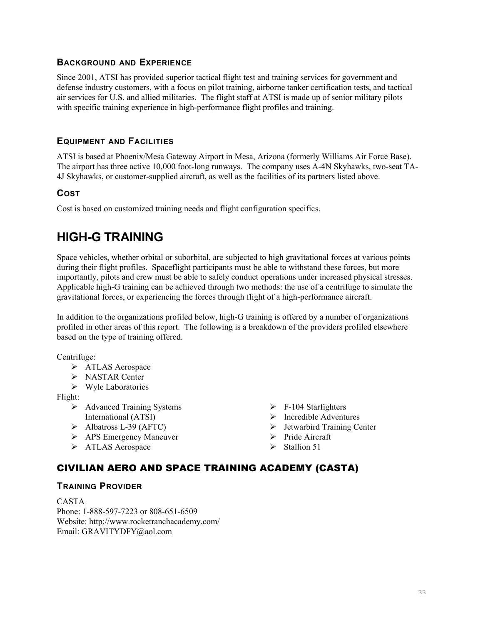#### **BACKGROUND AND EXPERIENCE**

Since 2001, ATSI has provided superior tactical flight test and training services for government and defense industry customers, with a focus on pilot training, airborne tanker certification tests, and tactical air services for U.S. and allied militaries. The flight staff at ATSI is made up of senior military pilots with specific training experience in high-performance flight profiles and training.

#### **EQUIPMENT AND FACILITIES**

ATSI is based at Phoenix/Mesa Gateway Airport in Mesa, Arizona (formerly Williams Air Force Base). The airport has three active 10,000 foot-long runways. The company uses A-4N Skyhawks, two-seat TA-4J Skyhawks, or customer-supplied aircraft, as well as the facilities of its partners listed above.

#### **COST**

Cost is based on customized training needs and flight configuration specifics.

# **HIGH-G TRAINING**

Space vehicles, whether orbital or suborbital, are subjected to high gravitational forces at various points during their flight profiles. Spaceflight participants must be able to withstand these forces, but more importantly, pilots and crew must be able to safely conduct operations under increased physical stresses. Applicable high-G training can be achieved through two methods: the use of a centrifuge to simulate the gravitational forces, or experiencing the forces through flight of a high-performance aircraft.

In addition to the organizations profiled below, high-G training is offered by a number of organizations profiled in other areas of this report. The following is a breakdown of the providers profiled elsewhere based on the type of training offered.

Centrifuge:

- > ATLAS Aerospace
- > NASTAR Center
- $\triangleright$  Wyle Laboratories

Flight:

- Advanced Training Systems International (ATSI)
- $\blacktriangleright$  Albatross L-39 (AFTC)
- APS Emergency Maneuver
- > ATLAS Aerospace
- $\triangleright$  F-104 Starfighters
- $\triangleright$  Incredible Adventures
- $\triangleright$  Jetwarbird Training Center
- $\triangleright$  Pride Aircraft
- $\triangleright$  Stallion 51

# CIVILIAN AERO AND SPACE TRAINING ACADEMY (CASTA)

#### **TRAINING PROVIDER**

CASTA Phone: 1-888-597-7223 or 808-651-6509 Website: http://www.rocketranchacademy.com/ Email: GRAVITYDFY@aol.com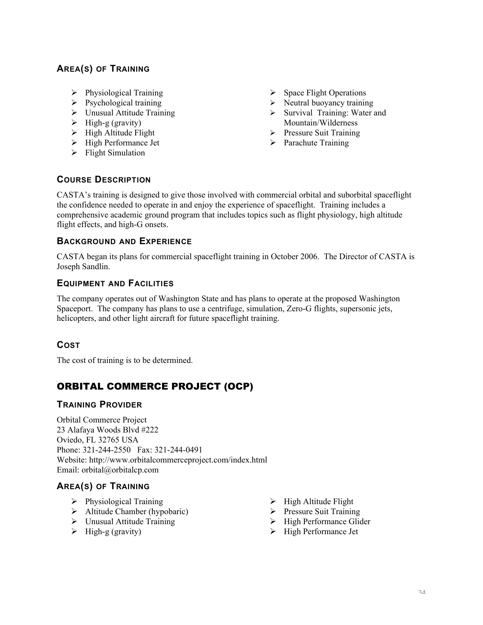# **AREA(S) OF TRAINING**

- $\triangleright$  Physiological Training
- $\triangleright$  Psychological training
- $\triangleright$  Unusual Attitude Training
- $\triangleright$  High-g (gravity)
- $\triangleright$  High Altitude Flight
- > High Performance Jet
- $\triangleright$  Flight Simulation
- $\triangleright$  Space Flight Operations
- $\triangleright$  Neutral buoyancy training
- $\triangleright$  Survival Training: Water and Mountain/Wilderness
- $\triangleright$  Pressure Suit Training
- $\triangleright$  Parachute Training

## **COURSE DESCRIPTION**

CASTA's training is designed to give those involved with commercial orbital and suborbital spaceflight the confidence needed to operate in and enjoy the experience of spaceflight. Training includes a comprehensive academic ground program that includes topics such as flight physiology, high altitude flight effects, and high-G onsets.

## **BACKGROUND AND EXPERIENCE**

CASTA began its plans for commercial spaceflight training in October 2006. The Director of CASTA is Joseph Sandlin.

## **EQUIPMENT AND FACILITIES**

The company operates out of Washington State and has plans to operate at the proposed Washington Spaceport. The company has plans to use a centrifuge, simulation, Zero-G flights, supersonic jets, helicopters, and other light aircraft for future spaceflight training.

## **COST**

The cost of training is to be determined.

# ORBITAL COMMERCE PROJECT (OCP)

#### **TRAINING PROVIDER**

Orbital Commerce Project 23 Alafaya Woods Blvd #222 Oviedo, FL 32765 USA Phone: 321-244-2550 Fax: 321-244-0491 Website: http://www.orbitalcommerceproject.com/index.html Email: orbital@orbitalcp.com

## **AREA(S) OF TRAINING**

- $\triangleright$  Physiological Training
- $\triangleright$  Altitude Chamber (hypobaric)
- Unusual Attitude Training
- $\triangleright$  High-g (gravity)
- $\triangleright$  High Altitude Flight
- $\triangleright$  Pressure Suit Training
- $\triangleright$  High Performance Glider
- $\triangleright$  High Performance Jet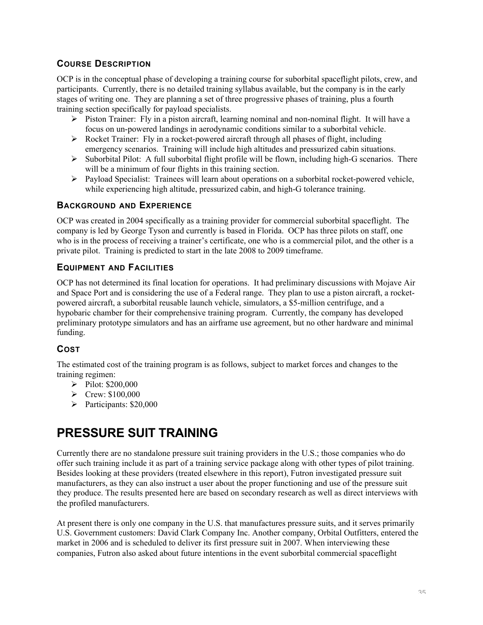## **COURSE DESCRIPTION**

OCP is in the conceptual phase of developing a training course for suborbital spaceflight pilots, crew, and participants. Currently, there is no detailed training syllabus available, but the company is in the early stages of writing one. They are planning a set of three progressive phases of training, plus a fourth training section specifically for payload specialists.

- $\triangleright$  Piston Trainer: Fly in a piston aircraft, learning nominal and non-nominal flight. It will have a focus on un-powered landings in aerodynamic conditions similar to a suborbital vehicle.
- Rocket Trainer: Fly in a rocket-powered aircraft through all phases of flight, including emergency scenarios. Training will include high altitudes and pressurized cabin situations.
- $\triangleright$  Suborbital Pilot: A full suborbital flight profile will be flown, including high-G scenarios. There will be a minimum of four flights in this training section.
- Payload Specialist: Trainees will learn about operations on a suborbital rocket-powered vehicle, while experiencing high altitude, pressurized cabin, and high-G tolerance training.

#### **BACKGROUND AND EXPERIENCE**

OCP was created in 2004 specifically as a training provider for commercial suborbital spaceflight. The company is led by George Tyson and currently is based in Florida. OCP has three pilots on staff, one who is in the process of receiving a trainer's certificate, one who is a commercial pilot, and the other is a private pilot. Training is predicted to start in the late 2008 to 2009 timeframe.

## **EQUIPMENT AND FACILITIES**

OCP has not determined its final location for operations. It had preliminary discussions with Mojave Air and Space Port and is considering the use of a Federal range. They plan to use a piston aircraft, a rocketpowered aircraft, a suborbital reusable launch vehicle, simulators, a \$5-million centrifuge, and a hypobaric chamber for their comprehensive training program. Currently, the company has developed preliminary prototype simulators and has an airframe use agreement, but no other hardware and minimal funding.

## **COST**

The estimated cost of the training program is as follows, subject to market forces and changes to the training regimen:

- $\blacktriangleright$  Pilot: \$200,000
- $\triangleright$  Crew: \$100,000
- $\triangleright$  Participants: \$20,000

# **PRESSURE SUIT TRAINING**

Currently there are no standalone pressure suit training providers in the U.S.; those companies who do offer such training include it as part of a training service package along with other types of pilot training. Besides looking at these providers (treated elsewhere in this report), Futron investigated pressure suit manufacturers, as they can also instruct a user about the proper functioning and use of the pressure suit they produce. The results presented here are based on secondary research as well as direct interviews with the profiled manufacturers.

At present there is only one company in the U.S. that manufactures pressure suits, and it serves primarily U.S. Government customers: David Clark Company Inc. Another company, Orbital Outfitters, entered the market in 2006 and is scheduled to deliver its first pressure suit in 2007. When interviewing these companies, Futron also asked about future intentions in the event suborbital commercial spaceflight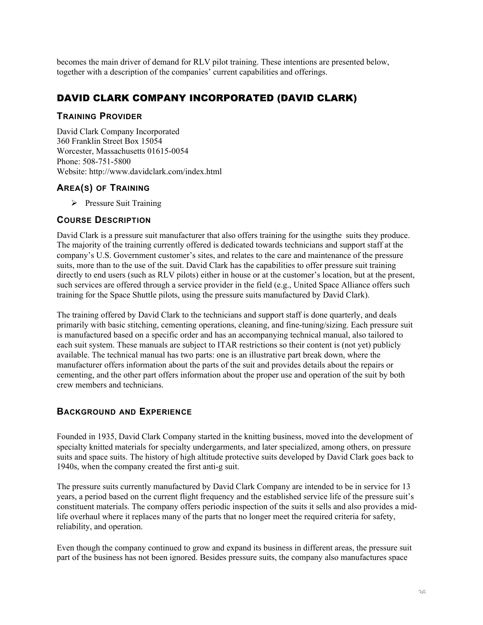becomes the main driver of demand for RLV pilot training. These intentions are presented below, together with a description of the companies' current capabilities and offerings.

# DAVID CLARK COMPANY INCORPORATED (DAVID CLARK)

#### **TRAINING PROVIDER**

David Clark Company Incorporated 360 Franklin Street Box 15054 Worcester, Massachusetts 01615-0054 Phone: 508-751-5800 Website: http://www.davidclark.com/index.html

## **AREA(S) OF TRAINING**

 $\triangleright$  Pressure Suit Training

## **COURSE DESCRIPTION**

David Clark is a pressure suit manufacturer that also offers training for the usingthe suits they produce. The majority of the training currently offered is dedicated towards technicians and support staff at the company's U.S. Government customer's sites, and relates to the care and maintenance of the pressure suits, more than to the use of the suit. David Clark has the capabilities to offer pressure suit training directly to end users (such as RLV pilots) either in house or at the customer's location, but at the present, such services are offered through a service provider in the field (e.g., United Space Alliance offers such training for the Space Shuttle pilots, using the pressure suits manufactured by David Clark).

The training offered by David Clark to the technicians and support staff is done quarterly, and deals primarily with basic stitching, cementing operations, cleaning, and fine-tuning/sizing. Each pressure suit is manufactured based on a specific order and has an accompanying technical manual, also tailored to each suit system. These manuals are subject to ITAR restrictions so their content is (not yet) publicly available. The technical manual has two parts: one is an illustrative part break down, where the manufacturer offers information about the parts of the suit and provides details about the repairs or cementing, and the other part offers information about the proper use and operation of the suit by both crew members and technicians.

# **BACKGROUND AND EXPERIENCE**

Founded in 1935, David Clark Company started in the knitting business, moved into the development of specialty knitted materials for specialty undergarments, and later specialized, among others, on pressure suits and space suits. The history of high altitude protective suits developed by David Clark goes back to 1940s, when the company created the first anti-g suit.

The pressure suits currently manufactured by David Clark Company are intended to be in service for 13 years, a period based on the current flight frequency and the established service life of the pressure suit's constituent materials. The company offers periodic inspection of the suits it sells and also provides a midlife overhaul where it replaces many of the parts that no longer meet the required criteria for safety, reliability, and operation.

Even though the company continued to grow and expand its business in different areas, the pressure suit part of the business has not been ignored. Besides pressure suits, the company also manufactures space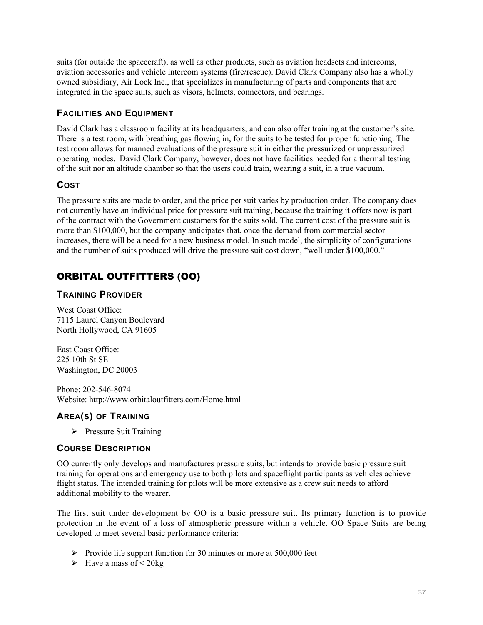suits (for outside the spacecraft), as well as other products, such as aviation headsets and intercoms, aviation accessories and vehicle intercom systems (fire/rescue). David Clark Company also has a wholly owned subsidiary, Air Lock Inc., that specializes in manufacturing of parts and components that are integrated in the space suits, such as visors, helmets, connectors, and bearings.

## **FACILITIES AND EQUIPMENT**

David Clark has a classroom facility at its headquarters, and can also offer training at the customer's site. There is a test room, with breathing gas flowing in, for the suits to be tested for proper functioning. The test room allows for manned evaluations of the pressure suit in either the pressurized or unpressurized operating modes. David Clark Company, however, does not have facilities needed for a thermal testing of the suit nor an altitude chamber so that the users could train, wearing a suit, in a true vacuum.

## **COST**

The pressure suits are made to order, and the price per suit varies by production order. The company does not currently have an individual price for pressure suit training, because the training it offers now is part of the contract with the Government customers for the suits sold. The current cost of the pressure suit is more than \$100,000, but the company anticipates that, once the demand from commercial sector increases, there will be a need for a new business model. In such model, the simplicity of configurations and the number of suits produced will drive the pressure suit cost down, "well under \$100,000."

# ORBITAL OUTFITTERS (OO)

## **TRAINING PROVIDER**

West Coast Office: 7115 Laurel Canyon Boulevard North Hollywood, CA 91605

East Coast Office: 225 10th St SE Washington, DC 20003

Phone: 202-546-8074 Website: http://www.orbitaloutfitters.com/Home.html

## **AREA(S) OF TRAINING**

 $\triangleright$  Pressure Suit Training

## **COURSE DESCRIPTION**

OO currently only develops and manufactures pressure suits, but intends to provide basic pressure suit training for operations and emergency use to both pilots and spaceflight participants as vehicles achieve flight status. The intended training for pilots will be more extensive as a crew suit needs to afford additional mobility to the wearer.

The first suit under development by OO is a basic pressure suit. Its primary function is to provide protection in the event of a loss of atmospheric pressure within a vehicle. OO Space Suits are being developed to meet several basic performance criteria:

- Provide life support function for 30 minutes or more at  $500,000$  feet
- $\blacktriangleright$  Have a mass of  $\lt$  20 kg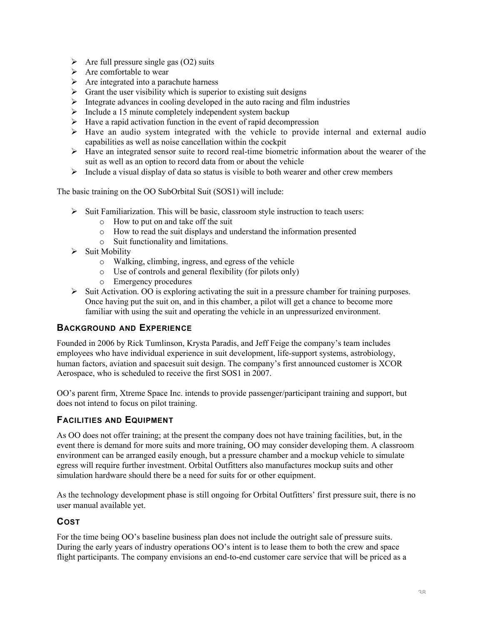- $\triangleright$  Are full pressure single gas (O2) suits
- $\triangleright$  Are comfortable to wear
- $\triangleright$  Are integrated into a parachute harness
- $\triangleright$  Grant the user visibility which is superior to existing suit designs
- $\triangleright$  Integrate advances in cooling developed in the auto racing and film industries
- $\triangleright$  Include a 15 minute completely independent system backup
- $\triangleright$  Have a rapid activation function in the event of rapid decompression
- $\triangleright$  Have an audio system integrated with the vehicle to provide internal and external audio capabilities as well as noise cancellation within the cockpit
- $\triangleright$  Have an integrated sensor suite to record real-time biometric information about the wearer of the suit as well as an option to record data from or about the vehicle
- $\triangleright$  Include a visual display of data so status is visible to both wearer and other crew members

The basic training on the OO SubOrbital Suit (SOS1) will include:

- $\triangleright$  Suit Familiarization. This will be basic, classroom style instruction to teach users:
	- o How to put on and take off the suit
	- o How to read the suit displays and understand the information presented
	- o Suit functionality and limitations.
- $\triangleright$  Suit Mobility
	- o Walking, climbing, ingress, and egress of the vehicle
	- o Use of controls and general flexibility (for pilots only)
	- o Emergency procedures
- $\triangleright$  Suit Activation. OO is exploring activating the suit in a pressure chamber for training purposes. Once having put the suit on, and in this chamber, a pilot will get a chance to become more familiar with using the suit and operating the vehicle in an unpressurized environment.

#### **BACKGROUND AND EXPERIENCE**

Founded in 2006 by Rick Tumlinson, Krysta Paradis, and Jeff Feige the company's team includes employees who have individual experience in suit development, life-support systems, astrobiology, human factors, aviation and spacesuit suit design. The company's first announced customer is XCOR Aerospace, who is scheduled to receive the first SOS1 in 2007.

OO's parent firm, Xtreme Space Inc. intends to provide passenger/participant training and support, but does not intend to focus on pilot training.

#### **FACILITIES AND EQUIPMENT**

As OO does not offer training; at the present the company does not have training facilities, but, in the event there is demand for more suits and more training, OO may consider developing them. A classroom environment can be arranged easily enough, but a pressure chamber and a mockup vehicle to simulate egress will require further investment. Orbital Outfitters also manufactures mockup suits and other simulation hardware should there be a need for suits for or other equipment.

As the technology development phase is still ongoing for Orbital Outfitters' first pressure suit, there is no user manual available yet.

#### **COST**

For the time being OO's baseline business plan does not include the outright sale of pressure suits. During the early years of industry operations OO's intent is to lease them to both the crew and space flight participants. The company envisions an end-to-end customer care service that will be priced as a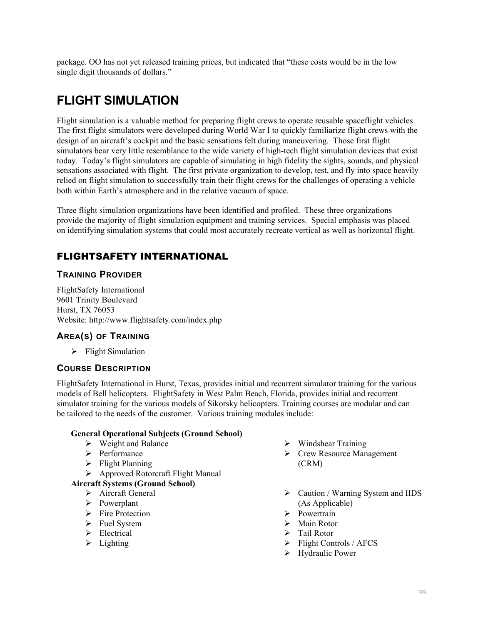package. OO has not yet released training prices, but indicated that "these costs would be in the low single digit thousands of dollars."

# **FLIGHT SIMULATION**

Flight simulation is a valuable method for preparing flight crews to operate reusable spaceflight vehicles. The first flight simulators were developed during World War I to quickly familiarize flight crews with the design of an aircraft's cockpit and the basic sensations felt during maneuvering. Those first flight simulators bear very little resemblance to the wide variety of high-tech flight simulation devices that exist today. Today's flight simulators are capable of simulating in high fidelity the sights, sounds, and physical sensations associated with flight. The first private organization to develop, test, and fly into space heavily relied on flight simulation to successfully train their flight crews for the challenges of operating a vehicle both within Earth's atmosphere and in the relative vacuum of space.

Three flight simulation organizations have been identified and profiled. These three organizations provide the majority of flight simulation equipment and training services. Special emphasis was placed on identifying simulation systems that could most accurately recreate vertical as well as horizontal flight.

# FLIGHTSAFETY INTERNATIONAL

#### **TRAINING PROVIDER**

FlightSafety International 9601 Trinity Boulevard Hurst, TX 76053 Website: http://www.flightsafety.com/index.php

## **AREA(S) OF TRAINING**

 $\triangleright$  Flight Simulation

## **COURSE DESCRIPTION**

FlightSafety International in Hurst, Texas, provides initial and recurrent simulator training for the various models of Bell helicopters. FlightSafety in West Palm Beach, Florida, provides initial and recurrent simulator training for the various models of Sikorsky helicopters. Training courses are modular and can be tailored to the needs of the customer. Various training modules include:

#### General Operational Subjects (Ground School)

- $\triangleright$  Weight and Balance
- > Performance
- $\triangleright$  Flight Planning
- Approved Rotorcraft Flight Manual

#### Aircraft Systems (Ground School)

- > Aircraft General
- Powerplant
- $\triangleright$  Fire Protection
- $\triangleright$  Fuel System
- $\blacktriangleright$  Electrical
- $\triangleright$  Lighting
- $\triangleright$  Windshear Training
- Crew Resource Management (CRM)
- $\triangleright$  Caution / Warning System and IIDS (As Applicable)
- $\triangleright$  Powertrain
- $\triangleright$  Main Rotor
- > Tail Rotor
- $\triangleright$  Flight Controls / AFCS
- Hydraulic Power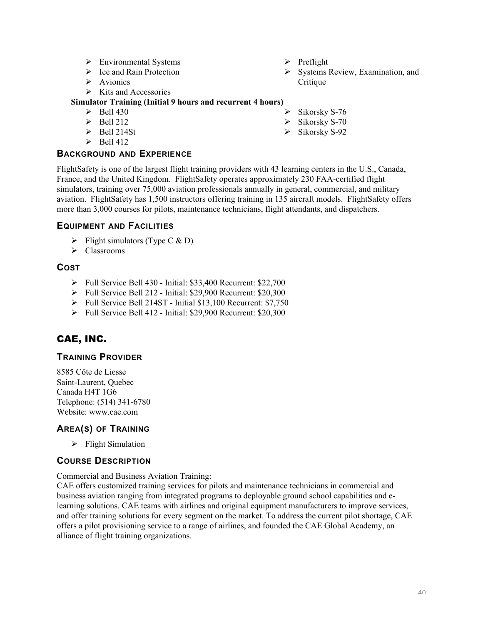- > Environmental Systems
- $\triangleright$  Ice and Rain Protection
- $\triangleright$  Avionics
- $\triangleright$  Kits and Accessories

#### Simulator Training (Initial 9 hours and recurrent 4 hours)

- $\triangleright$  Bell 430
- $\triangleright$  Bell 212
- $\triangleright$  Bell 214St
- $\triangleright$  Bell 412

#### **BACKGROUND AND EXPERIENCE**

FlightSafety is one of the largest flight training providers with 43 learning centers in the U.S., Canada, France, and the United Kingdom. FlightSafety operates approximately 230 FAA-certified flight simulators, training over 75,000 aviation professionals annually in general, commercial, and military aviation. FlightSafety has 1,500 instructors offering training in 135 aircraft models. FlightSafety offers more than 3,000 courses for pilots, maintenance technicians, flight attendants, and dispatchers.

#### **EQUIPMENT AND FACILITIES**

- $\triangleright$  Flight simulators (Type C & D)
- $\triangleright$  Classrooms

#### **COST**

- Full Service Bell 430 Initial: \$33,400 Recurrent: \$22,700
- Full Service Bell 212 Initial: \$29,900 Recurrent: \$20,300
- Full Service Bell 214ST Initial \$13,100 Recurrent: \$7,750
- Full Service Bell 412 Initial: \$29,900 Recurrent: \$20,300

# CAE, INC.

#### **TRAINING PROVIDER**

8585 Côte de Liesse Saint-Laurent, Quebec Canada H4T 1G6 Telephone: (514) 341-6780 Website: www.cae.com

## **AREA(S) OF TRAINING**

 $\triangleright$  Flight Simulation

# **COURSE DESCRIPTION**

Commercial and Business Aviation Training:

CAE offers customized training services for pilots and maintenance technicians in commercial and business aviation ranging from integrated programs to deployable ground school capabilities and elearning solutions. CAE teams with airlines and original equipment manufacturers to improve services, and offer training solutions for every segment on the market. To address the current pilot shortage, CAE offers a pilot provisioning service to a range of airlines, and founded the CAE Global Academy, an alliance of flight training organizations.

- $\triangleright$  Preflight
- $\triangleright$  Systems Review, Examination, and Critique
- Sikorsky S-76
- $\triangleright$  Sikorsky S-70
- $\triangleright$  Sikorsky S-92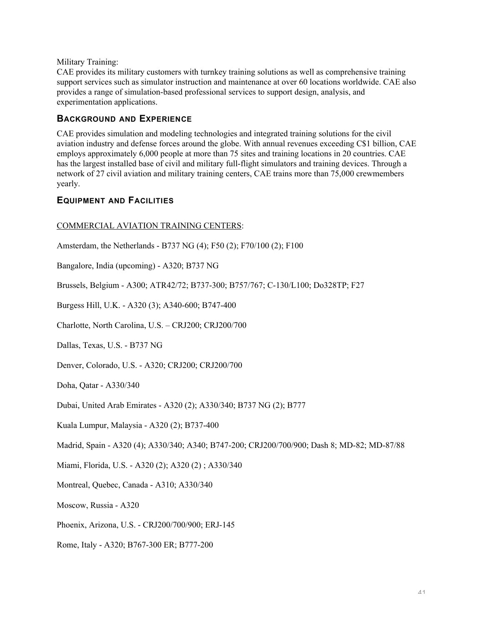Military Training:

CAE provides its military customers with turnkey training solutions as well as comprehensive training support services such as simulator instruction and maintenance at over 60 locations worldwide. CAE also provides a range of simulation-based professional services to support design, analysis, and experimentation applications.

#### **BACKGROUND AND EXPERIENCE**

CAE provides simulation and modeling technologies and integrated training solutions for the civil aviation industry and defense forces around the globe. With annual revenues exceeding C\$1 billion, CAE employs approximately 6,000 people at more than 75 sites and training locations in 20 countries. CAE has the largest installed base of civil and military full-flight simulators and training devices. Through a network of 27 civil aviation and military training centers, CAE trains more than 75,000 crewmembers yearly.

#### **EQUIPMENT AND FACILITIES**

#### COMMERCIAL AVIATION TRAINING CENTERS:

Amsterdam, the Netherlands - B737 NG (4); F50 (2); F70/100 (2); F100

Bangalore, India (upcoming) - A320; B737 NG

Brussels, Belgium - A300; ATR42/72; B737-300; B757/767; C-130/L100; Do328TP; F27

Burgess Hill, U.K. - A320 (3); A340-600; B747-400

Charlotte, North Carolina, U.S. – CRJ200; CRJ200/700

Dallas, Texas, U.S. - B737 NG

Denver, Colorado, U.S. - A320; CRJ200; CRJ200/700

Doha, Qatar - A330/340

Dubai, United Arab Emirates - A320 (2); A330/340; B737 NG (2); B777

Kuala Lumpur, Malaysia - A320 (2); B737-400

Madrid, Spain - A320 (4); A330/340; A340; B747-200; CRJ200/700/900; Dash 8; MD-82; MD-87/88

Miami, Florida, U.S. - A320 (2); A320 (2) ; A330/340

Montreal, Quebec, Canada - A310; A330/340

Moscow, Russia - A320

Phoenix, Arizona, U.S. - CRJ200/700/900; ERJ-145

Rome, Italy - A320; B767-300 ER; B777-200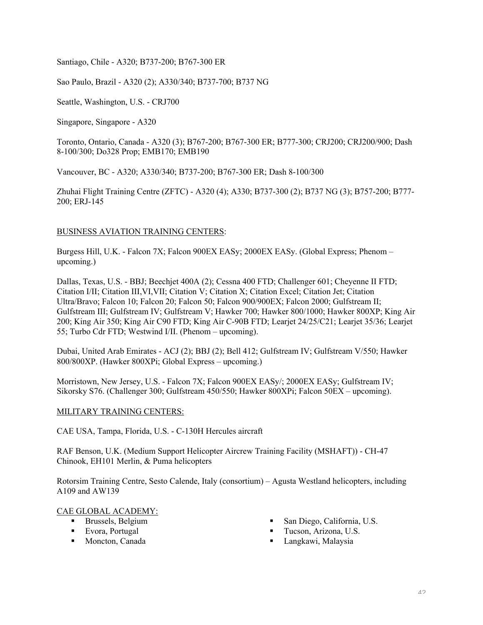Santiago, Chile - A320; B737-200; B767-300 ER

Sao Paulo, Brazil - A320 (2); A330/340; B737-700; B737 NG

Seattle, Washington, U.S. - CRJ700

Singapore, Singapore - A320

Toronto, Ontario, Canada - A320 (3); B767-200; B767-300 ER; B777-300; CRJ200; CRJ200/900; Dash 8-100/300; Do328 Prop; EMB170; EMB190

Vancouver, BC - A320; A330/340; B737-200; B767-300 ER; Dash 8-100/300

Zhuhai Flight Training Centre (ZFTC) - A320 (4); A330; B737-300 (2); B737 NG (3); B757-200; B777- 200; ERJ-145

#### BUSINESS AVIATION TRAINING CENTERS:

Burgess Hill, U.K. - Falcon 7X; Falcon 900EX EASy; 2000EX EASy. (Global Express; Phenom – upcoming.)

Dallas, Texas, U.S. - BBJ; Beechjet 400A (2); Cessna 400 FTD; Challenger 601; Cheyenne II FTD; Citation I/II; Citation III,VI,VII; Citation V; Citation X; Citation Excel; Citation Jet; Citation Ultra/Bravo; Falcon 10; Falcon 20; Falcon 50; Falcon 900/900EX; Falcon 2000; Gulfstream II; Gulfstream III; Gulfstream IV; Gulfstream V; Hawker 700; Hawker 800/1000; Hawker 800XP; King Air 200; King Air 350; King Air C90 FTD; King Air C-90B FTD; Learjet 24/25/C21; Learjet 35/36; Learjet 55; Turbo Cdr FTD; Westwind I/II. (Phenom – upcoming).

Dubai, United Arab Emirates - ACJ (2); BBJ (2); Bell 412; Gulfstream IV; Gulfstream V/550; Hawker 800/800XP. (Hawker 800XPi; Global Express – upcoming.)

Morristown, New Jersey, U.S. - Falcon 7X; Falcon 900EX EASy/; 2000EX EASy; Gulfstream IV; Sikorsky S76. (Challenger 300; Gulfstream 450/550; Hawker 800XPi; Falcon 50EX – upcoming).

#### MILITARY TRAINING CENTERS:

CAE USA, Tampa, Florida, U.S. - C-130H Hercules aircraft

RAF Benson, U.K. (Medium Support Helicopter Aircrew Training Facility (MSHAFT)) - CH-47 Chinook, EH101 Merlin, & Puma helicopters

Rotorsim Training Centre, Sesto Calende, Italy (consortium) – Agusta Westland helicopters, including A109 and AW139

#### CAE GLOBAL ACADEMY:

- **Brussels**, Belgium
- **Evora, Portugal**
- **Moncton, Canada**
- San Diego, California, U.S.
- **Tucson, Arizona, U.S.**
- Langkawi, Malaysia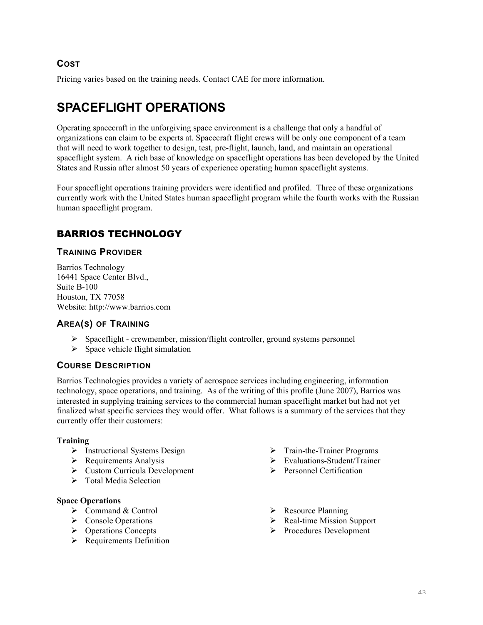## **COST**

Pricing varies based on the training needs. Contact CAE for more information.

# **SPACEFLIGHT OPERATIONS**

Operating spacecraft in the unforgiving space environment is a challenge that only a handful of organizations can claim to be experts at. Spacecraft flight crews will be only one component of a team that will need to work together to design, test, pre-flight, launch, land, and maintain an operational spaceflight system. A rich base of knowledge on spaceflight operations has been developed by the United States and Russia after almost 50 years of experience operating human spaceflight systems.

Four spaceflight operations training providers were identified and profiled. Three of these organizations currently work with the United States human spaceflight program while the fourth works with the Russian human spaceflight program.

# BARRIOS TECHNOLOGY

#### **TRAINING PROVIDER**

Barrios Technology 16441 Space Center Blvd., Suite B-100 Houston, TX 77058 Website: http://www.barrios.com

#### **AREA(S) OF TRAINING**

- Spaceflight crewmember, mission/flight controller, ground systems personnel
- $\triangleright$  Space vehicle flight simulation

#### **COURSE DESCRIPTION**

Barrios Technologies provides a variety of aerospace services including engineering, information technology, space operations, and training. As of the writing of this profile (June 2007), Barrios was interested in supplying training services to the commercial human spaceflight market but had not yet finalized what specific services they would offer. What follows is a summary of the services that they currently offer their customers:

#### Training

- $\triangleright$  Instructional Systems Design
- $\triangleright$  Requirements Analysis
- Custom Curricula Development
- $\triangleright$  Total Media Selection

#### Space Operations

- $\triangleright$  Command & Control
- $\triangleright$  Console Operations
- **►** Operations Concepts
- $\triangleright$  Requirements Definition
- $\triangleright$  Train-the-Trainer Programs
- $\triangleright$  Evaluations-Student/Trainer
- $\triangleright$  Personnel Certification
- $\triangleright$  Resource Planning
- $\triangleright$  Real-time Mission Support
- $\triangleright$  Procedures Development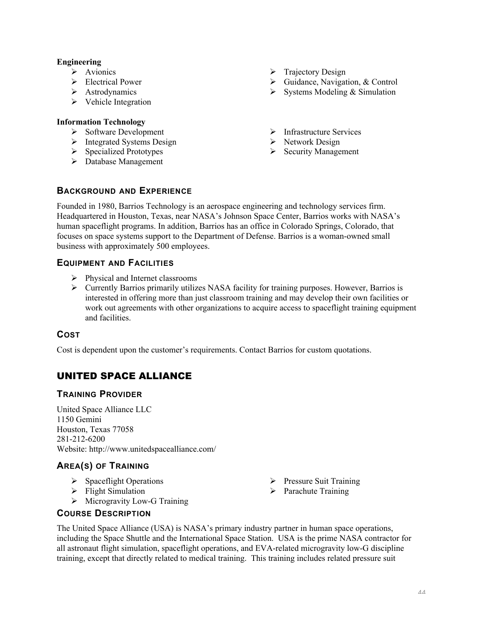#### Engineering

- $\triangleright$  Avionics
- Electrical Power
- > Astrodynamics
- $\triangleright$  Vehicle Integration

#### Information Technology

- $\triangleright$  Software Development
- $\triangleright$  Integrated Systems Design
- $\triangleright$  Specialized Prototypes
- Database Management
- $\triangleright$  Trajectory Design
- $\triangleright$  Guidance, Navigation, & Control
- $\triangleright$  Systems Modeling & Simulation
- > Infrastructure Services
- $\triangleright$  Network Design
- $\triangleright$  Security Management

#### **BACKGROUND AND EXPERIENCE**

Founded in 1980, Barrios Technology is an aerospace engineering and technology services firm. Headquartered in Houston, Texas, near NASA's Johnson Space Center, Barrios works with NASA's human spaceflight programs. In addition, Barrios has an office in Colorado Springs, Colorado, that focuses on space systems support to the Department of Defense. Barrios is a woman-owned small business with approximately 500 employees.

#### **EQUIPMENT AND FACILITIES**

- $\triangleright$  Physical and Internet classrooms
- $\triangleright$  Currently Barrios primarily utilizes NASA facility for training purposes. However, Barrios is interested in offering more than just classroom training and may develop their own facilities or work out agreements with other organizations to acquire access to spaceflight training equipment and facilities.

#### **COST**

Cost is dependent upon the customer's requirements. Contact Barrios for custom quotations.

# UNITED SPACE ALLIANCE

#### **TRAINING PROVIDER**

United Space Alliance LLC 1150 Gemini Houston, Texas 77058 281-212-6200 Website: http://www.unitedspacealliance.com/

## **AREA(S) OF TRAINING**

- $\triangleright$  Spaceflight Operations
- $\triangleright$  Flight Simulation
- $\triangleright$  Microgravity Low-G Training

#### **COURSE DESCRIPTION**

- $\triangleright$  Pressure Suit Training
- $\triangleright$  Parachute Training

The United Space Alliance (USA) is NASA's primary industry partner in human space operations, including the Space Shuttle and the International Space Station. USA is the prime NASA contractor for all astronaut flight simulation, spaceflight operations, and EVA-related microgravity low-G discipline training, except that directly related to medical training. This training includes related pressure suit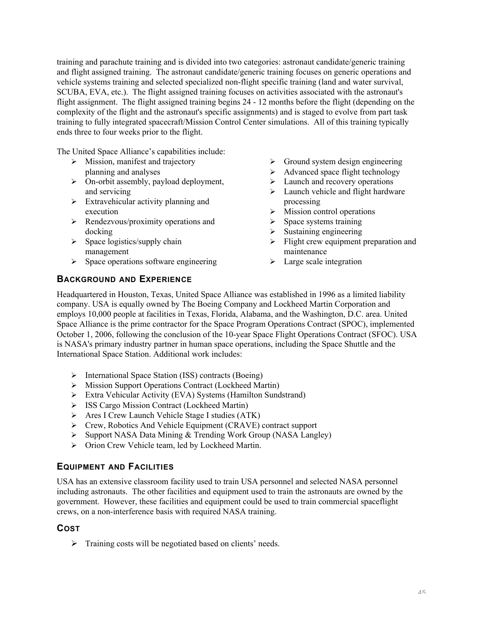training and parachute training and is divided into two categories: astronaut candidate/generic training and flight assigned training. The astronaut candidate/generic training focuses on generic operations and vehicle systems training and selected specialized non-flight specific training (land and water survival, SCUBA, EVA, etc.). The flight assigned training focuses on activities associated with the astronaut's flight assignment. The flight assigned training begins 24 - 12 months before the flight (depending on the complexity of the flight and the astronaut's specific assignments) and is staged to evolve from part task training to fully integrated spacecraft/Mission Control Center simulations. All of this training typically ends three to four weeks prior to the flight.

The United Space Alliance's capabilities include:

- $\triangleright$  Mission, manifest and trajectory planning and analyses
- On-orbit assembly, payload deployment, and servicing
- $\triangleright$  Extravehicular activity planning and execution
- $\triangleright$  Rendezvous/proximity operations and docking
- $\triangleright$  Space logistics/supply chain management
- $\triangleright$  Space operations software engineering
- $\triangleright$  Ground system design engineering
- $\triangleright$  Advanced space flight technology
- $\triangleright$  Launch and recovery operations
- $\geq$  Launch vehicle and flight hardware processing
- $\triangleright$  Mission control operations
- $\triangleright$  Space systems training
- $\triangleright$  Sustaining engineering
- $\triangleright$  Flight crew equipment preparation and maintenance
- $\triangleright$  Large scale integration

## **BACKGROUND AND EXPERIENCE**

Headquartered in Houston, Texas, United Space Alliance was established in 1996 as a limited liability company. USA is equally owned by The Boeing Company and Lockheed Martin Corporation and employs 10,000 people at facilities in Texas, Florida, Alabama, and the Washington, D.C. area. United Space Alliance is the prime contractor for the Space Program Operations Contract (SPOC), implemented October 1, 2006, following the conclusion of the 10-year Space Flight Operations Contract (SFOC). USA is NASA's primary industry partner in human space operations, including the Space Shuttle and the International Space Station. Additional work includes:

- International Space Station (ISS) contracts (Boeing)
- Mission Support Operations Contract (Lockheed Martin)
- Extra Vehicular Activity (EVA) Systems (Hamilton Sundstrand)
- > ISS Cargo Mission Contract (Lockheed Martin)
- Ares I Crew Launch Vehicle Stage I studies (ATK)
- ▶ Crew, Robotics And Vehicle Equipment (CRAVE) contract support
- $\triangleright$  Support NASA Data Mining & Trending Work Group (NASA Langley)
- Orion Crew Vehicle team, led by Lockheed Martin.

#### **EQUIPMENT AND FACILITIES**

USA has an extensive classroom facility used to train USA personnel and selected NASA personnel including astronauts. The other facilities and equipment used to train the astronauts are owned by the government. However, these facilities and equipment could be used to train commercial spaceflight crews, on a non-interference basis with required NASA training.

#### **COST**

 $\triangleright$  Training costs will be negotiated based on clients' needs.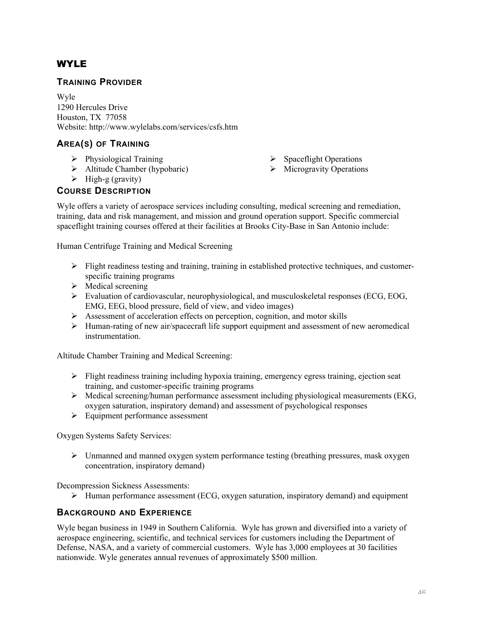# WYLE

#### **TRAINING PROVIDER**

Wyle 1290 Hercules Drive Houston, TX 77058 Website: http://www.wylelabs.com/services/csfs.htm

## **AREA(S) OF TRAINING**

- $\triangleright$  Physiological Training
- $\triangleright$  Altitude Chamber (hypobaric)
- $\triangleright$  High-g (gravity)

## **COURSE DESCRIPTION**

- $\triangleright$  Spaceflight Operations
- $\triangleright$  Microgravity Operations

Wyle offers a variety of aerospace services including consulting, medical screening and remediation, training, data and risk management, and mission and ground operation support. Specific commercial spaceflight training courses offered at their facilities at Brooks City-Base in San Antonio include:

Human Centrifuge Training and Medical Screening

- $\triangleright$  Flight readiness testing and training, training in established protective techniques, and customerspecific training programs
- $\triangleright$  Medical screening
- Evaluation of cardiovascular, neurophysiological, and musculoskeletal responses (ECG, EOG, EMG, EEG, blood pressure, field of view, and video images)
- $\triangleright$  Assessment of acceleration effects on perception, cognition, and motor skills
- $\triangleright$  Human-rating of new air/spacecraft life support equipment and assessment of new aeromedical instrumentation.

Altitude Chamber Training and Medical Screening:

- $\triangleright$  Flight readiness training including hypoxia training, emergency egress training, ejection seat training, and customer-specific training programs
- $\triangleright$  Medical screening/human performance assessment including physiological measurements (EKG, oxygen saturation, inspiratory demand) and assessment of psychological responses
- $\triangleright$  Equipment performance assessment

Oxygen Systems Safety Services:

 $\triangleright$  Unmanned and manned oxygen system performance testing (breathing pressures, mask oxygen concentration, inspiratory demand)

Decompression Sickness Assessments:

 $\triangleright$  Human performance assessment (ECG, oxygen saturation, inspiratory demand) and equipment

## **BACKGROUND AND EXPERIENCE**

Wyle began business in 1949 in Southern California. Wyle has grown and diversified into a variety of aerospace engineering, scientific, and technical services for customers including the Department of Defense, NASA, and a variety of commercial customers. Wyle has 3,000 employees at 30 facilities nationwide. Wyle generates annual revenues of approximately \$500 million.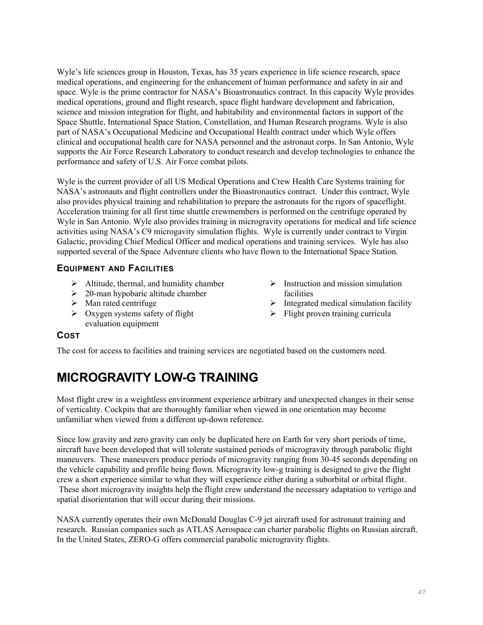Wyle's life sciences group in Houston, Texas, has 35 years experience in life science research, space medical operations, and engineering for the enhancement of human performance and safety in air and space. Wyle is the prime contractor for NASA's Bioastronautics contract. In this capacity Wyle provides medical operations, ground and flight research, space flight hardware development and fabrication, science and mission integration for flight, and habitability and environmental factors in support of the Space Shuttle, International Space Station, Constellation, and Human Research programs. Wyle is also part of NASA's Occupational Medicine and Occupational Health contract under which Wyle offers clinical and occupational health care for NASA personnel and the astronaut corps. In San Antonio, Wyle supports the Air Force Research Laboratory to conduct research and develop technologies to enhance the performance and safety of U.S. Air Force combat pilots.

Wyle is the current provider of all US Medical Operations and Crew Health Care Systems training for NASA's astronauts and flight controllers under the Bioastronautics contract. Under this contract, Wyle also provides physical training and rehabilitation to prepare the astronauts for the rigors of spaceflight. Acceleration training for all first time shuttle crewmembers is performed on the centrifuge operated by Wyle in San Antonio. Wyle also provides training in microgravity operations for medical and life science activities using NASA's C9 microgavity simulation flights. Wyle is currently under contract to Virgin Galactic, providing Chief Medical Officer and medical operations and training services. Wyle has also supported several of the Space Adventure clients who have flown to the International Space Station.

## **EQUIPMENT AND FACILITIES**

- $\triangleright$  Altitude, thermal, and humidity chamber
- $\geq$  20-man hypobaric altitude chamber
- $\triangleright$  Man rated centrifuge
- $\triangleright$  Oxygen systems safety of flight evaluation equipment
- $\triangleright$  Instruction and mission simulation facilities
- $\triangleright$  Integrated medical simulation facility
- $\triangleright$  Flight proven training curricula

## **COST**

The cost for access to facilities and training services are negotiated based on the customers need.

# **MICROGRAVITY LOW-G TRAINING**

Most flight crew in a weightless environment experience arbitrary and unexpected changes in their sense of verticality. Cockpits that are thoroughly familiar when viewed in one orientation may become unfamiliar when viewed from a different up-down reference.

Since low gravity and zero gravity can only be duplicated here on Earth for very short periods of time, aircraft have been developed that will tolerate sustained periods of microgravity through parabolic flight maneuvers. These maneuvers produce periods of microgravity ranging from 30-45 seconds depending on the vehicle capability and profile being flown. Microgravity low-g training is designed to give the flight crew a short experience similar to what they will experience either during a suborbital or orbital flight. These short microgravity insights help the flight crew understand the necessary adaptation to vertigo and spatial disorientation that will occur during their missions.

NASA currently operates their own McDonald Douglas C-9 jet aircraft used for astronaut training and research. Russian companies such as ATLAS Aerospace can charter parabolic flights on Russian aircraft. In the United States, ZERO-G offers commercial parabolic microgravity flights.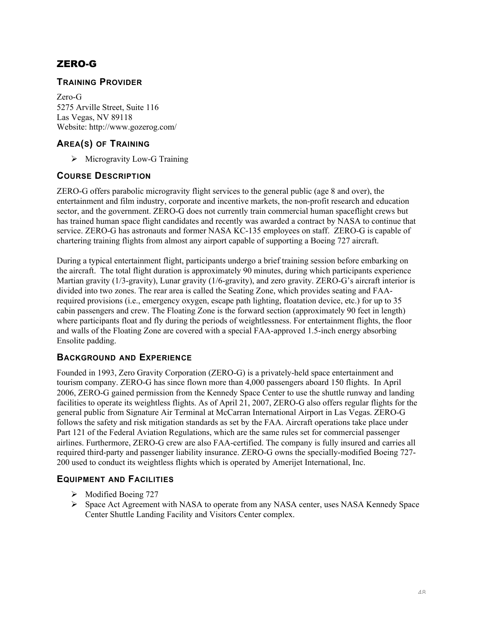# ZERO-G

#### **TRAINING PROVIDER**

Zero-G 5275 Arville Street, Suite 116 Las Vegas, NV 89118 Website: http://www.gozerog.com/

## **AREA(S) OF TRAINING**

 $\triangleright$  Microgravity Low-G Training

#### **COURSE DESCRIPTION**

ZERO-G offers parabolic microgravity flight services to the general public (age 8 and over), the entertainment and film industry, corporate and incentive markets, the non-profit research and education sector, and the government. ZERO-G does not currently train commercial human spaceflight crews but has trained human space flight candidates and recently was awarded a contract by NASA to continue that service. ZERO-G has astronauts and former NASA KC-135 employees on staff. ZERO-G is capable of chartering training flights from almost any airport capable of supporting a Boeing 727 aircraft.

During a typical entertainment flight, participants undergo a brief training session before embarking on the aircraft. The total flight duration is approximately 90 minutes, during which participants experience Martian gravity (1/3-gravity), Lunar gravity (1/6-gravity), and zero gravity. ZERO-G's aircraft interior is divided into two zones. The rear area is called the Seating Zone, which provides seating and FAArequired provisions (i.e., emergency oxygen, escape path lighting, floatation device, etc.) for up to 35 cabin passengers and crew. The Floating Zone is the forward section (approximately 90 feet in length) where participants float and fly during the periods of weightlessness. For entertainment flights, the floor and walls of the Floating Zone are covered with a special FAA-approved 1.5-inch energy absorbing Ensolite padding.

## **BACKGROUND AND EXPERIENCE**

Founded in 1993, Zero Gravity Corporation (ZERO-G) is a privately-held space entertainment and tourism company. ZERO-G has since flown more than 4,000 passengers aboard 150 flights. In April 2006, ZERO-G gained permission from the Kennedy Space Center to use the shuttle runway and landing facilities to operate its weightless flights. As of April 21, 2007, ZERO-G also offers regular flights for the general public from Signature Air Terminal at McCarran International Airport in Las Vegas. ZERO-G follows the safety and risk mitigation standards as set by the FAA. Aircraft operations take place under Part 121 of the Federal Aviation Regulations, which are the same rules set for commercial passenger airlines. Furthermore, ZERO-G crew are also FAA-certified. The company is fully insured and carries all required third-party and passenger liability insurance. ZERO-G owns the specially-modified Boeing 727- 200 used to conduct its weightless flights which is operated by Amerijet International, Inc.

#### **EQUIPMENT AND FACILITIES**

- > Modified Boeing 727
- $\triangleright$  Space Act Agreement with NASA to operate from any NASA center, uses NASA Kennedy Space Center Shuttle Landing Facility and Visitors Center complex.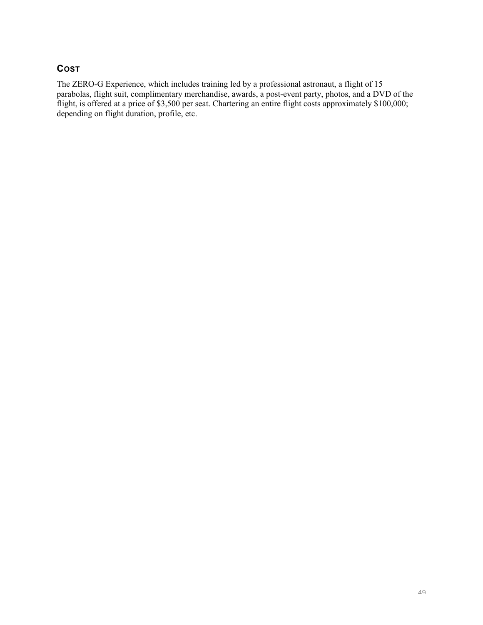# **COST**

The ZERO-G Experience, which includes training led by a professional astronaut, a flight of 15 parabolas, flight suit, complimentary merchandise, awards, a post-event party, photos, and a DVD of the flight, is offered at a price of \$3,500 per seat. Chartering an entire flight costs approximately \$100,000; depending on flight duration, profile, etc.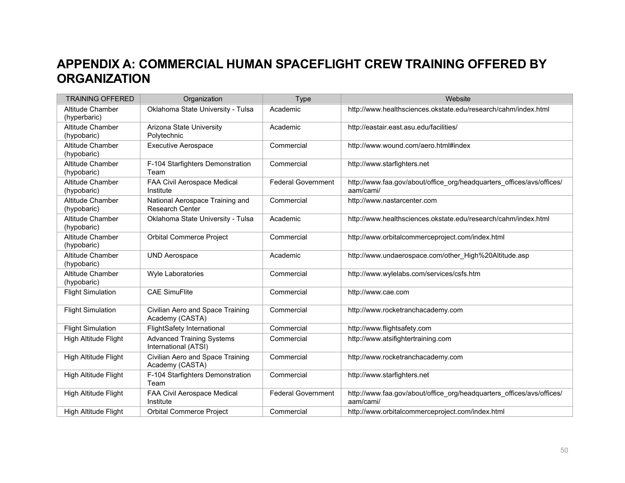# **APPENDIX A: COMMERCIAL HUMAN SPACEFLIGHT CREW TRAINING OFFERED BY ORGANIZATION**

| <b>TRAINING OFFERED</b>          | Organization                                              | <b>Type</b>               | Website                                                                            |
|----------------------------------|-----------------------------------------------------------|---------------------------|------------------------------------------------------------------------------------|
| Altitude Chamber<br>(hyperbaric) | Oklahoma State University - Tulsa                         | Academic                  | http://www.healthsciences.okstate.edu/research/cahm/index.html                     |
| Altitude Chamber<br>(hypobaric)  | Arizona State University<br>Polytechnic                   | Academic                  | http://eastair.east.asu.edu/facilities/                                            |
| Altitude Chamber<br>(hypobaric)  | <b>Executive Aerospace</b>                                | Commercial                | http://www.wound.com/aero.html#index                                               |
| Altitude Chamber<br>(hypobaric)  | F-104 Starfighters Demonstration<br>Team                  | Commercial                | http://www.starfighters.net                                                        |
| Altitude Chamber<br>(hypobaric)  | FAA Civil Aerospace Medical<br>Institute                  | <b>Federal Government</b> | http://www.faa.gov/about/office_org/headquarters_offices/avs/offices/<br>aam/cami/ |
| Altitude Chamber<br>(hypobaric)  | National Aerospace Training and<br><b>Research Center</b> | Commercial                | http://www.nastarcenter.com                                                        |
| Altitude Chamber<br>(hypobaric)  | Oklahoma State University - Tulsa                         | Academic                  | http://www.healthsciences.okstate.edu/research/cahm/index.html                     |
| Altitude Chamber<br>(hypobaric)  | <b>Orbital Commerce Project</b>                           | Commercial                | http://www.orbitalcommerceproject.com/index.html                                   |
| Altitude Chamber<br>(hypobaric)  | <b>UND Aerospace</b>                                      | Academic                  | http://www.undaerospace.com/other_High%20Altitude.asp                              |
| Altitude Chamber<br>(hypobaric)  | <b>Wyle Laboratories</b>                                  | Commercial                | http://www.wylelabs.com/services/csfs.htm                                          |
| <b>Flight Simulation</b>         | <b>CAE SimuFlite</b>                                      | Commercial                | http://www.cae.com                                                                 |
| <b>Flight Simulation</b>         | Civilian Aero and Space Training<br>Academy (CASTA)       | Commercial                | http://www.rocketranchacademy.com                                                  |
| <b>Flight Simulation</b>         | <b>FlightSafety International</b>                         | Commercial                | http://www.flightsafety.com                                                        |
| High Altitude Flight             | <b>Advanced Training Systems</b><br>International (ATSI)  | Commercial                | http://www.atsifightertraining.com                                                 |
| High Altitude Flight             | Civilian Aero and Space Training<br>Academy (CASTA)       | Commercial                | http://www.rocketranchacademy.com                                                  |
| High Altitude Flight             | F-104 Starfighters Demonstration<br>Team                  | Commercial                | http://www.starfighters.net                                                        |
| High Altitude Flight             | FAA Civil Aerospace Medical<br>Institute                  | <b>Federal Government</b> | http://www.faa.gov/about/office_org/headquarters_offices/avs/offices/<br>aam/cami/ |
| <b>High Altitude Flight</b>      | <b>Orbital Commerce Project</b>                           | Commercial                | http://www.orbitalcommerceproject.com/index.html                                   |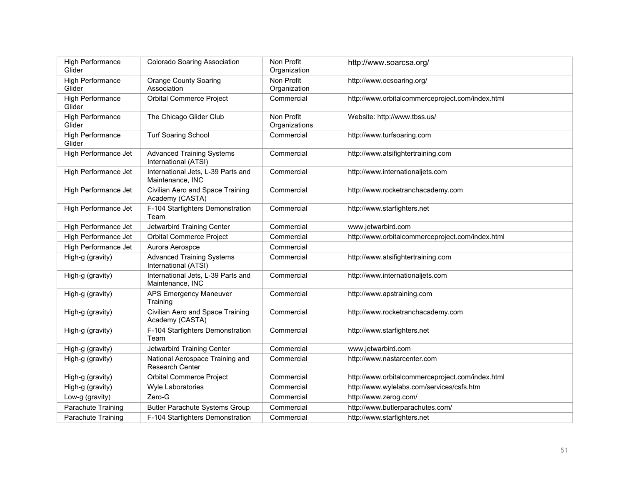| <b>High Performance</b><br><b>Orange County Soaring</b><br>Non Profit<br>http://www.ocsoaring.org/<br>Glider<br>Association<br>Organization<br><b>Orbital Commerce Project</b><br>High Performance<br>Commercial<br>http://www.orbitalcommerceproject.com/index.html<br>Glider<br>High Performance<br>The Chicago Glider Club<br>Non Profit<br>Website: http://www.tbss.us/<br>Glider<br>Organizations<br><b>Turf Soaring School</b><br><b>High Performance</b><br>Commercial<br>http://www.turfsoaring.com<br>Glider<br>High Performance Jet<br><b>Advanced Training Systems</b><br>Commercial<br>http://www.atsifightertraining.com<br>International (ATSI)<br>International Jets, L-39 Parts and<br>High Performance Jet<br>Commercial<br>http://www.internationaljets.com<br>Maintenance, INC<br>High Performance Jet<br>Civilian Aero and Space Training<br>http://www.rocketranchacademy.com<br>Commercial<br>Academy (CASTA)<br>F-104 Starfighters Demonstration<br>High Performance Jet<br>Commercial<br>http://www.starfighters.net<br>Team<br>Jetwarbird Training Center<br>www.jetwarbird.com<br>High Performance Jet<br>Commercial<br>High Performance Jet<br><b>Orbital Commerce Project</b><br>Commercial<br>http://www.orbitalcommerceproject.com/index.html<br>High Performance Jet<br>Aurora Aerospce<br>Commercial<br><b>Advanced Training Systems</b><br>http://www.atsifightertraining.com<br>High-g (gravity)<br>Commercial<br>International (ATSI)<br>International Jets, L-39 Parts and<br>Commercial<br>http://www.internationaljets.com<br>High-g (gravity)<br>Maintenance, INC<br>APS Emergency Maneuver<br>Commercial<br>http://www.apstraining.com<br>High-g (gravity)<br>Training<br>Civilian Aero and Space Training<br>Commercial<br>http://www.rocketranchacademy.com<br>High-g (gravity)<br>Academy (CASTA)<br>F-104 Starfighters Demonstration<br>High-g (gravity)<br>http://www.starfighters.net<br>Commercial<br>Team<br>Jetwarbird Training Center<br>Commercial<br>www.jetwarbird.com<br>High-g (gravity)<br>National Aerospace Training and<br>High-g (gravity)<br>http://www.nastarcenter.com<br>Commercial<br><b>Research Center</b><br>Orbital Commerce Project<br>Commercial<br>http://www.orbitalcommerceproject.com/index.html<br>High-g (gravity)<br>http://www.wylelabs.com/services/csfs.htm<br>High-g (gravity)<br><b>Wyle Laboratories</b><br>Commercial<br>Zero-G<br>http://www.zerog.com/<br>Low-g (gravity)<br>Commercial<br>Parachute Training<br>http://www.butlerparachutes.com/<br><b>Butler Parachute Systems Group</b><br>Commercial<br>Parachute Training<br>F-104 Starfighters Demonstration<br>http://www.starfighters.net<br>Commercial | High Performance<br>Glider | <b>Colorado Soaring Association</b> | Non Profit<br>Organization | http://www.soarcsa.org/ |
|--------------------------------------------------------------------------------------------------------------------------------------------------------------------------------------------------------------------------------------------------------------------------------------------------------------------------------------------------------------------------------------------------------------------------------------------------------------------------------------------------------------------------------------------------------------------------------------------------------------------------------------------------------------------------------------------------------------------------------------------------------------------------------------------------------------------------------------------------------------------------------------------------------------------------------------------------------------------------------------------------------------------------------------------------------------------------------------------------------------------------------------------------------------------------------------------------------------------------------------------------------------------------------------------------------------------------------------------------------------------------------------------------------------------------------------------------------------------------------------------------------------------------------------------------------------------------------------------------------------------------------------------------------------------------------------------------------------------------------------------------------------------------------------------------------------------------------------------------------------------------------------------------------------------------------------------------------------------------------------------------------------------------------------------------------------------------------------------------------------------------------------------------------------------------------------------------------------------------------------------------------------------------------------------------------------------------------------------------------------------------------------------------------------------------------------------------------------------------------------------------------------------------------------------------------------------------------------------------------------------------------------------------------------------------------------------------------|----------------------------|-------------------------------------|----------------------------|-------------------------|
|                                                                                                                                                                                                                                                                                                                                                                                                                                                                                                                                                                                                                                                                                                                                                                                                                                                                                                                                                                                                                                                                                                                                                                                                                                                                                                                                                                                                                                                                                                                                                                                                                                                                                                                                                                                                                                                                                                                                                                                                                                                                                                                                                                                                                                                                                                                                                                                                                                                                                                                                                                                                                                                                                                        |                            |                                     |                            |                         |
|                                                                                                                                                                                                                                                                                                                                                                                                                                                                                                                                                                                                                                                                                                                                                                                                                                                                                                                                                                                                                                                                                                                                                                                                                                                                                                                                                                                                                                                                                                                                                                                                                                                                                                                                                                                                                                                                                                                                                                                                                                                                                                                                                                                                                                                                                                                                                                                                                                                                                                                                                                                                                                                                                                        |                            |                                     |                            |                         |
|                                                                                                                                                                                                                                                                                                                                                                                                                                                                                                                                                                                                                                                                                                                                                                                                                                                                                                                                                                                                                                                                                                                                                                                                                                                                                                                                                                                                                                                                                                                                                                                                                                                                                                                                                                                                                                                                                                                                                                                                                                                                                                                                                                                                                                                                                                                                                                                                                                                                                                                                                                                                                                                                                                        |                            |                                     |                            |                         |
|                                                                                                                                                                                                                                                                                                                                                                                                                                                                                                                                                                                                                                                                                                                                                                                                                                                                                                                                                                                                                                                                                                                                                                                                                                                                                                                                                                                                                                                                                                                                                                                                                                                                                                                                                                                                                                                                                                                                                                                                                                                                                                                                                                                                                                                                                                                                                                                                                                                                                                                                                                                                                                                                                                        |                            |                                     |                            |                         |
|                                                                                                                                                                                                                                                                                                                                                                                                                                                                                                                                                                                                                                                                                                                                                                                                                                                                                                                                                                                                                                                                                                                                                                                                                                                                                                                                                                                                                                                                                                                                                                                                                                                                                                                                                                                                                                                                                                                                                                                                                                                                                                                                                                                                                                                                                                                                                                                                                                                                                                                                                                                                                                                                                                        |                            |                                     |                            |                         |
|                                                                                                                                                                                                                                                                                                                                                                                                                                                                                                                                                                                                                                                                                                                                                                                                                                                                                                                                                                                                                                                                                                                                                                                                                                                                                                                                                                                                                                                                                                                                                                                                                                                                                                                                                                                                                                                                                                                                                                                                                                                                                                                                                                                                                                                                                                                                                                                                                                                                                                                                                                                                                                                                                                        |                            |                                     |                            |                         |
|                                                                                                                                                                                                                                                                                                                                                                                                                                                                                                                                                                                                                                                                                                                                                                                                                                                                                                                                                                                                                                                                                                                                                                                                                                                                                                                                                                                                                                                                                                                                                                                                                                                                                                                                                                                                                                                                                                                                                                                                                                                                                                                                                                                                                                                                                                                                                                                                                                                                                                                                                                                                                                                                                                        |                            |                                     |                            |                         |
|                                                                                                                                                                                                                                                                                                                                                                                                                                                                                                                                                                                                                                                                                                                                                                                                                                                                                                                                                                                                                                                                                                                                                                                                                                                                                                                                                                                                                                                                                                                                                                                                                                                                                                                                                                                                                                                                                                                                                                                                                                                                                                                                                                                                                                                                                                                                                                                                                                                                                                                                                                                                                                                                                                        |                            |                                     |                            |                         |
|                                                                                                                                                                                                                                                                                                                                                                                                                                                                                                                                                                                                                                                                                                                                                                                                                                                                                                                                                                                                                                                                                                                                                                                                                                                                                                                                                                                                                                                                                                                                                                                                                                                                                                                                                                                                                                                                                                                                                                                                                                                                                                                                                                                                                                                                                                                                                                                                                                                                                                                                                                                                                                                                                                        |                            |                                     |                            |                         |
|                                                                                                                                                                                                                                                                                                                                                                                                                                                                                                                                                                                                                                                                                                                                                                                                                                                                                                                                                                                                                                                                                                                                                                                                                                                                                                                                                                                                                                                                                                                                                                                                                                                                                                                                                                                                                                                                                                                                                                                                                                                                                                                                                                                                                                                                                                                                                                                                                                                                                                                                                                                                                                                                                                        |                            |                                     |                            |                         |
|                                                                                                                                                                                                                                                                                                                                                                                                                                                                                                                                                                                                                                                                                                                                                                                                                                                                                                                                                                                                                                                                                                                                                                                                                                                                                                                                                                                                                                                                                                                                                                                                                                                                                                                                                                                                                                                                                                                                                                                                                                                                                                                                                                                                                                                                                                                                                                                                                                                                                                                                                                                                                                                                                                        |                            |                                     |                            |                         |
|                                                                                                                                                                                                                                                                                                                                                                                                                                                                                                                                                                                                                                                                                                                                                                                                                                                                                                                                                                                                                                                                                                                                                                                                                                                                                                                                                                                                                                                                                                                                                                                                                                                                                                                                                                                                                                                                                                                                                                                                                                                                                                                                                                                                                                                                                                                                                                                                                                                                                                                                                                                                                                                                                                        |                            |                                     |                            |                         |
|                                                                                                                                                                                                                                                                                                                                                                                                                                                                                                                                                                                                                                                                                                                                                                                                                                                                                                                                                                                                                                                                                                                                                                                                                                                                                                                                                                                                                                                                                                                                                                                                                                                                                                                                                                                                                                                                                                                                                                                                                                                                                                                                                                                                                                                                                                                                                                                                                                                                                                                                                                                                                                                                                                        |                            |                                     |                            |                         |
|                                                                                                                                                                                                                                                                                                                                                                                                                                                                                                                                                                                                                                                                                                                                                                                                                                                                                                                                                                                                                                                                                                                                                                                                                                                                                                                                                                                                                                                                                                                                                                                                                                                                                                                                                                                                                                                                                                                                                                                                                                                                                                                                                                                                                                                                                                                                                                                                                                                                                                                                                                                                                                                                                                        |                            |                                     |                            |                         |
|                                                                                                                                                                                                                                                                                                                                                                                                                                                                                                                                                                                                                                                                                                                                                                                                                                                                                                                                                                                                                                                                                                                                                                                                                                                                                                                                                                                                                                                                                                                                                                                                                                                                                                                                                                                                                                                                                                                                                                                                                                                                                                                                                                                                                                                                                                                                                                                                                                                                                                                                                                                                                                                                                                        |                            |                                     |                            |                         |
|                                                                                                                                                                                                                                                                                                                                                                                                                                                                                                                                                                                                                                                                                                                                                                                                                                                                                                                                                                                                                                                                                                                                                                                                                                                                                                                                                                                                                                                                                                                                                                                                                                                                                                                                                                                                                                                                                                                                                                                                                                                                                                                                                                                                                                                                                                                                                                                                                                                                                                                                                                                                                                                                                                        |                            |                                     |                            |                         |
|                                                                                                                                                                                                                                                                                                                                                                                                                                                                                                                                                                                                                                                                                                                                                                                                                                                                                                                                                                                                                                                                                                                                                                                                                                                                                                                                                                                                                                                                                                                                                                                                                                                                                                                                                                                                                                                                                                                                                                                                                                                                                                                                                                                                                                                                                                                                                                                                                                                                                                                                                                                                                                                                                                        |                            |                                     |                            |                         |
|                                                                                                                                                                                                                                                                                                                                                                                                                                                                                                                                                                                                                                                                                                                                                                                                                                                                                                                                                                                                                                                                                                                                                                                                                                                                                                                                                                                                                                                                                                                                                                                                                                                                                                                                                                                                                                                                                                                                                                                                                                                                                                                                                                                                                                                                                                                                                                                                                                                                                                                                                                                                                                                                                                        |                            |                                     |                            |                         |
|                                                                                                                                                                                                                                                                                                                                                                                                                                                                                                                                                                                                                                                                                                                                                                                                                                                                                                                                                                                                                                                                                                                                                                                                                                                                                                                                                                                                                                                                                                                                                                                                                                                                                                                                                                                                                                                                                                                                                                                                                                                                                                                                                                                                                                                                                                                                                                                                                                                                                                                                                                                                                                                                                                        |                            |                                     |                            |                         |
|                                                                                                                                                                                                                                                                                                                                                                                                                                                                                                                                                                                                                                                                                                                                                                                                                                                                                                                                                                                                                                                                                                                                                                                                                                                                                                                                                                                                                                                                                                                                                                                                                                                                                                                                                                                                                                                                                                                                                                                                                                                                                                                                                                                                                                                                                                                                                                                                                                                                                                                                                                                                                                                                                                        |                            |                                     |                            |                         |
|                                                                                                                                                                                                                                                                                                                                                                                                                                                                                                                                                                                                                                                                                                                                                                                                                                                                                                                                                                                                                                                                                                                                                                                                                                                                                                                                                                                                                                                                                                                                                                                                                                                                                                                                                                                                                                                                                                                                                                                                                                                                                                                                                                                                                                                                                                                                                                                                                                                                                                                                                                                                                                                                                                        |                            |                                     |                            |                         |
|                                                                                                                                                                                                                                                                                                                                                                                                                                                                                                                                                                                                                                                                                                                                                                                                                                                                                                                                                                                                                                                                                                                                                                                                                                                                                                                                                                                                                                                                                                                                                                                                                                                                                                                                                                                                                                                                                                                                                                                                                                                                                                                                                                                                                                                                                                                                                                                                                                                                                                                                                                                                                                                                                                        |                            |                                     |                            |                         |
|                                                                                                                                                                                                                                                                                                                                                                                                                                                                                                                                                                                                                                                                                                                                                                                                                                                                                                                                                                                                                                                                                                                                                                                                                                                                                                                                                                                                                                                                                                                                                                                                                                                                                                                                                                                                                                                                                                                                                                                                                                                                                                                                                                                                                                                                                                                                                                                                                                                                                                                                                                                                                                                                                                        |                            |                                     |                            |                         |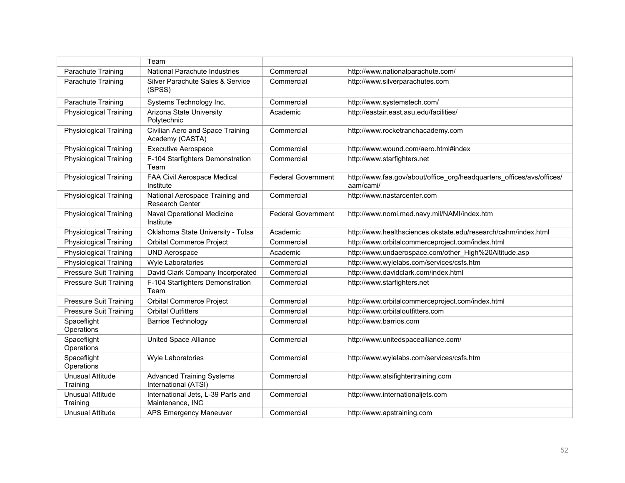|                                     | Team                                                      |                           |                                                                                    |
|-------------------------------------|-----------------------------------------------------------|---------------------------|------------------------------------------------------------------------------------|
| Parachute Training                  | National Parachute Industries                             | Commercial                | http://www.nationalparachute.com/                                                  |
| Parachute Training                  | Silver Parachute Sales & Service<br>(SPSS)                | Commercial                | http://www.silverparachutes.com                                                    |
| Parachute Training                  | Systems Technology Inc.                                   | Commercial                | http://www.systemstech.com/                                                        |
| <b>Physiological Training</b>       | Arizona State University<br>Polytechnic                   | Academic                  | http://eastair.east.asu.edu/facilities/                                            |
| <b>Physiological Training</b>       | Civilian Aero and Space Training<br>Academy (CASTA)       | Commercial                | http://www.rocketranchacademy.com                                                  |
| <b>Physiological Training</b>       | <b>Executive Aerospace</b>                                | Commercial                | http://www.wound.com/aero.html#index                                               |
| <b>Physiological Training</b>       | F-104 Starfighters Demonstration<br>Team                  | Commercial                | http://www.starfighters.net                                                        |
| Physiological Training              | FAA Civil Aerospace Medical<br>Institute                  | <b>Federal Government</b> | http://www.faa.gov/about/office_org/headquarters_offices/avs/offices/<br>aam/cami/ |
| <b>Physiological Training</b>       | National Aerospace Training and<br><b>Research Center</b> | Commercial                | http://www.nastarcenter.com                                                        |
| Physiological Training              | Naval Operational Medicine<br>Institute                   | <b>Federal Government</b> | http://www.nomi.med.navy.mil/NAMI/index.htm                                        |
| <b>Physiological Training</b>       | Oklahoma State University - Tulsa                         | Academic                  | http://www.healthsciences.okstate.edu/research/cahm/index.html                     |
| <b>Physiological Training</b>       | <b>Orbital Commerce Project</b>                           | Commercial                | http://www.orbitalcommerceproject.com/index.html                                   |
| <b>Physiological Training</b>       | <b>UND Aerospace</b>                                      | Academic                  | http://www.undaerospace.com/other_High%20Altitude.asp                              |
| <b>Physiological Training</b>       | Wyle Laboratories                                         | Commercial                | http://www.wylelabs.com/services/csfs.htm                                          |
| <b>Pressure Suit Training</b>       | David Clark Company Incorporated                          | Commercial                | http://www.davidclark.com/index.html                                               |
| <b>Pressure Suit Training</b>       | F-104 Starfighters Demonstration<br>Team                  | Commercial                | http://www.starfighters.net                                                        |
| <b>Pressure Suit Training</b>       | <b>Orbital Commerce Project</b>                           | Commercial                | http://www.orbitalcommerceproject.com/index.html                                   |
| <b>Pressure Suit Training</b>       | <b>Orbital Outfitters</b>                                 | Commercial                | http://www.orbitaloutfitters.com                                                   |
| Spaceflight<br>Operations           | <b>Barrios Technology</b>                                 | Commercial                | http://www.barrios.com                                                             |
| Spaceflight<br>Operations           | <b>United Space Alliance</b>                              | Commercial                | http://www.unitedspacealliance.com/                                                |
| Spaceflight<br>Operations           | <b>Wyle Laboratories</b>                                  | Commercial                | http://www.wylelabs.com/services/csfs.htm                                          |
| <b>Unusual Attitude</b><br>Training | <b>Advanced Training Systems</b><br>International (ATSI)  | Commercial                | http://www.atsifightertraining.com                                                 |
| <b>Unusual Attitude</b><br>Training | International Jets, L-39 Parts and<br>Maintenance, INC    | Commercial                | http://www.internationaljets.com                                                   |
| Unusual Attitude                    | APS Emergency Maneuver                                    | Commercial                | http://www.apstraining.com                                                         |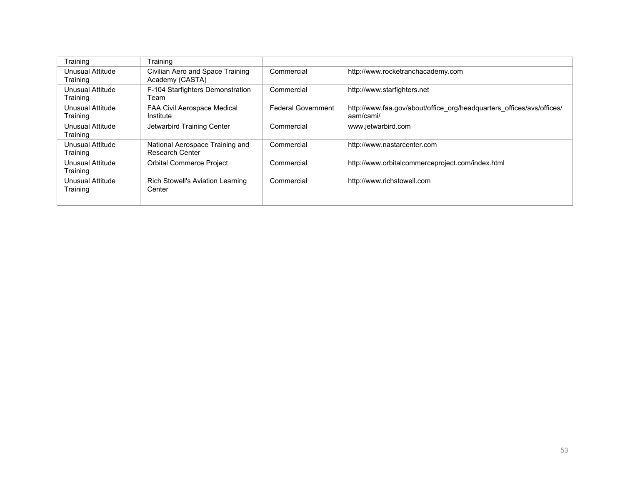| Training                     | <b>Training</b>                                     |                           |                                                                                    |
|------------------------------|-----------------------------------------------------|---------------------------|------------------------------------------------------------------------------------|
| Unusual Attitude<br>Training | Civilian Aero and Space Training<br>Academy (CASTA) | Commercial                | http://www.rocketranchacademy.com                                                  |
| Unusual Attitude<br>Training | F-104 Starfighters Demonstration<br>⊺eam            | Commercial                | http://www.starfighters.net                                                        |
| Unusual Attitude<br>Training | FAA Civil Aerospace Medical<br>Institute            | <b>Federal Government</b> | http://www.faa.gov/about/office_org/headquarters_offices/avs/offices/<br>aam/cami/ |
| Unusual Attitude<br>Training | Jetwarbird Training Center                          | Commercial                | www.jetwarbird.com                                                                 |
| Unusual Attitude<br>Training | National Aerospace Training and<br>Research Center  | Commercial                | http://www.nastarcenter.com                                                        |
| Unusual Attitude<br>Training | <b>Orbital Commerce Project</b>                     | Commercial                | http://www.orbitalcommerceproject.com/index.html                                   |
| Unusual Attitude<br>Training | Rich Stowell's Aviation Learning<br>Center          | Commercial                | http://www.richstowell.com                                                         |
|                              |                                                     |                           |                                                                                    |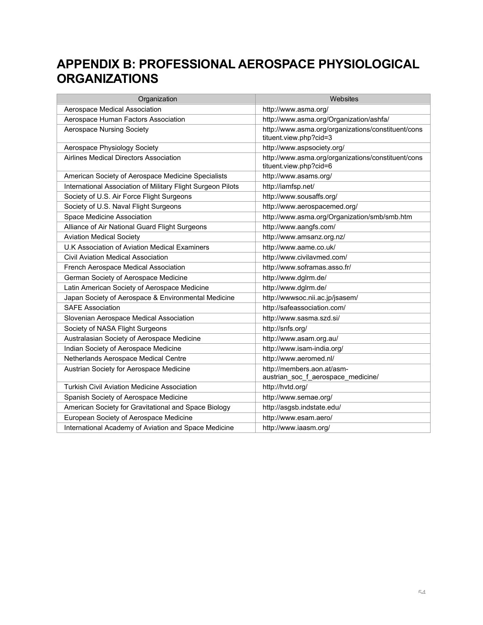# **APPENDIX B: PROFESSIONAL AEROSPACE PHYSIOLOGICAL ORGANIZATIONS**

| Organization                                                | Websites                                                                     |
|-------------------------------------------------------------|------------------------------------------------------------------------------|
| Aerospace Medical Association                               | http://www.asma.org/                                                         |
| Aerospace Human Factors Association                         | http://www.asma.org/Organization/ashfa/                                      |
| <b>Aerospace Nursing Society</b>                            | http://www.asma.org/organizations/constituent/cons<br>tituent.view.php?cid=3 |
| Aerospace Physiology Society                                | http://www.aspsociety.org/                                                   |
| Airlines Medical Directors Association                      | http://www.asma.org/organizations/constituent/cons<br>tituent.view.php?cid=6 |
| American Society of Aerospace Medicine Specialists          | http://www.asams.org/                                                        |
| International Association of Military Flight Surgeon Pilots | http://iamfsp.net/                                                           |
| Society of U.S. Air Force Flight Surgeons                   | http://www.sousaffs.org/                                                     |
| Society of U.S. Naval Flight Surgeons                       | http://www.aerospacemed.org/                                                 |
| Space Medicine Association                                  | http://www.asma.org/Organization/smb/smb.htm                                 |
| Alliance of Air National Guard Flight Surgeons              | http://www.aangfs.com/                                                       |
| <b>Aviation Medical Society</b>                             | http://www.amsanz.org.nz/                                                    |
| U.K Association of Aviation Medical Examiners               | http://www.aame.co.uk/                                                       |
| <b>Civil Aviation Medical Association</b>                   | http://www.civilavmed.com/                                                   |
| French Aerospace Medical Association                        | http://www.soframas.asso.fr/                                                 |
| German Society of Aerospace Medicine                        | http://www.dglrm.de/                                                         |
| Latin American Society of Aerospace Medicine                | http://www.dglrm.de/                                                         |
| Japan Society of Aerospace & Environmental Medicine         | http://wwwsoc.nii.ac.jp/jsasem/                                              |
| <b>SAFE Association</b>                                     | http://safeassociation.com/                                                  |
| Slovenian Aerospace Medical Association                     | http://www.sasma.szd.si/                                                     |
| Society of NASA Flight Surgeons                             | http://snfs.org/                                                             |
| Australasian Society of Aerospace Medicine                  | http://www.asam.org.au/                                                      |
| Indian Society of Aerospace Medicine                        | http://www.isam-india.org/                                                   |
| Netherlands Aerospace Medical Centre                        | http://www.aeromed.nl/                                                       |
| Austrian Society for Aerospace Medicine                     | http://members.aon.at/asm-<br>austrian_soc_f_aerospace_medicine/             |
| <b>Turkish Civil Aviation Medicine Association</b>          | http://hvtd.org/                                                             |
| Spanish Society of Aerospace Medicine                       | http://www.semae.org/                                                        |
| American Society for Gravitational and Space Biology        | http://asgsb.indstate.edu/                                                   |
| European Society of Aerospace Medicine                      | http://www.esam.aero/                                                        |
| International Academy of Aviation and Space Medicine        | http://www.iaasm.org/                                                        |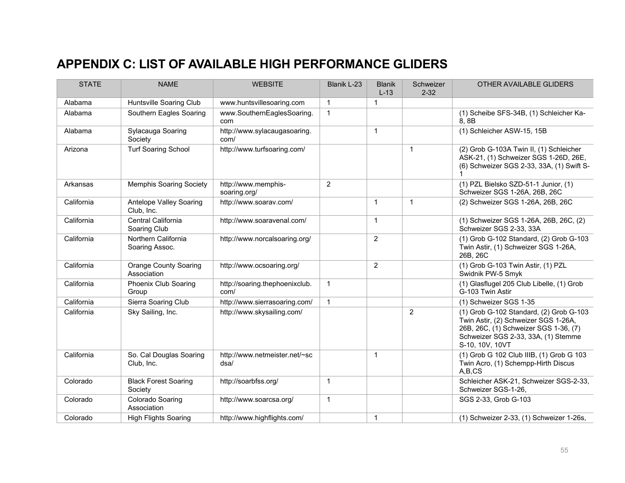# **APPENDIX C: LIST OF AVAILABLE HIGH PERFORMANCE GLIDERS**

Club, Inc.

| <b>STATE</b> | <b>NAME</b>                                 | <b>WEBSITE</b>                         | Blanik L-23    | <b>Blanik</b><br>$L-13$ | Schweizer<br>$2 - 32$ | OTHER AVAILABLE GLIDERS                                                                                                                                                            |
|--------------|---------------------------------------------|----------------------------------------|----------------|-------------------------|-----------------------|------------------------------------------------------------------------------------------------------------------------------------------------------------------------------------|
| Alabama      | Huntsville Soaring Club                     | www.huntsvillesoaring.com              | $\mathbf{1}$   | 1                       |                       |                                                                                                                                                                                    |
| Alabama      | Southern Eagles Soaring                     | www.SouthernEaglesSoaring.<br>com      | 1              |                         |                       | (1) Scheibe SFS-34B, (1) Schleicher Ka-<br>8.8B                                                                                                                                    |
| Alabama      | Sylacauga Soaring<br>Society                | http://www.sylacaugasoaring.<br>com/   |                | $\mathbf{1}$            |                       | (1) Schleicher ASW-15, 15B                                                                                                                                                         |
| Arizona      | <b>Turf Soaring School</b>                  | http://www.turfsoaring.com/            |                |                         | 1                     | (2) Grob G-103A Twin II, (1) Schleicher<br>ASK-21, (1) Schweizer SGS 1-26D, 26E,<br>(6) Schweizer SGS 2-33, 33A, (1) Swift S-                                                      |
| Arkansas     | <b>Memphis Soaring Society</b>              | http://www.memphis-<br>soaring.org/    | $\overline{2}$ |                         |                       | (1) PZL Bielsko SZD-51-1 Junior, (1)<br>Schweizer SGS 1-26A, 26B, 26C                                                                                                              |
| California   | Antelope Valley Soaring<br>Club, Inc.       | http://www.soarav.com/                 |                | $\mathbf{1}$            | $\mathbf{1}$          | (2) Schweizer SGS 1-26A, 26B, 26C                                                                                                                                                  |
| California   | Central California<br>Soaring Club          | http://www.soaravenal.com/             |                | $\mathbf{1}$            |                       | (1) Schweizer SGS 1-26A, 26B, 26C, (2)<br>Schweizer SGS 2-33, 33A                                                                                                                  |
| California   | Northern California<br>Soaring Assoc.       | http://www.norcalsoaring.org/          |                | $\overline{2}$          |                       | (1) Grob G-102 Standard, (2) Grob G-103<br>Twin Astir, (1) Schweizer SGS 1-26A,<br>26B, 26C                                                                                        |
| California   | <b>Orange County Soaring</b><br>Association | http://www.ocsoaring.org/              |                | 2                       |                       | (1) Grob G-103 Twin Astir, (1) PZL<br>Swidnik PW-5 Smyk                                                                                                                            |
| California   | Phoenix Club Soaring<br>Group               | http://soaring.thephoenixclub.<br>com/ | $\mathbf 1$    |                         |                       | (1) Glasflugel 205 Club Libelle, (1) Grob<br>G-103 Twin Astir                                                                                                                      |
| California   | Sierra Soaring Club                         | http://www.sierrasoaring.com/          | $\mathbf{1}$   |                         |                       | (1) Schweizer SGS 1-35                                                                                                                                                             |
| California   | Sky Sailing, Inc.                           | http://www.skysailing.com/             |                |                         | $\overline{2}$        | (1) Grob G-102 Standard, (2) Grob G-103<br>Twin Astir, (2) Schweizer SGS 1-26A,<br>26B, 26C, (1) Schweizer SGS 1-36, (7)<br>Schweizer SGS 2-33, 33A, (1) Stemme<br>S-10, 10V, 10VT |
| California   | So. Cal Douglas Soaring<br>Club, Inc.       | http://www.netmeister.net/~sc<br>dsa/  |                | $\mathbf{1}$            |                       | (1) Grob G 102 Club IIIB, (1) Grob G 103<br>Twin Acro, (1) Schempp-Hirth Discus<br>A,B,CS                                                                                          |
| Colorado     | <b>Black Forest Soaring</b><br>Society      | http://soarbfss.org/                   | $\mathbf{1}$   |                         |                       | Schleicher ASK-21, Schweizer SGS-2-33,<br>Schweizer SGS-1-26,                                                                                                                      |
| Colorado     | Colorado Soaring<br>Association             | http://www.soarcsa.org/                | $\mathbf{1}$   |                         |                       | SGS 2-33, Grob G-103                                                                                                                                                               |
| Colorado     | <b>High Flights Soaring</b>                 | http://www.highflights.com/            |                | $\mathbf{1}$            |                       | (1) Schweizer 2-33, (1) Schweizer 1-26s,                                                                                                                                           |

(1) Schweizer 1-34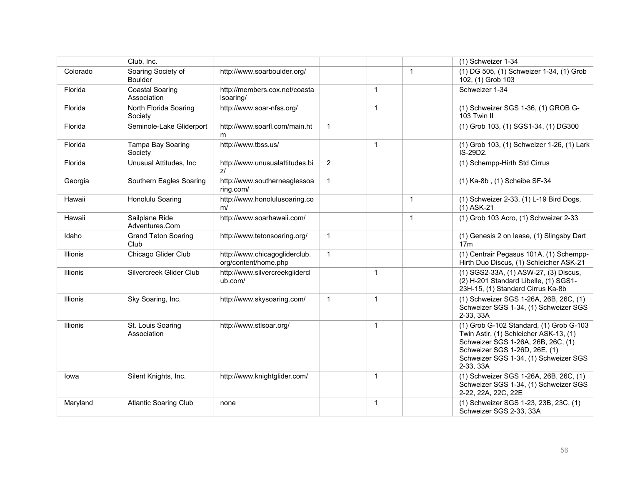|                 | Club, Inc.                            |                                                       |                |                |              | (1) Schweizer 1-34                                                                                                                                                                                             |
|-----------------|---------------------------------------|-------------------------------------------------------|----------------|----------------|--------------|----------------------------------------------------------------------------------------------------------------------------------------------------------------------------------------------------------------|
| Colorado        | Soaring Society of<br><b>Boulder</b>  | http://www.soarboulder.org/                           |                |                | $\mathbf{1}$ | (1) DG 505, (1) Schweizer 1-34, (1) Grob<br>102, (1) Grob 103                                                                                                                                                  |
| Florida         | <b>Coastal Soaring</b><br>Association | http://members.cox.net/coasta<br>Isoaring/            |                | $\mathbf{1}$   |              | Schweizer 1-34                                                                                                                                                                                                 |
| Florida         | North Florida Soaring<br>Society      | http://www.soar-nfss.org/                             |                | $\overline{1}$ |              | (1) Schweizer SGS 1-36, (1) GROB G-<br>103 Twin II                                                                                                                                                             |
| Florida         | Seminole-Lake Gliderport              | http://www.soarfl.com/main.ht<br>m                    | $\mathbf{1}$   |                |              | (1) Grob 103, (1) SGS1-34, (1) DG300                                                                                                                                                                           |
| Florida         | Tampa Bay Soaring<br>Society          | http://www.tbss.us/                                   |                | $\overline{1}$ |              | (1) Grob 103, (1) Schweizer 1-26, (1) Lark<br>IS-29D2.                                                                                                                                                         |
| Florida         | Unusual Attitudes, Inc.               | http://www.unusualattitudes.bi<br>$Z^{f}$             | $\overline{2}$ |                |              | (1) Schempp-Hirth Std Cirrus                                                                                                                                                                                   |
| Georgia         | Southern Eagles Soaring               | http://www.southerneaglessoa<br>ring.com/             | $\mathbf{1}$   |                |              | (1) Ka-8b, (1) Scheibe SF-34                                                                                                                                                                                   |
| Hawaii          | Honolulu Soaring                      | http://www.honolulusoaring.co<br>m/                   |                |                | $\mathbf{1}$ | (1) Schweizer 2-33, (1) L-19 Bird Dogs,<br>$(1)$ ASK-21                                                                                                                                                        |
| Hawaii          | Sailplane Ride<br>Adventures.Com      | http://www.soarhawaii.com/                            |                |                | $\mathbf{1}$ | (1) Grob 103 Acro, (1) Schweizer 2-33                                                                                                                                                                          |
| Idaho           | <b>Grand Teton Soaring</b><br>Club    | http://www.tetonsoaring.org/                          | $\mathbf{1}$   |                |              | (1) Genesis 2 on lease, (1) Slingsby Dart<br>17 <sub>m</sub>                                                                                                                                                   |
| Illionis        | Chicago Glider Club                   | http://www.chicagogliderclub.<br>org/content/home.php | $\mathbf{1}$   |                |              | (1) Centrair Pegasus 101A, (1) Schempp-<br>Hirth Duo Discus, (1) Schleicher ASK-21                                                                                                                             |
| <b>Illionis</b> | Silvercreek Glider Club               | http://www.silvercreekglidercl<br>ub.com/             |                | $\overline{1}$ |              | (1) SGS2-33A, (1) ASW-27, (3) Discus,<br>(2) H-201 Standard Libelle, (1) SGS1-<br>23H-15, (1) Standard Cirrus Ka-8b                                                                                            |
| Illionis        | Sky Soaring, Inc.                     | http://www.skysoaring.com/                            | $\mathbf{1}$   | $\mathbf{1}$   |              | (1) Schweizer SGS 1-26A, 26B, 26C, (1)<br>Schweizer SGS 1-34, (1) Schweizer SGS<br>2-33, 33A                                                                                                                   |
| Illionis        | St. Louis Soaring<br>Association      | http://www.stlsoar.org/                               |                | $\overline{1}$ |              | (1) Grob G-102 Standard, (1) Grob G-103<br>Twin Astir, (1) Schleicher ASK-13, (1)<br>Schweizer SGS 1-26A, 26B, 26C, (1)<br>Schweizer SGS 1-26D, 26E, (1)<br>Schweizer SGS 1-34, (1) Schweizer SGS<br>2-33, 33A |
| lowa            | Silent Knights, Inc.                  | http://www.knightglider.com/                          |                | $\mathbf{1}$   |              | (1) Schweizer SGS 1-26A, 26B, 26C, (1)<br>Schweizer SGS 1-34, (1) Schweizer SGS<br>2-22, 22A, 22C, 22E                                                                                                         |
| Maryland        | <b>Atlantic Soaring Club</b>          | none                                                  |                | $\mathbf{1}$   |              | (1) Schweizer SGS 1-23, 23B, 23C, (1)<br>Schweizer SGS 2-33, 33A                                                                                                                                               |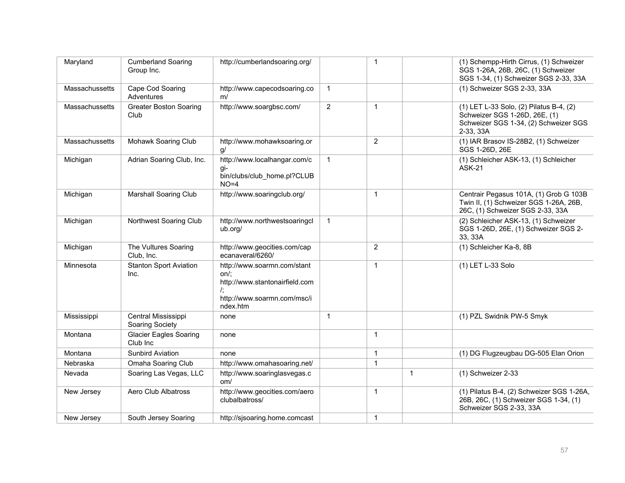| Maryland       | <b>Cumberland Soaring</b><br>Group Inc.   | http://cumberlandsoaring.org/                                                                                          |                | $\mathbf{1}$   |              | (1) Schempp-Hirth Cirrus, (1) Schweizer<br>SGS 1-26A, 26B, 26C, (1) Schweizer<br>SGS 1-34, (1) Schweizer SGS 2-33, 33A         |
|----------------|-------------------------------------------|------------------------------------------------------------------------------------------------------------------------|----------------|----------------|--------------|--------------------------------------------------------------------------------------------------------------------------------|
| Massachussetts | Cape Cod Soaring<br>Adventures            | http://www.capecodsoaring.co<br>m/                                                                                     | $\mathbf{1}$   |                |              | (1) Schweizer SGS 2-33, 33A                                                                                                    |
| Massachussetts | <b>Greater Boston Soaring</b><br>Club     | http://www.soargbsc.com/                                                                                               | $\overline{2}$ | $\mathbf{1}$   |              | (1) LET L-33 Solo, (2) Pilatus B-4, (2)<br>Schweizer SGS 1-26D, 26E, (1)<br>Schweizer SGS 1-34, (2) Schweizer SGS<br>2-33, 33A |
| Massachussetts | Mohawk Soaring Club                       | http://www.mohawksoaring.or<br>g/                                                                                      |                | $\overline{2}$ |              | (1) IAR Brasov IS-28B2, (1) Schweizer<br>SGS 1-26D, 26E                                                                        |
| Michigan       | Adrian Soaring Club, Inc.                 | http://www.localhangar.com/c<br>gi-<br>bin/clubs/club home.pl?CLUB<br>$NO=4$                                           | $\mathbf{1}$   |                |              | (1) Schleicher ASK-13, (1) Schleicher<br><b>ASK-21</b>                                                                         |
| Michigan       | <b>Marshall Soaring Club</b>              | http://www.soaringclub.org/                                                                                            |                | $\mathbf{1}$   |              | Centrair Pegasus 101A, (1) Grob G 103B<br>Twin II, (1) Schweizer SGS 1-26A, 26B,<br>26C, (1) Schweizer SGS 2-33, 33A           |
| Michigan       | Northwest Soaring Club                    | http://www.northwestsoaringcl<br>ub.org/                                                                               | $\mathbf{1}$   |                |              | (2) Schleicher ASK-13, (1) Schweizer<br>SGS 1-26D, 26E, (1) Schweizer SGS 2-<br>33, 33A                                        |
| Michigan       | The Vultures Soaring<br>Club, Inc.        | http://www.geocities.com/cap<br>ecanaveral/6260/                                                                       |                | $\overline{2}$ |              | (1) Schleicher Ka-8, 8B                                                                                                        |
| Minnesota      | <b>Stanton Sport Aviation</b><br>Inc.     | http://www.soarmn.com/stant<br>on/:<br>http://www.stantonairfield.com<br>I.<br>http://www.soarmn.com/msc/i<br>ndex.htm |                | $\mathbf{1}$   |              | (1) LET L-33 Solo                                                                                                              |
| Mississippi    | Central Mississippi<br>Soaring Society    | none                                                                                                                   | $\mathbf{1}$   |                |              | (1) PZL Swidnik PW-5 Smyk                                                                                                      |
| Montana        | <b>Glacier Eagles Soaring</b><br>Club Inc | none                                                                                                                   |                | $\mathbf{1}$   |              |                                                                                                                                |
| Montana        | <b>Sunbird Aviation</b>                   | none                                                                                                                   |                | $\mathbf{1}$   |              | (1) DG Flugzeugbau DG-505 Elan Orion                                                                                           |
| Nebraska       | Omaha Soaring Club                        | http://www.omahasoaring.net/                                                                                           |                | $\mathbf{1}$   |              |                                                                                                                                |
| Nevada         | Soaring Las Vegas, LLC                    | http://www.soaringlasvegas.c<br>om/                                                                                    |                |                | $\mathbf{1}$ | (1) Schweizer 2-33                                                                                                             |
| New Jersey     | Aero Club Albatross                       | http://www.geocities.com/aero<br>clubalbatross/                                                                        |                | $\mathbf{1}$   |              | (1) Pilatus B-4, (2) Schweizer SGS 1-26A,<br>26B, 26C, (1) Schweizer SGS 1-34, (1)<br>Schweizer SGS 2-33, 33A                  |
| New Jersey     | South Jersey Soaring                      | http://sjsoaring.home.comcast                                                                                          |                | $\mathbf{1}$   |              |                                                                                                                                |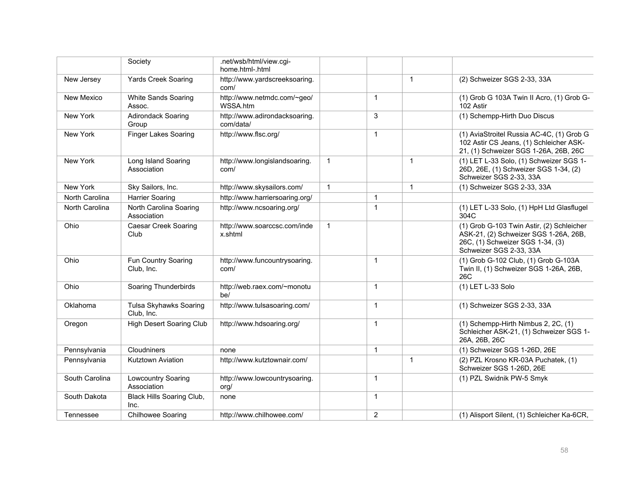|                | Society                               | .net/wsb/html/view.cgi-<br>home.html-.html |              |                |              |                                                                                                                                                   |
|----------------|---------------------------------------|--------------------------------------------|--------------|----------------|--------------|---------------------------------------------------------------------------------------------------------------------------------------------------|
| New Jersey     | <b>Yards Creek Soaring</b>            | http://www.yardscreeksoaring.<br>com/      |              |                | $\mathbf{1}$ | (2) Schweizer SGS 2-33, 33A                                                                                                                       |
| New Mexico     | White Sands Soaring<br>Assoc.         | http://www.netmdc.com/~geo/<br>WSSA.htm    |              | $\overline{1}$ |              | (1) Grob G 103A Twin II Acro, (1) Grob G-<br>102 Astir                                                                                            |
| New York       | <b>Adirondack Soaring</b><br>Group    | http://www.adirondacksoaring.<br>com/data/ |              | 3              |              | (1) Schempp-Hirth Duo Discus                                                                                                                      |
| New York       | <b>Finger Lakes Soaring</b>           | http://www.flsc.org/                       |              | $\overline{1}$ |              | (1) AviaStroitel Russia AC-4C, (1) Grob G<br>102 Astir CS Jeans, (1) Schleicher ASK-<br>21, (1) Schweizer SGS 1-26A, 26B, 26C                     |
| New York       | Long Island Soaring<br>Association    | http://www.longislandsoaring.<br>com/      | $\mathbf{1}$ |                | $\mathbf{1}$ | (1) LET L-33 Solo, (1) Schweizer SGS 1-<br>26D, 26E, (1) Schweizer SGS 1-34, (2)<br>Schweizer SGS 2-33, 33A                                       |
| New York       | Sky Sailors, Inc.                     | http://www.skysailors.com/                 | $\mathbf{1}$ |                | $\mathbf{1}$ | (1) Schweizer SGS 2-33, 33A                                                                                                                       |
| North Carolina | Harrier Soaring                       | http://www.harriersoaring.org/             |              | $\overline{1}$ |              |                                                                                                                                                   |
| North Carolina | North Carolina Soaring<br>Association | http://www.ncsoaring.org/                  |              | $\overline{1}$ |              | (1) LET L-33 Solo, (1) HpH Ltd Glasflugel<br>304C                                                                                                 |
| Ohio           | <b>Caesar Creek Soaring</b><br>Club   | http://www.soarccsc.com/inde<br>x.shtml    | $\mathbf{1}$ |                |              | (1) Grob G-103 Twin Astir, (2) Schleicher<br>ASK-21, (2) Schweizer SGS 1-26A, 26B,<br>26C, (1) Schweizer SGS 1-34, (3)<br>Schweizer SGS 2-33, 33A |
| Ohio           | Fun Country Soaring<br>Club, Inc.     | http://www.funcountrysoaring.<br>com/      |              | $\overline{1}$ |              | (1) Grob G-102 Club, (1) Grob G-103A<br>Twin II, (1) Schweizer SGS 1-26A, 26B,<br>26C                                                             |
| Ohio           | Soaring Thunderbirds                  | http://web.raex.com/~monotu<br>he/         |              | $\overline{1}$ |              | (1) LET L-33 Solo                                                                                                                                 |
| Oklahoma       | Tulsa Skyhawks Soaring<br>Club, Inc.  | http://www.tulsasoaring.com/               |              | $\overline{1}$ |              | (1) Schweizer SGS 2-33, 33A                                                                                                                       |
| Oregon         | <b>High Desert Soaring Club</b>       | http://www.hdsoaring.org/                  |              | $\overline{1}$ |              | (1) Schempp-Hirth Nimbus 2, 2C, (1)<br>Schleicher ASK-21, (1) Schweizer SGS 1-<br>26A, 26B, 26C                                                   |
| Pennsylvania   | Cloudniners                           | none                                       |              | $\overline{1}$ |              | (1) Schweizer SGS 1-26D, 26E                                                                                                                      |
| Pennsylvania   | Kutztown Aviation                     | http://www.kutztownair.com/                |              |                | $\mathbf{1}$ | (2) PZL Krosno KR-03A Puchatek, (1)<br>Schweizer SGS 1-26D, 26E                                                                                   |
| South Carolina | Lowcountry Soaring<br>Association     | http://www.lowcountrysoaring.<br>org/      |              | $\overline{1}$ |              | (1) PZL Swidnik PW-5 Smyk                                                                                                                         |
| South Dakota   | Black Hills Soaring Club,<br>Inc.     | none                                       |              | $\overline{1}$ |              |                                                                                                                                                   |
| Tennessee      | Chilhowee Soaring                     | http://www.chilhowee.com/                  |              | $\overline{2}$ |              | (1) Alisport Silent, (1) Schleicher Ka-6CR,                                                                                                       |

Association, Inc.

(1) Schleicher Ka-7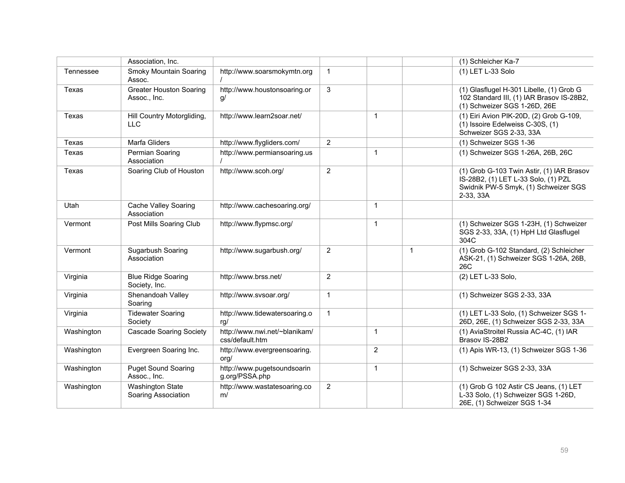|            | Association, Inc.                              |                                                  |                |              |              | (1) Schleicher Ka-7                                                                                                                   |
|------------|------------------------------------------------|--------------------------------------------------|----------------|--------------|--------------|---------------------------------------------------------------------------------------------------------------------------------------|
| Tennessee  | Smoky Mountain Soaring<br>Assoc.               | http://www.soarsmokymtn.org                      | $\mathbf{1}$   |              |              | (1) LET L-33 Solo                                                                                                                     |
| Texas      | <b>Greater Houston Soaring</b><br>Assoc., Inc. | http://www.houstonsoaring.or<br>q/               | 3              |              |              | (1) Glasflugel H-301 Libelle, (1) Grob G<br>102 Standard III, (1) IAR Brasov IS-28B2,<br>(1) Schweizer SGS 1-26D, 26E                 |
| Texas      | Hill Country Motorgliding,<br><b>LLC</b>       | http://www.learn2soar.net/                       |                | $\mathbf{1}$ |              | (1) Eiri Avion PIK-20D, (2) Grob G-109,<br>(1) Issoire Edelweiss C-30S, (1)<br>Schweizer SGS 2-33, 33A                                |
| Texas      | Marfa Gliders                                  | http://www.flygliders.com/                       | $\overline{2}$ |              |              | (1) Schweizer SGS 1-36                                                                                                                |
| Texas      | Permian Soaring<br>Association                 | http://www.permiansoaring.us                     |                | $\mathbf{1}$ |              | (1) Schweizer SGS 1-26A, 26B, 26C                                                                                                     |
| Texas      | Soaring Club of Houston                        | http://www.scoh.org/                             | $\overline{2}$ |              |              | (1) Grob G-103 Twin Astir, (1) IAR Brasov<br>IS-28B2, (1) LET L-33 Solo, (1) PZL<br>Swidnik PW-5 Smyk, (1) Schweizer SGS<br>2-33, 33A |
| Utah       | Cache Valley Soaring<br>Association            | http://www.cachesoaring.org/                     |                | $\mathbf{1}$ |              |                                                                                                                                       |
| Vermont    | Post Mills Soaring Club                        | http://www.flypmsc.org/                          |                | $\mathbf{1}$ |              | (1) Schweizer SGS 1-23H, (1) Schweizer<br>SGS 2-33, 33A, (1) HpH Ltd Glasflugel<br>304C                                               |
| Vermont    | Sugarbush Soaring<br>Association               | http://www.sugarbush.org/                        | $\overline{2}$ |              | $\mathbf{1}$ | (1) Grob G-102 Standard, (2) Schleicher<br>ASK-21, (1) Schweizer SGS 1-26A, 26B,<br>26C                                               |
| Virginia   | <b>Blue Ridge Soaring</b><br>Society, Inc.     | http://www.brss.net/                             | $\overline{2}$ |              |              | (2) LET L-33 Solo,                                                                                                                    |
| Virginia   | Shenandoah Valley<br>Soaring                   | http://www.svsoar.org/                           | $\mathbf{1}$   |              |              | (1) Schweizer SGS 2-33, 33A                                                                                                           |
| Virginia   | <b>Tidewater Soaring</b><br>Society            | http://www.tidewatersoaring.o<br>rq/             | $\mathbf{1}$   |              |              | (1) LET L-33 Solo, (1) Schweizer SGS 1-<br>26D, 26E, (1) Schweizer SGS 2-33, 33A                                                      |
| Washington | <b>Cascade Soaring Society</b>                 | http://www.nwi.net/~blanikam/<br>css/default.htm |                | $\mathbf{1}$ |              | (1) AviaStroitel Russia AC-4C, (1) IAR<br>Brasov IS-28B2                                                                              |
| Washington | Evergreen Soaring Inc.                         | http://www.evergreensoaring.<br>org/             |                | 2            |              | (1) Apis WR-13, (1) Schweizer SGS 1-36                                                                                                |
| Washington | <b>Puget Sound Soaring</b><br>Assoc., Inc.     | http://www.pugetsoundsoarin<br>g.org/PSSA.php    |                | $\mathbf{1}$ |              | (1) Schweizer SGS 2-33, 33A                                                                                                           |
| Washington | <b>Washington State</b><br>Soaring Association | http://www.wastatesoaring.co<br>m/               | $\overline{2}$ |              |              | (1) Grob G 102 Astir CS Jeans, (1) LET<br>L-33 Solo, (1) Schweizer SGS 1-26D,<br>26E, (1) Schweizer SGS 1-34                          |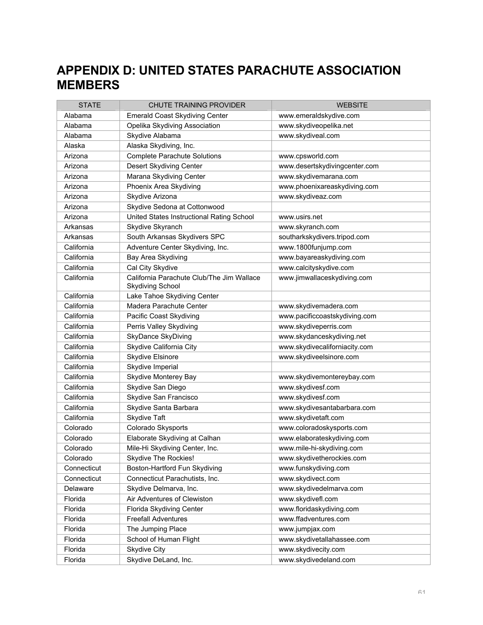# **APPENDIX D: UNITED STATES PARACHUTE ASSOCIATION MEMBERS**

| <b>STATE</b> | <b>CHUTE TRAINING PROVIDER</b>                                       | <b>WEBSITE</b>                |
|--------------|----------------------------------------------------------------------|-------------------------------|
| Alabama      | <b>Emerald Coast Skydiving Center</b>                                | www.emeraldskydive.com        |
| Alabama      | Opelika Skydiving Association                                        | www.skydiveopelika.net        |
| Alabama      | Skydive Alabama                                                      | www.skydiveal.com             |
| Alaska       | Alaska Skydiving, Inc.                                               |                               |
| Arizona      | <b>Complete Parachute Solutions</b>                                  | www.cpsworld.com              |
| Arizona      | Desert Skydiving Center                                              | www.desertskydivingcenter.com |
| Arizona      | Marana Skydiving Center                                              | www.skydivemarana.com         |
| Arizona      | Phoenix Area Skydiving                                               | www.phoenixareaskydiving.com  |
| Arizona      | Skydive Arizona                                                      | www.skydiveaz.com             |
| Arizona      | Skydive Sedona at Cottonwood                                         |                               |
| Arizona      | United States Instructional Rating School                            | www.usirs.net                 |
| Arkansas     | Skydive Skyranch                                                     | www.skyranch.com              |
| Arkansas     | South Arkansas Skydivers SPC                                         | southarkskydivers.tripod.com  |
| California   | Adventure Center Skydiving, Inc.                                     | www.1800funjump.com           |
| California   | Bay Area Skydiving                                                   | www.bayareaskydiving.com      |
| California   | Cal City Skydive                                                     | www.calcityskydive.com        |
| California   | California Parachute Club/The Jim Wallace<br><b>Skydiving School</b> | www.jimwallaceskydiving.com   |
| California   | Lake Tahoe Skydiving Center                                          |                               |
| California   | Madera Parachute Center                                              | www.skydivemadera.com         |
| California   | Pacific Coast Skydiving                                              | www.pacificcoastskydiving.com |
| California   | Perris Valley Skydiving                                              | www.skydiveperris.com         |
| California   | SkyDance SkyDiving                                                   | www.skydanceskydiving.net     |
| California   | Skydive California City                                              | www.skydivecaliforniacity.com |
| California   | Skydive Elsinore                                                     | www.skydiveelsinore.com       |
| California   | Skydive Imperial                                                     |                               |
| California   | Skydive Monterey Bay                                                 | www.skydivemontereybay.com    |
| California   | Skydive San Diego                                                    | www.skydivesf.com             |
| California   | Skydive San Francisco                                                | www.skydivesf.com             |
| California   | Skydive Santa Barbara                                                | www.skydivesantabarbara.com   |
| California   | Skydive Taft                                                         | www.skydivetaft.com           |
| Colorado     | Colorado Skysports                                                   | www.coloradoskysports.com     |
| Colorado     | Elaborate Skydiving at Calhan                                        | www.elaborateskydiving.com    |
| Colorado     | Mile-Hi Skydiving Center, Inc.                                       | www.mile-hi-skydiving.com     |
| Colorado     | Skydive The Rockies!                                                 | www.skydivetherockies.com     |
| Connecticut  | Boston-Hartford Fun Skydiving                                        | www.funskydiving.com          |
| Connecticut  | Connecticut Parachutists, Inc.                                       | www.skydivect.com             |
| Delaware     | Skydive Delmarva, Inc.                                               | www.skydivedelmarva.com       |
| Florida      | Air Adventures of Clewiston                                          | www.skydivefl.com             |
| Florida      | Florida Skydiving Center                                             | www.floridaskydiving.com      |
| Florida      | <b>Freefall Adventures</b>                                           | www.ffadventures.com          |
| Florida      | The Jumping Place                                                    | www.jumpjax.com               |
| Florida      | School of Human Flight                                               | www.skydivetallahassee.com    |
| Florida      | <b>Skydive City</b>                                                  | www.skydivecity.com           |
| Florida      | Skydive DeLand, Inc.                                                 | www.skydivedeland.com         |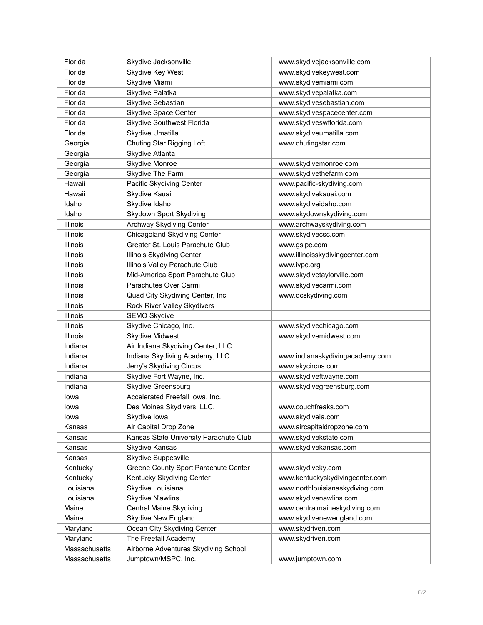| Florida         | Skydive Jacksonville                   | www.skydivejacksonville.com     |
|-----------------|----------------------------------------|---------------------------------|
| Florida         | Skydive Key West                       | www.skydivekeywest.com          |
| Florida         | Skydive Miami                          | www.skydivemiami.com            |
| Florida         | Skydive Palatka                        | www.skydivepalatka.com          |
| Florida         | Skydive Sebastian                      | www.skydivesebastian.com        |
| Florida         | Skydive Space Center                   | www.skydivespacecenter.com      |
| Florida         | Skydive Southwest Florida              | www.skydiveswflorida.com        |
| Florida         | Skydive Umatilla                       | www.skydiveumatilla.com         |
| Georgia         | Chuting Star Rigging Loft              | www.chutingstar.com             |
| Georgia         | Skydive Atlanta                        |                                 |
| Georgia         | Skydive Monroe                         | www.skydivemonroe.com           |
| Georgia         | Skydive The Farm                       | www.skydivethefarm.com          |
| Hawaii          | Pacific Skydiving Center               | www.pacific-skydiving.com       |
| Hawaii          | Skydive Kauai                          | www.skydivekauai.com            |
| Idaho           | Skydive Idaho                          | www.skydiveidaho.com            |
| Idaho           | Skydown Sport Skydiving                | www.skydownskydiving.com        |
| Illinois        | Archway Skydiving Center               | www.archwayskydiving.com        |
| Illinois        | Chicagoland Skydiving Center           | www.skydivecsc.com              |
| Illinois        | Greater St. Louis Parachute Club       | www.gslpc.com                   |
| Illinois        | Illinois Skydiving Center              | www.illinoisskydivingcenter.com |
| Illinois        | Illinois Valley Parachute Club         | www.ivpc.org                    |
| Illinois        | Mid-America Sport Parachute Club       | www.skydivetaylorville.com      |
| <b>Illinois</b> | Parachutes Over Carmi                  | www.skydivecarmi.com            |
| Illinois        | Quad City Skydiving Center, Inc.       | www.qcskydiving.com             |
| Illinois        | Rock River Valley Skydivers            |                                 |
| Illinois        | SEMO Skydive                           |                                 |
| <b>Illinois</b> | Skydive Chicago, Inc.                  | www.skydivechicago.com          |
| <b>Illinois</b> | <b>Skydive Midwest</b>                 | www.skydivemidwest.com          |
| Indiana         | Air Indiana Skydiving Center, LLC      |                                 |
| Indiana         | Indiana Skydiving Academy, LLC         | www.indianaskydivingacademy.com |
| Indiana         | Jerry's Skydiving Circus               | www.skycircus.com               |
| Indiana         | Skydive Fort Wayne, Inc.               | www.skydiveftwayne.com          |
| Indiana         | Skydive Greensburg                     | www.skydivegreensburg.com       |
| lowa            | Accelerated Freefall Iowa, Inc.        |                                 |
| lowa            | Des Moines Skydivers, LLC.             | www.couchfreaks.com             |
| lowa            | Skydive Iowa                           | www.skydiveia.com               |
| Kansas          | Air Capital Drop Zone                  | www.aircapitaldropzone.com      |
| Kansas          | Kansas State University Parachute Club | www.skydivekstate.com           |
| Kansas          | Skydive Kansas                         | www.skydivekansas.com           |
| Kansas          | Skydive Suppesville                    |                                 |
| Kentucky        | Greene County Sport Parachute Center   | www.skydiveky.com               |
| Kentucky        | Kentucky Skydiving Center              | www.kentuckyskydivingcenter.com |
| Louisiana       | Skydive Louisiana                      | www.northlouisianaskydiving.com |
| Louisiana       | Skydive N'awlins                       | www.skydivenawlins.com          |
| Maine           | Central Maine Skydiving                | www.centralmaineskydiving.com   |
| Maine           | <b>Skydive New England</b>             | www.skydivenewengland.com       |
| Maryland        | Ocean City Skydiving Center            | www.skydriven.com               |
| Maryland        | The Freefall Academy                   | www.skydriven.com               |
| Massachusetts   | Airborne Adventures Skydiving School   |                                 |
| Massachusetts   | Jumptown/MSPC, Inc.                    | www.jumptown.com                |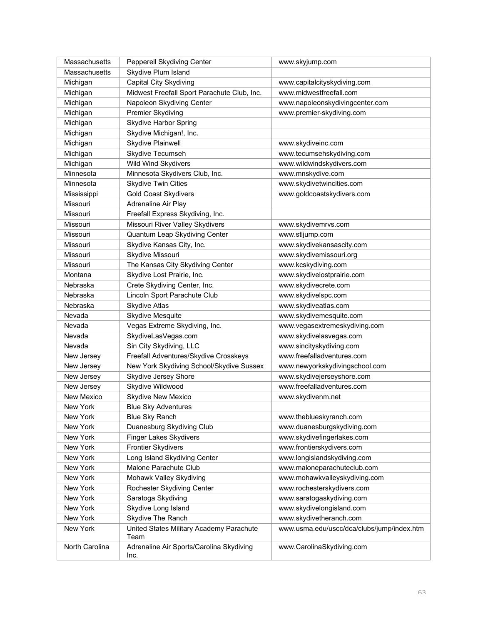| Massachusetts  | Pepperell Skydiving Center                       | www.skyjump.com                            |
|----------------|--------------------------------------------------|--------------------------------------------|
| Massachusetts  | Skydive Plum Island                              |                                            |
| Michigan       | Capital City Skydiving                           | www.capitalcityskydiving.com               |
| Michigan       | Midwest Freefall Sport Parachute Club, Inc.      | www.midwestfreefall.com                    |
| Michigan       | Napoleon Skydiving Center                        | www.napoleonskydivingcenter.com            |
| Michigan       | Premier Skydiving                                | www.premier-skydiving.com                  |
| Michigan       | <b>Skydive Harbor Spring</b>                     |                                            |
| Michigan       | Skydive Michigan!, Inc.                          |                                            |
| Michigan       | Skydive Plainwell                                | www.skydiveinc.com                         |
| Michigan       | Skydive Tecumseh                                 | www.tecumsehskydiving.com                  |
| Michigan       | Wild Wind Skydivers                              | www.wildwindskydivers.com                  |
| Minnesota      | Minnesota Skydivers Club, Inc.                   | www.mnskydive.com                          |
| Minnesota      | <b>Skydive Twin Cities</b>                       | www.skydivetwincities.com                  |
| Mississippi    | <b>Gold Coast Skydivers</b>                      | www.goldcoastskydivers.com                 |
| Missouri       | Adrenaline Air Play                              |                                            |
| Missouri       | Freefall Express Skydiving, Inc.                 |                                            |
| Missouri       | Missouri River Valley Skydivers                  | www.skydivemrvs.com                        |
| Missouri       | Quantum Leap Skydiving Center                    | www.stljump.com                            |
| Missouri       | Skydive Kansas City, Inc.                        | www.skydivekansascity.com                  |
| Missouri       | Skydive Missouri                                 | www.skydivemissouri.org                    |
| Missouri       | The Kansas City Skydiving Center                 | www.kcskydiving.com                        |
| Montana        | Skydive Lost Prairie, Inc.                       | www.skydivelostprairie.com                 |
| Nebraska       | Crete Skydiving Center, Inc.                     | www.skydivecrete.com                       |
| Nebraska       | Lincoln Sport Parachute Club                     | www.skydivelspc.com                        |
| Nebraska       | Skydive Atlas                                    | www.skydiveatlas.com                       |
| Nevada         | Skydive Mesquite                                 | www.skydivemesquite.com                    |
| Nevada         | Vegas Extreme Skydiving, Inc.                    | www.vegasextremeskydiving.com              |
| Nevada         | SkydiveLasVegas.com                              | www.skydivelasvegas.com                    |
| Nevada         | Sin City Skydiving, LLC                          | www.sincityskydiving.com                   |
| New Jersey     | Freefall Adventures/Skydive Crosskeys            | www.freefalladventures.com                 |
| New Jersey     | New York Skydiving School/Skydive Sussex         | www.newyorkskydivingschool.com             |
| New Jersey     | Skydive Jersey Shore                             | www.skydivejerseyshore.com                 |
| New Jersey     | Skydive Wildwood                                 | www.freefalladventures.com                 |
| New Mexico     | Skydive New Mexico                               | www.skydivenm.net                          |
| New York       | <b>Blue Sky Adventures</b>                       |                                            |
| New York       | <b>Blue Sky Ranch</b>                            | www.theblueskyranch.com                    |
| New York       | Duanesburg Skydiving Club                        | www.duanesburgskydiving.com                |
| New York       | Finger Lakes Skydivers                           | www.skydivefingerlakes.com                 |
| New York       | <b>Frontier Skydivers</b>                        | www.frontierskydivers.com                  |
| New York       | Long Island Skydiving Center                     | www.longislandskydiving.com                |
| New York       | Malone Parachute Club                            | www.maloneparachuteclub.com                |
| New York       | Mohawk Valley Skydiving                          | www.mohawkvalleyskydiving.com              |
| New York       | Rochester Skydiving Center                       | www.rochesterskydivers.com                 |
| New York       | Saratoga Skydiving                               | www.saratogaskydiving.com                  |
| New York       | Skydive Long Island                              | www.skydivelongisland.com                  |
| New York       | Skydive The Ranch                                | www.skydivetheranch.com                    |
| New York       | United States Military Academy Parachute<br>Team | www.usma.edu/uscc/dca/clubs/jump/index.htm |
| North Carolina | Adrenaline Air Sports/Carolina Skydiving<br>Inc. | www.CarolinaSkydiving.com                  |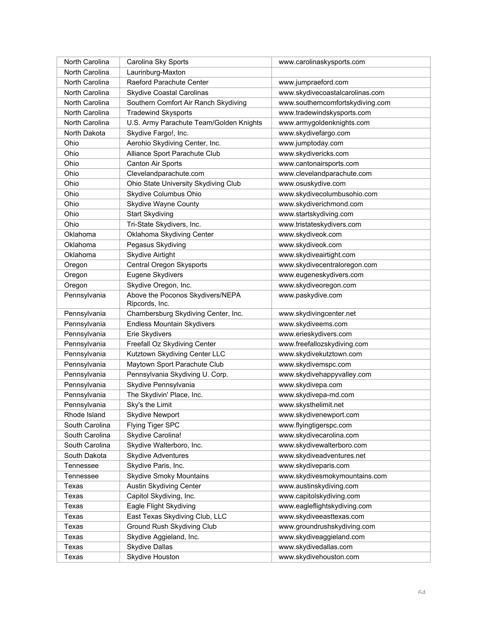| North Carolina | Carolina Sky Sports                                | www.carolinaskysports.com        |
|----------------|----------------------------------------------------|----------------------------------|
| North Carolina | Laurinburg-Maxton                                  |                                  |
| North Carolina | Raeford Parachute Center                           | www.jumpraeford.com              |
| North Carolina | <b>Skydive Coastal Carolinas</b>                   | www.skydivecoastalcarolinas.com  |
| North Carolina | Southern Comfort Air Ranch Skydiving               | www.southerncomfortskydiving.com |
| North Carolina | <b>Tradewind Skysports</b>                         | www.tradewindskysports.com       |
| North Carolina | U.S. Army Parachute Team/Golden Knights            | www.armygoldenknights.com        |
| North Dakota   | Skydive Fargo!, Inc.                               | www.skydivefargo.com             |
| Ohio           | Aerohio Skydiving Center, Inc.                     | www.jumptoday.com                |
| Ohio           | Alliance Sport Parachute Club                      | www.skydivericks.com             |
| Ohio           | Canton Air Sports                                  | www.cantonairsports.com          |
| Ohio           | Clevelandparachute.com                             | www.clevelandparachute.com       |
| Ohio           | Ohio State University Skydiving Club               | www.osuskydive.com               |
| Ohio           | Skydive Columbus Ohio                              | www.skydivecolumbusohio.com      |
| Ohio           | Skydive Wayne County                               | www.skydiverichmond.com          |
| Ohio           | <b>Start Skydiving</b>                             | www.startskydiving.com           |
| Ohio           | Tri-State Skydivers, Inc.                          | www.tristateskydivers.com        |
| Oklahoma       | Oklahoma Skydiving Center                          | www.skydiveok.com                |
| Oklahoma       | Pegasus Skydiving                                  | www.skydiveok.com                |
| Oklahoma       | <b>Skydive Airtight</b>                            | www.skydiveairtight.com          |
| Oregon         | Central Oregon Skysports                           | www.skydivecentraloregon.com     |
| Oregon         | Eugene Skydivers                                   | www.eugeneskydivers.com          |
| Oregon         | Skydive Oregon, Inc.                               | www.skydiveoregon.com            |
| Pennsylvania   | Above the Poconos Skydivers/NEPA<br>Ripcords, Inc. | www.paskydive.com                |
| Pennsylvania   | Chambersburg Skydiving Center, Inc.                | www.skydivingcenter.net          |
| Pennsylvania   | <b>Endless Mountain Skydivers</b>                  | www.skydiveems.com               |
| Pennsylvania   | Erie Skydivers                                     | www.erieskydivers.com            |
| Pennsylvania   | Freefall Oz Skydiving Center                       | www.freefallozskydiving.com      |
| Pennsylvania   | Kutztown Skydiving Center LLC                      | www.skydivekutztown.com          |
| Pennsylvania   | Maytown Sport Parachute Club                       | www.skydivemspc.com              |
| Pennsylvania   | Pennsylvania Skydiving U. Corp.                    | www.skydivehappyvalley.com       |
| Pennsylvania   | Skydive Pennsylvania                               | www.skydivepa.com                |
| Pennsylvania   | The Skydivin' Place, Inc.                          | www.skydivepa-md.com             |
| Pennsylvania   | Sky's the Limit                                    | www.skysthelimit.net             |
| Rhode Island   | <b>Skydive Newport</b>                             | www.skydivenewport.com           |
| South Carolina | Flying Tiger SPC                                   | www.flyingtigerspc.com           |
| South Carolina | Skydive Carolina!                                  | www.skydivecarolina.com          |
| South Carolina | Skydive Walterboro, Inc.                           | www.skydivewalterboro.com        |
| South Dakota   | <b>Skydive Adventures</b>                          | www.skydiveadventures.net        |
| Tennessee      | Skydive Paris, Inc.                                | www.skydiveparis.com             |
| Tennessee      | <b>Skydive Smoky Mountains</b>                     | www.skydivesmokymountains.com    |
| Texas          | Austin Skydiving Center                            | www.austinskydiving.com          |
| Texas          | Capitol Skydiving, Inc.                            | www.capitolskydiving.com         |
| Texas          | Eagle Flight Skydiving                             | www.eagleflightskydiving.com     |
| Texas          | East Texas Skydiving Club, LLC                     | www.skydiveeasttexas.com         |
| Texas          | Ground Rush Skydiving Club                         | www.groundrushskydiving.com      |
| Texas          | Skydive Aggieland, Inc.                            | www.skydiveaggieland.com         |
| Texas          | <b>Skydive Dallas</b>                              | www.skydivedallas.com            |
| Texas          | Skydive Houston                                    | www.skydivehouston.com           |